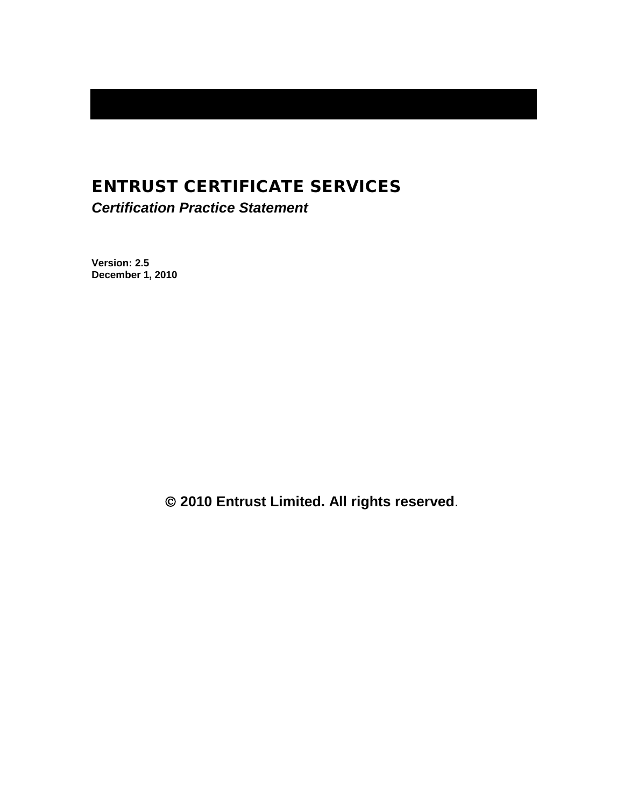# ENTRUST CERTIFICATE SERVICES

*Certification Practice Statement*

**Version: 2.5 December 1, 2010**

**2010 Entrust Limited. All rights reserved**.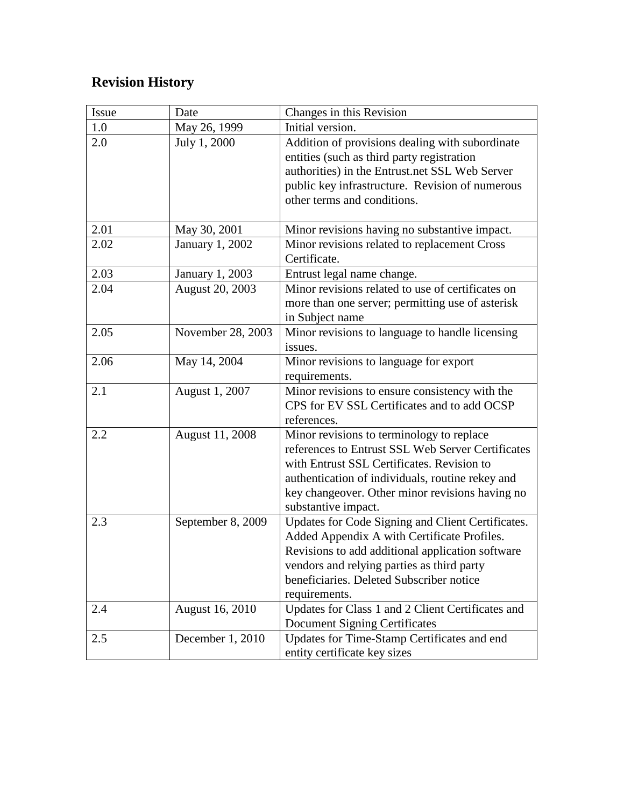# **Revision History**

| Issue | Date                   | Changes in this Revision                                                                         |  |
|-------|------------------------|--------------------------------------------------------------------------------------------------|--|
| 1.0   | May 26, 1999           | Initial version.                                                                                 |  |
| 2.0   | July 1, 2000           | Addition of provisions dealing with subordinate                                                  |  |
|       |                        | entities (such as third party registration                                                       |  |
|       |                        | authorities) in the Entrust.net SSL Web Server                                                   |  |
|       |                        | public key infrastructure. Revision of numerous                                                  |  |
|       |                        | other terms and conditions.                                                                      |  |
|       |                        |                                                                                                  |  |
| 2.01  | May 30, 2001           | Minor revisions having no substantive impact.                                                    |  |
| 2.02  | <b>January 1, 2002</b> | Minor revisions related to replacement Cross                                                     |  |
|       |                        | Certificate.                                                                                     |  |
| 2.03  | January 1, 2003        | Entrust legal name change.                                                                       |  |
| 2.04  | <b>August 20, 2003</b> | Minor revisions related to use of certificates on                                                |  |
|       |                        | more than one server; permitting use of asterisk                                                 |  |
|       |                        | in Subject name                                                                                  |  |
| 2.05  | November 28, 2003      | Minor revisions to language to handle licensing                                                  |  |
|       |                        | issues.                                                                                          |  |
| 2.06  | May 14, 2004           | Minor revisions to language for export                                                           |  |
|       |                        | requirements.                                                                                    |  |
| 2.1   | August 1, 2007         | Minor revisions to ensure consistency with the                                                   |  |
|       |                        | CPS for EV SSL Certificates and to add OCSP                                                      |  |
|       |                        | references.                                                                                      |  |
| 2.2   | August 11, 2008        | Minor revisions to terminology to replace                                                        |  |
|       |                        | references to Entrust SSL Web Server Certificates                                                |  |
|       |                        | with Entrust SSL Certificates. Revision to                                                       |  |
|       |                        | authentication of individuals, routine rekey and                                                 |  |
|       |                        | key changeover. Other minor revisions having no                                                  |  |
|       |                        | substantive impact.                                                                              |  |
| 2.3   | September 8, 2009      | Updates for Code Signing and Client Certificates.<br>Added Appendix A with Certificate Profiles. |  |
|       |                        | Revisions to add additional application software                                                 |  |
|       |                        | vendors and relying parties as third party                                                       |  |
|       |                        | beneficiaries. Deleted Subscriber notice                                                         |  |
|       |                        | requirements.                                                                                    |  |
| 2.4   | August 16, 2010        | Updates for Class 1 and 2 Client Certificates and                                                |  |
|       |                        | <b>Document Signing Certificates</b>                                                             |  |
| 2.5   | December 1, 2010       | Updates for Time-Stamp Certificates and end                                                      |  |
|       |                        | entity certificate key sizes                                                                     |  |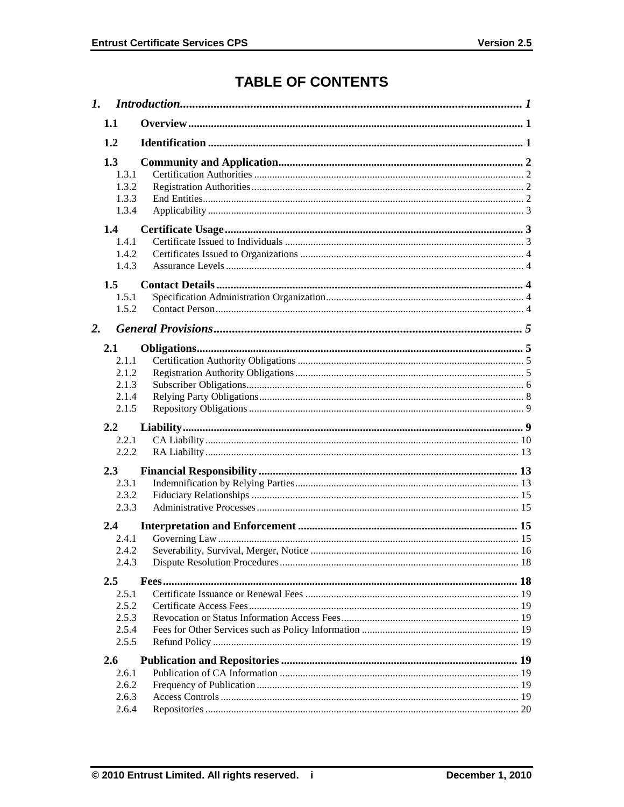# **TABLE OF CONTENTS**

| 1.1              |                                           |  |  |
|------------------|-------------------------------------------|--|--|
| 1.2              |                                           |  |  |
| 1.3              | 1.3.1<br>1.3.2<br>1.3.3<br>1.3.4          |  |  |
| 1.4<br>1.5       | 1.4.1<br>1.4.2<br>1.4.3<br>1.5.1          |  |  |
|                  | 1.5.2                                     |  |  |
| $\overline{2}$ . |                                           |  |  |
| 2.1              | 2.1.1<br>2.1.2<br>2.1.3<br>2.1.4<br>2.1.5 |  |  |
| 2.2              |                                           |  |  |
|                  | 2.2.1<br>2.2.2                            |  |  |
| 2.3              |                                           |  |  |
|                  | 2.3.1<br>2.3.2<br>2.3.3                   |  |  |
| 2.4              |                                           |  |  |
|                  | 2.4.1<br>2.4.2<br>2.4.3                   |  |  |
| $2.5\,$          |                                           |  |  |
|                  | 2.5.1<br>2.5.2<br>2.5.3<br>2.5.4<br>2.5.5 |  |  |
| 2.6              |                                           |  |  |
|                  | 2.6.1<br>2.6.2<br>2.6.3<br>2.6.4          |  |  |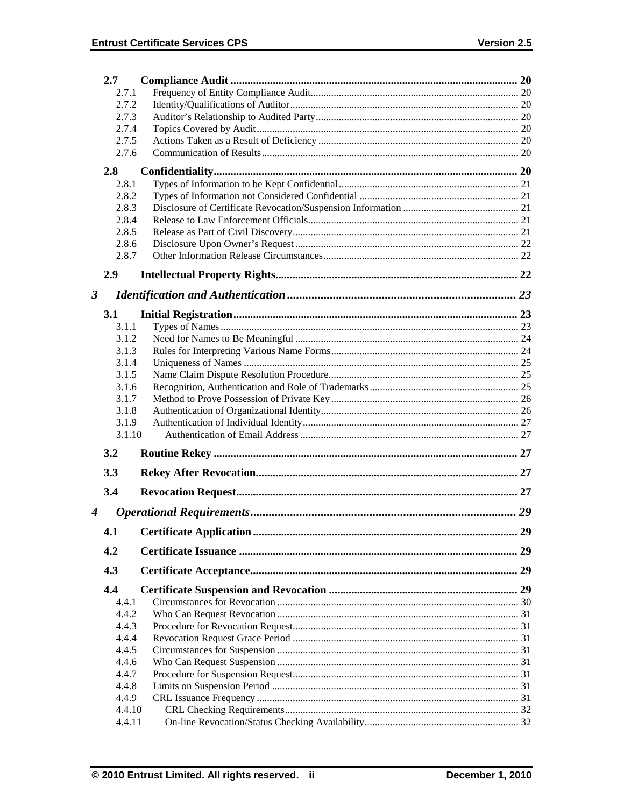|                      | 2.7            |  |    |  |  |
|----------------------|----------------|--|----|--|--|
|                      | 2.7.1          |  |    |  |  |
|                      | 2.7.2          |  |    |  |  |
| 2.7.3                |                |  |    |  |  |
|                      | 2.7.4          |  |    |  |  |
|                      | 2.7.5          |  |    |  |  |
|                      | 2.7.6          |  |    |  |  |
|                      | 2.8            |  |    |  |  |
|                      | 2.8.1          |  |    |  |  |
|                      | 2.8.2          |  |    |  |  |
|                      | 2.8.3          |  |    |  |  |
|                      | 2.8.4          |  |    |  |  |
|                      | 2.8.5          |  |    |  |  |
|                      | 2.8.6          |  |    |  |  |
|                      | 2.8.7          |  |    |  |  |
|                      |                |  |    |  |  |
|                      | 2.9            |  |    |  |  |
| $\boldsymbol{\beta}$ |                |  |    |  |  |
|                      |                |  |    |  |  |
|                      | 3.1            |  |    |  |  |
|                      | 3.1.1          |  |    |  |  |
|                      | 3.1.2          |  |    |  |  |
|                      | 3.1.3          |  |    |  |  |
|                      | 3.1.4          |  |    |  |  |
|                      | 3.1.5          |  |    |  |  |
|                      | 3.1.6<br>3.1.7 |  |    |  |  |
|                      | 3.1.8          |  |    |  |  |
|                      | 3.1.9          |  |    |  |  |
|                      | 3.1.10         |  |    |  |  |
|                      |                |  |    |  |  |
|                      | 3.2            |  |    |  |  |
|                      | 3.3            |  |    |  |  |
|                      |                |  |    |  |  |
|                      | 3.4            |  |    |  |  |
| 4                    |                |  | 29 |  |  |
|                      |                |  |    |  |  |
|                      | 4.1            |  | 29 |  |  |
|                      | 4.2            |  |    |  |  |
|                      | 4.3            |  |    |  |  |
|                      | 4.4            |  |    |  |  |
|                      | 4.4.1          |  |    |  |  |
|                      | 4.4.2          |  |    |  |  |
|                      | 4.4.3          |  |    |  |  |
|                      | 4.4.4          |  |    |  |  |
|                      | 4.4.5          |  |    |  |  |
|                      | 4.4.6          |  |    |  |  |
|                      | 4.4.7          |  |    |  |  |
|                      | 4.4.8          |  |    |  |  |
|                      | 4.4.9          |  |    |  |  |
|                      | 4.4.10         |  |    |  |  |
|                      | 4.4.11         |  |    |  |  |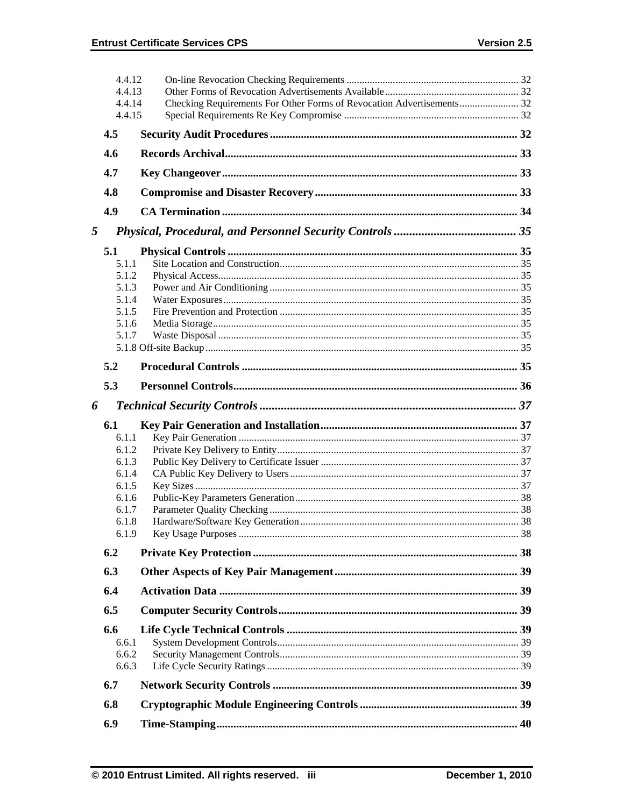|   | 4.4.12<br>4.4.13 |  |
|---|------------------|--|
|   | 4.4.14           |  |
|   | 4.4.15           |  |
|   | 4.5              |  |
|   | 4.6              |  |
|   | 4.7              |  |
|   | 4.8              |  |
|   | 4.9              |  |
| 5 |                  |  |
|   | 5.1              |  |
|   | 5.1.1            |  |
|   | 5.1.2            |  |
|   | 5.1.3            |  |
|   | 5.1.4            |  |
|   | 5.1.5            |  |
|   | 5.1.6            |  |
|   | 5.1.7            |  |
|   |                  |  |
|   | 5.2              |  |
|   | 5.3              |  |
|   |                  |  |
| 6 |                  |  |
|   | 6.1              |  |
|   | 6.1.1            |  |
|   | 6.1.2            |  |
|   | 6.1.3            |  |
|   | 6.1.4            |  |
|   | 6.1.5            |  |
|   | 6.1.6            |  |
|   | 6.1.7            |  |
|   | 6.1.8            |  |
|   | 6.1.9            |  |
|   | 6.2              |  |
|   | 6.3              |  |
|   | 6.4              |  |
|   | 6.5              |  |
|   | 6.6              |  |
|   | 6.6.1            |  |
|   | 6.6.2            |  |
|   | 6.6.3            |  |
|   | 6.7              |  |
|   | 6.8              |  |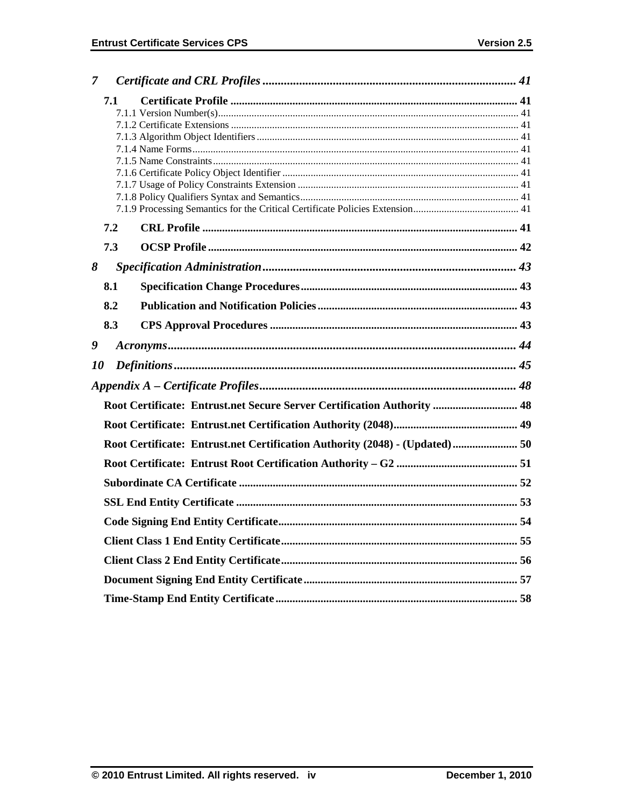| $\overline{7}$ |     |                                                                              |  |  |  |  |
|----------------|-----|------------------------------------------------------------------------------|--|--|--|--|
|                | 7.1 |                                                                              |  |  |  |  |
|                |     |                                                                              |  |  |  |  |
|                |     |                                                                              |  |  |  |  |
|                |     |                                                                              |  |  |  |  |
|                |     |                                                                              |  |  |  |  |
|                |     |                                                                              |  |  |  |  |
|                |     |                                                                              |  |  |  |  |
|                |     |                                                                              |  |  |  |  |
|                |     |                                                                              |  |  |  |  |
|                | 7.2 |                                                                              |  |  |  |  |
|                | 7.3 |                                                                              |  |  |  |  |
| 8              |     |                                                                              |  |  |  |  |
|                | 8.1 |                                                                              |  |  |  |  |
|                | 8.2 |                                                                              |  |  |  |  |
|                | 8.3 |                                                                              |  |  |  |  |
| 9              |     |                                                                              |  |  |  |  |
| <i>10</i>      |     |                                                                              |  |  |  |  |
|                |     |                                                                              |  |  |  |  |
|                |     | Root Certificate: Entrust.net Secure Server Certification Authority  48      |  |  |  |  |
|                |     |                                                                              |  |  |  |  |
|                |     | Root Certificate: Entrust.net Certification Authority (2048) - (Updated)  50 |  |  |  |  |
|                |     |                                                                              |  |  |  |  |
|                |     |                                                                              |  |  |  |  |
|                |     |                                                                              |  |  |  |  |
|                |     |                                                                              |  |  |  |  |
|                |     |                                                                              |  |  |  |  |
|                |     |                                                                              |  |  |  |  |
|                |     |                                                                              |  |  |  |  |
|                |     |                                                                              |  |  |  |  |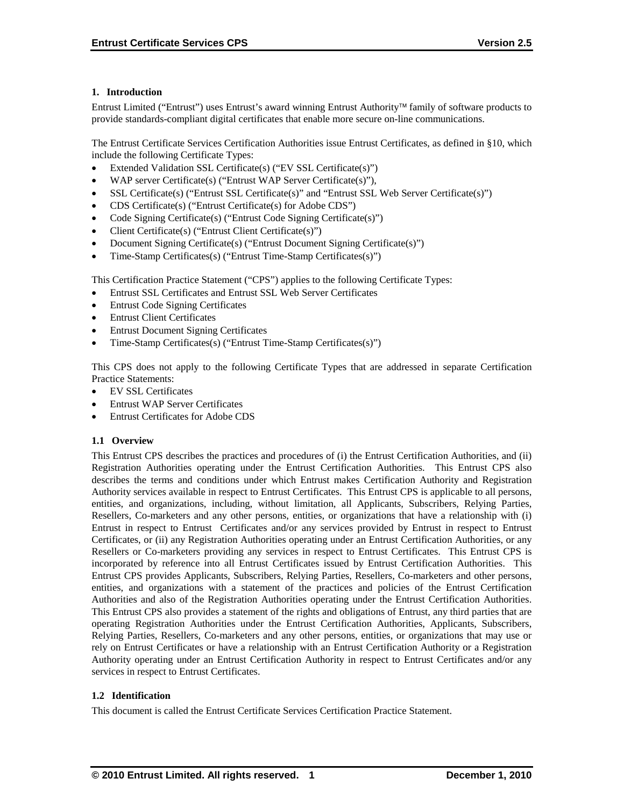# **1. Introduction**

Entrust Limited ("Entrust") uses Entrust's award winning Entrust Authority family of software products to provide standards-compliant digital certificates that enable more secure on-line communications.

The Entrust Certificate Services Certification Authorities issue Entrust Certificates, as defined in §10, which include the following Certificate Types:

- Extended Validation SSL Certificate(s) ("EV SSL Certificate(s)")
- WAP server Certificate(s) ("Entrust WAP Server Certificate(s)"),
- SSL Certificate(s) ("Entrust SSL Certificate(s)" and "Entrust SSL Web Server Certificate(s)")
- CDS Certificate(s) ("Entrust Certificate(s) for Adobe CDS")
- Code Signing Certificate(s) ("Entrust Code Signing Certificate(s)")
- Client Certificate(s) ("Entrust Client Certificate(s)")
- Document Signing Certificate(s) ("Entrust Document Signing Certificate(s)")
- Time-Stamp Certificates(s) ("Entrust Time-Stamp Certificates(s)")

This Certification Practice Statement ("CPS") applies to the following Certificate Types:

- Entrust SSL Certificates and Entrust SSL Web Server Certificates
- Entrust Code Signing Certificates
- Entrust Client Certificates
- Entrust Document Signing Certificates
- Time-Stamp Certificates(s) ("Entrust Time-Stamp Certificates(s)")

This CPS does not apply to the following Certificate Types that are addressed in separate Certification Practice Statements:

- EV SSL Certificates
- Entrust WAP Server Certificates
- Entrust Certificates for Adobe CDS

#### **1.1 Overview**

This Entrust CPS describes the practices and procedures of (i) the Entrust Certification Authorities, and (ii) Registration Authorities operating under the Entrust Certification Authorities. This Entrust CPS also describes the terms and conditions under which Entrust makes Certification Authority and Registration Authority services available in respect to Entrust Certificates. This Entrust CPS is applicable to all persons, entities, and organizations, including, without limitation, all Applicants, Subscribers, Relying Parties, Resellers, Co-marketers and any other persons, entities, or organizations that have a relationship with (i) Entrust in respect to Entrust Certificates and/or any services provided by Entrust in respect to Entrust Certificates, or (ii) any Registration Authorities operating under an Entrust Certification Authorities, or any Resellers or Co-marketers providing any services in respect to Entrust Certificates. This Entrust CPS is incorporated by reference into all Entrust Certificates issued by Entrust Certification Authorities. This Entrust CPS provides Applicants, Subscribers, Relying Parties, Resellers, Co-marketers and other persons, entities, and organizations with a statement of the practices and policies of the Entrust Certification Authorities and also of the Registration Authorities operating under the Entrust Certification Authorities. This Entrust CPS also provides a statement of the rights and obligations of Entrust, any third parties that are operating Registration Authorities under the Entrust Certification Authorities, Applicants, Subscribers, Relying Parties, Resellers, Co-marketers and any other persons, entities, or organizations that may use or rely on Entrust Certificates or have a relationship with an Entrust Certification Authority or a Registration Authority operating under an Entrust Certification Authority in respect to Entrust Certificates and/or any services in respect to Entrust Certificates .

#### **1.2 Identification**

This document is called the Entrust Certificate Services Certification Practice Statement.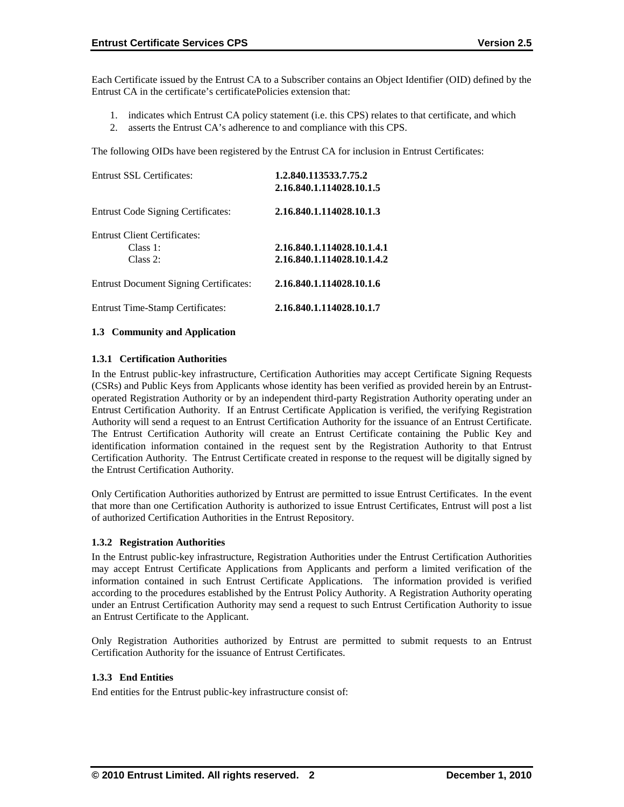Each Certificate issued by the Entrust CA to a Subscriber contains an Object Identifier (OID) defined by the Entrust CA in the certificate's certificatePolicies extension that:

- 1. indicates which Entrust CA policy statement (i.e. this CPS) relates to that certificate, and which
- 2. asserts the Entrust CA's adherence to and compliance with this CPS.

The following OIDs have been registered by the Entrust CA for inclusion in Entrust Certificates:

| <b>Entrust SSL Certificates:</b>              | 1.2.840.113533.7.75.2<br>2.16.840.1.114028.10.1.5        |
|-----------------------------------------------|----------------------------------------------------------|
| <b>Entrust Code Signing Certificates:</b>     | 2.16.840.1.114028.10.1.3                                 |
| <b>Entrust Client Certificates:</b>           |                                                          |
| Class 1:<br>Class 2:                          | 2.16.840.1.114028.10.1.4.1<br>2.16.840.1.114028.10.1.4.2 |
| <b>Entrust Document Signing Certificates:</b> | 2.16.840.1.114028.10.1.6                                 |
| <b>Entrust Time-Stamp Certificates:</b>       | 2.16.840.1.114028.10.1.7                                 |

#### **1.3 Community and Application**

### **1.3.1 Certification Authorities**

In the Entrust public-key infrastructure, Certification Authorities may accept Certificate Signing Requests (CSRs) and Public Keys from Applicants whose identity has been verified as provided herein by an Entrustoperated Registration Authority or by an independent third-party Registration Authority operating under an Entrust Certification Authority. If an Entrust Certificate Application is verified, the verifying Registration Authority will send a request to an Entrust Certification Authority for the issuance of an Entrust Certificate. The Entrust Certification Authority will create an Entrust Certificate containing the Public Key and identification information contained in the request sent by the Registration Authority to that Entrust Certification Authority. The Entrust Certificate created in response to the request will be digitally signed by the Entrust Certification Authority.

Only Certification Authorities authorized by Entrust are permitted to issue Entrust Certificates. In the event that more than one Certification Authority is authorized to issue Entrust Certificates, Entrust will post a list of authorized Certification Authorities in the Entrust Repository.

#### **1.3.2 Registration Authorities**

In the Entrust public-key infrastructure, Registration Authorities under the Entrust Certification Authorities may accept Entrust Certificate Applications from Applicants and perform a limited verification of the information contained in such Entrust Certificate Applications. The information provided is verified according to the procedures established by the Entrust Policy Authority. A Registration Authority operating under an Entrust Certification Authority may send a request to such Entrust Certification Authority to issue an Entrust Certificate to the Applicant.

Only Registration Authorities authorized by Entrust are permitted to submit requests to an Entrust Certification Authority for the issuance of Entrust Certificates.

# **1.3.3 End Entities**

End entities for the Entrust public-key infrastructure consist of: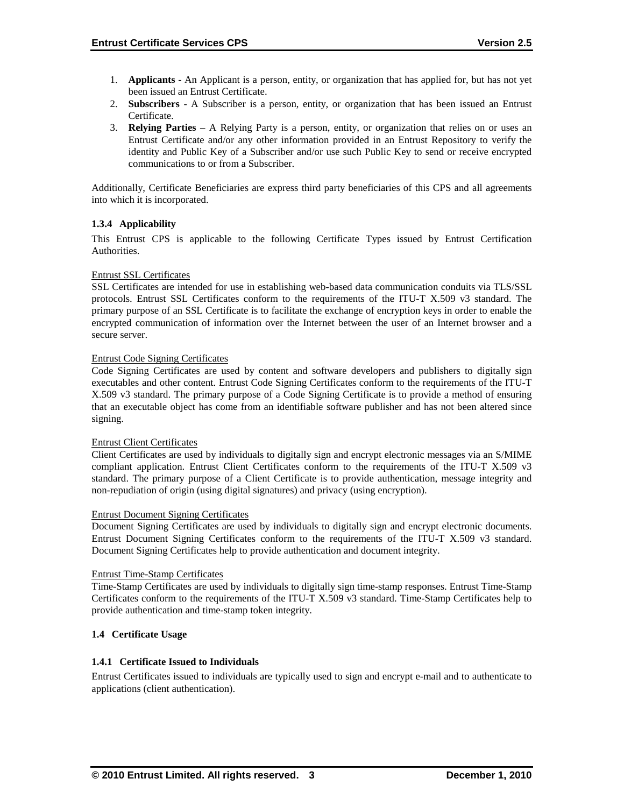- 1. **Applicants** An Applicant is a person, entity, or organization that has applied for, but has not yet been issued an Entrust Certificate.
- 2. **Subscribers**  A Subscriber is a person, entity, or organization that has been issued an Entrust Certificate.
- 3. **Relying Parties**  A Relying Party is a person, entity, or organization that relies on or uses an Entrust Certificate and/or any other information provided in an Entrust Repository to verify the identity and Public Key of a Subscriber and/or use such Public Key to send or receive encrypted communications to or from a Subscriber.

Additionally, Certificate Beneficiaries are express third party beneficiaries of this CPS and all agreements into which it is incorporated.

### **1.3.4 Applicability**

This Entrust CPS is applicable to the following Certificate Types issued by Entrust Certification Authorities.

#### Entrust SSL Certificates

SSL Certificates are intended for use in establishing web-based data communication conduits via TLS/SSL protocols. Entrust SSL Certificates conform to the requirements of the ITU-T X.509 v3 standard. The primary purpose of an SSL Certificate is to facilitate the exchange of encryption keys in order to enable the encrypted communication of information over the Internet between the user of an Internet browser and a secure server.

#### Entrust Code Signing Certificates

Code Signing Certificates are used by content and software developers and publishers to digitally sign executables and other content. Entrust Code Signing Certificates conform to the requirements of the ITU-T X.509 v3 standard. The primary purpose of a Code Signing Certificate is to provide a method of ensuring that an executable object has come from an identifiable software publisher and has not been altered since signing.

#### Entrust Client Certificates

Client Certificates are used by individuals to digitally sign and encrypt electronic messages via an S/MIME compliant application. Entrust Client Certificates conform to the requirements of the ITU-T X.509 v3 standard. The primary purpose of a Client Certificate is to provide authentication, message integrity and non-repudiation of origin (using digital signatures) and privacy (using encryption).

#### Entrust Document Signing Certificates

Document Signing Certificates are used by individuals to digitally sign and encrypt electronic documents. Entrust Document Signing Certificates conform to the requirements of the ITU-T X.509 v3 standard. Document Signing Certificates help to provide authentication and document integrity.

#### Entrust Time-Stamp Certificates

Time-Stamp Certificates are used by individuals to digitally sign time-stamp responses. Entrust Time-Stamp Certificates conform to the requirements of the ITU-T X.509 v3 standard. Time-Stamp Certificates help to provide authentication and time-stamp token integrity.

#### **1.4 Certificate Usage**

#### **1.4.1 Certificate Issued to Individuals**

Entrust Certificates issued to individuals are typically used to sign and encrypt e-mail and to authenticate to applications (client authentication).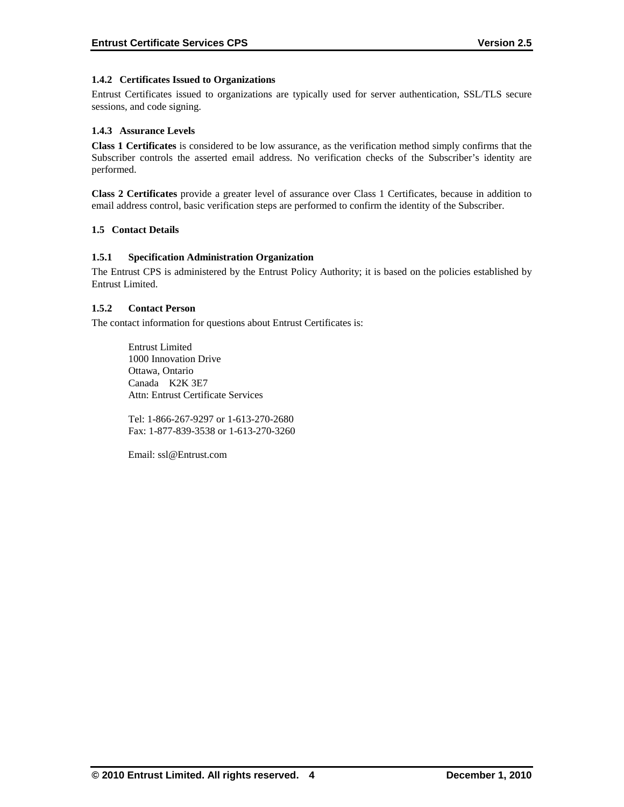# **1.4.2 Certificates Issued to Organizations**

Entrust Certificates issued to organizations are typically used for server authentication, SSL/TLS secure sessions, and code signing.

# **1.4.3 Assurance Levels**

**Class 1 Certificates** is considered to be low assurance, as the verification method simply confirms that the Subscriber controls the asserted email address. No verification checks of the Subscriber's identity are performed.

**Class 2 Certificates** provide a greater level of assurance over Class 1 Certificates, because in addition to email address control, basic verification steps are performed to confirm the identity of the Subscriber.

### **1.5 Contact Details**

### **1.5.1 Specification Administration Organization**

The Entrust CPS is administered by the Entrust Policy Authority; it is based on the policies established by Entrust Limited .

### **1.5.2 Contact Person**

The contact information for questions about Entrust Certificates is:

Entrust Limited 1000 Innovation Drive Ottawa, Ontario Canada K2K 3E7 Attn: Entrust Certificate Services

Tel: 1-866-267-9297 or 1-613-270-2680 Fax: 1-877-839-3538 or 1-613-270-3260

Email: ssl@Entrust.com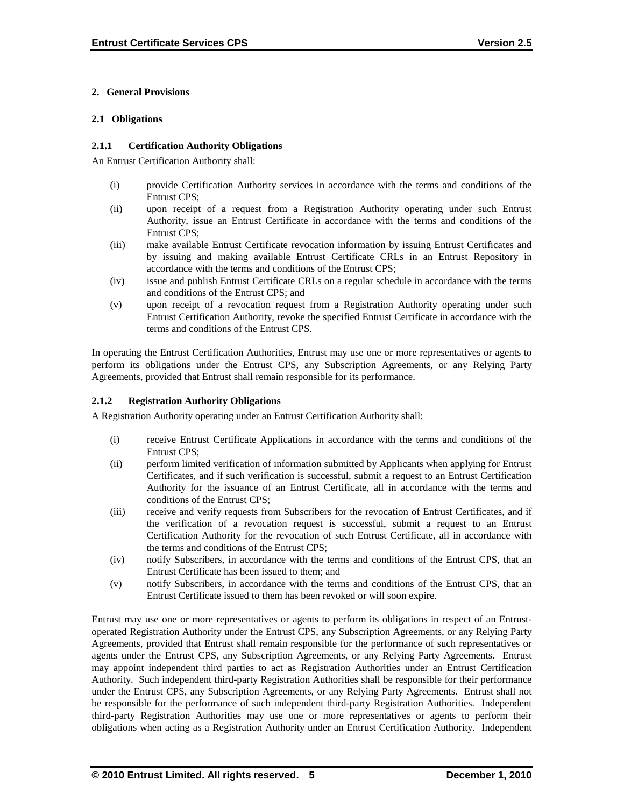# **2. General Provisions**

#### **2.1 Obligations**

#### **2.1.1 Certification Authority Obligations**

An Entrust Certification Authority shall:

- (i) provide Certification Authority services in accordance with the terms and conditions of the Entrust CPS;
- (ii) upon receipt of a request from a Registration Authority operating under such Entrust Authority, issue an Entrust Certificate in accordance with the terms and conditions of the Entrust CPS;
- (iii) make available Entrust Certificate revocation information by issuing Entrust Certificates and by issuing and making available Entrust Certificate CRLs in an Entrust Repository in accordance with the terms and conditions of the Entrust CPS;
- (iv) issue and publish Entrust Certificate CRLs on a regular schedule in accordance with the terms and conditions of the Entrust CPS; and
- (v) upon receipt of a revocation request from a Registration Authority operating under such Entrust Certification Authority, revoke the specified Entrust Certificate in accordance with the terms and conditions of the Entrust CPS.

In operating the Entrust Certification Authorities, Entrust may use one or more representatives or agents to perform its obligations under the Entrust CPS, any Subscription Agreements, or any Relying Party Agreements, provided that Entrust shall remain responsible for its performance.

# **2.1.2 Registration Authority Obligations**

A Registration Authority operating under an Entrust Certification Authority shall:

- (i) receive Entrust Certificate Applications in accordance with the terms and conditions of the Entrust CPS;
- (ii) perform limited verification of information submitted by Applicants when applying for Entrust Certificates, and if such verification is successful, submit a request to an Entrust Certification Authority for the issuance of an Entrust Certificate, all in accordance with the terms and conditions of the Entrust CPS;
- (iii) receive and verify requests from Subscribers for the revocation of Entrust Certificates, and if the verification of a revocation request is successful, submit a request to an Entrust Certification Authority for the revocation of such Entrust Certificate, all in accordance with the terms and conditions of the Entrust CPS;
- (iv) notify Subscribers, in accordance with the terms and conditions of the Entrust CPS, that an Entrust Certificate has been issued to them; and
- (v) notify Subscribers, in accordance with the terms and conditions of the Entrust CPS, that an Entrust Certificate issued to them has been revoked or will soon expire.

Entrust may use one or more representatives or agents to perform its obligations in respect of an Entrustoperated Registration Authority under the Entrust CPS, any Subscription Agreements, or any Relying Party Agreements, provided that Entrust shall remain responsible for the performance of such representatives or agents under the Entrust CPS, any Subscription Agreements, or any Relying Party Agreements. Entrust may appoint independent third parties to act as Registration Authorities under an Entrust Certification Authority. Such independent third-party Registration Authorities shall be responsible for their performance under the Entrust CPS, any Subscription Agreements, or any Relying Party Agreements. Entrust shall not be responsible for the performance of such independent third-party Registration Authorities. Independent third-party Registration Authorities may use one or more representatives or agents to perform their obligations when acting as a Registration Authority under an Entrust Certification Authority. Independent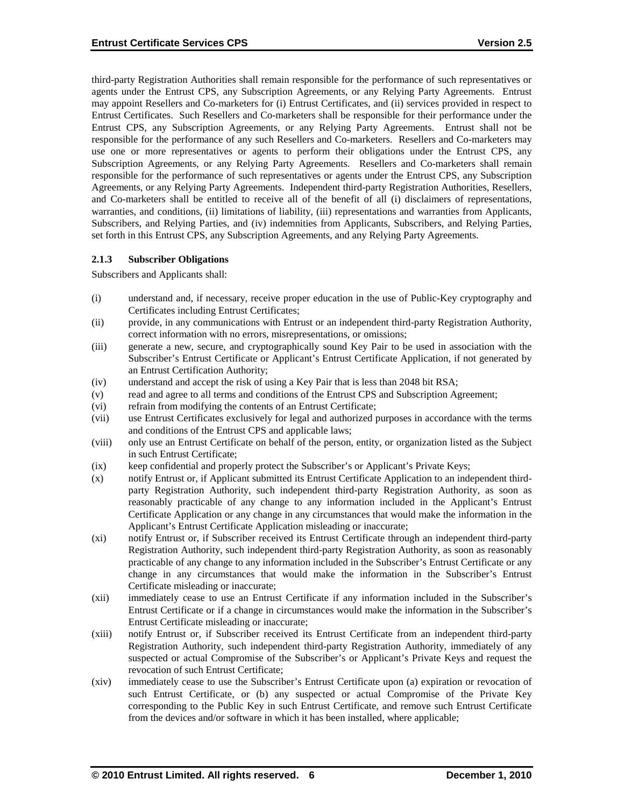third-party Registration Authorities shall remain responsible for the performance of such representatives or agents under the Entrust CPS, any Subscription Agreements, or any Relying Party Agreements. Entrust may appoint Resellers and Co-marketers for (i) Entrust Certificates, and (ii) services provided in respect to Entrust Certificates. Such Resellers and Co-marketers shall be responsible for their performance under the Entrust CPS, any Subscription Agreements, or any Relying Party Agreements. Entrust shall not be responsible for the performance of any such Resellers and Co-marketers. Resellers and Co-marketers may use one or more representatives or agents to perform their obligations under the Entrust CPS, any Subscription Agreements, or any Relying Party Agreements. Resellers and Co-marketers shall remain responsible for the performance of such representatives or agents under the Entrust CPS, any Subscription Agreements, or any Relying Party Agreements. Independent third-party Registration Authorities, Resellers, and Co-marketers shall be entitled to receive all of the benefit of all (i) disclaimers of representations, warranties, and conditions, (ii) limitations of liability, (iii) representations and warranties from Applicants, Subscribers, and Relying Parties, and (iv) indemnities from Applicants, Subscribers, and Relying Parties, set forth in this Entrust CPS, any Subscription Agreements, and any Relying Party Agreements.

#### **2.1.3 Subscriber Obligations**

Subscribers and Applicants shall:

- (i) understand and, if necessary, receive proper education in the use of Public-Key cryptography and Certificates including Entrust Certificates;
- (ii) provide, in any communications with Entrust or an independent third-party Registration Authority, correct information with no errors, misrepresentations, or omissions;
- (iii) generate a new, secure, and cryptographically sound Key Pair to be used in association with the Subscriber's Entrust Certificate or Applicant's Entrust Certificate Application, if not generated by an Entrust Certification Authority;
- (iv) understand and accept the risk of using a Key Pair that is less than 2048 bit RSA;
- (v) read and agree to all terms and conditions of the Entrust CPS and Subscription Agreement;
- (vi) refrain from modifying the contents of an Entrust Certificate;
- (vii) use Entrust Certificates exclusively for legal and authorized purposes in accordance with the terms and conditions of the Entrust CPS and applicable laws;
- (viii) only use an Entrust Certificate on behalf of the person, entity, or organization listed as the Subject in such Entrust Certificate;
- (ix) keep confidential and properly protect the Subscriber's or Applicant's Private Keys;
- (x) notify Entrust or, if Applicant submitted its Entrust Certificate Application to an independent thirdparty Registration Authority, such independent third-party Registration Authority, as soon as reasonably practicable of any change to any information included in the Applicant's Entrust Certificate Application or any change in any circumstances that would make the information in the Applicant's Entrust Certificate Application misleading or inaccurate;
- (xi) notify Entrust or, if Subscriber received its Entrust Certificate through an independent third-party Registration Authority, such independent third-party Registration Authority, as soon as reasonably practicable of any change to any information included in the Subscriber's Entrust Certificate or any change in any circumstances that would make the information in the Subscriber's Entrust Certificate misleading or inaccurate;
- (xii) immediately cease to use an Entrust Certificate if any information included in the Subscriber's Entrust Certificate or if a change in circumstances would make the information in the Subscriber's Entrust Certificate misleading or inaccurate;
- (xiii) notify Entrust or, if Subscriber received its Entrust Certificate from an independent third-party Registration Authority, such independent third-party Registration Authority, immediately of any suspected or actual Compromise of the Subscriber's or Applicant's Private Keys and request the revocation of such Entrust Certificate;
- (xiv) immediately cease to use the Subscriber's Entrust Certificate upon (a) expiration or revocation of such Entrust Certificate, or (b) any suspected or actual Compromise of the Private Key corresponding to the Public Key in such Entrust Certificate, and remove such Entrust Certificate from the devices and/or software in which it has been installed, where applicable;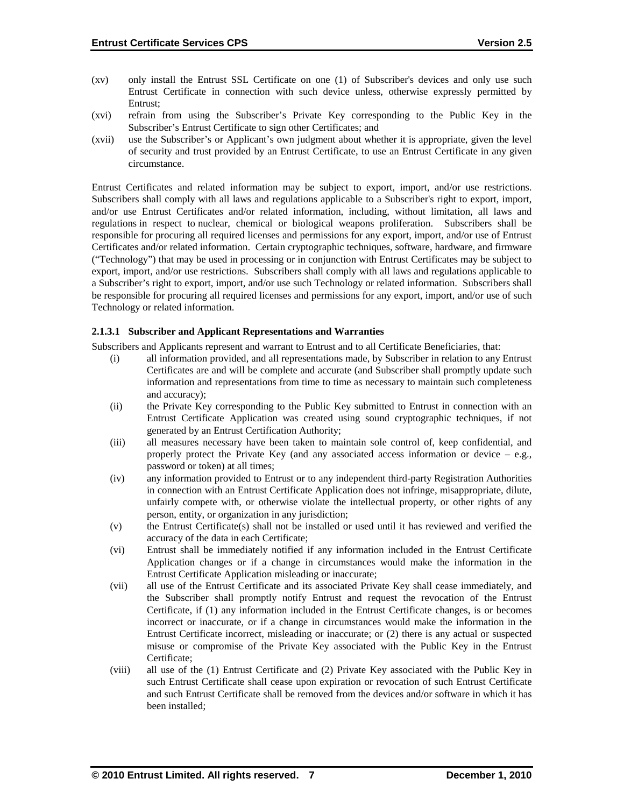- (xv) only install the Entrust SSL Certificate on one (1) of Subscriber's devices and only use such Entrust Certificate in connection with such device unless, otherwise expressly permitted by Entrust;
- (xvi) refrain from using the Subscriber's Private Key corresponding to the Public Key in the Subscriber's Entrust Certificate to sign other Certificates; and
- (xvii) use the Subscriber's or Applicant's own judgment about whether it is appropriate, given the level of security and trust provided by an Entrust Certificate, to use an Entrust Certificate in any given circumstance.

Entrust Certificates and related information may be subject to export, import, and/or use restrictions. Subscribers shall comply with all laws and regulations applicable to a Subscriber's right to export, import, and/or use Entrust Certificates and/or related information, including, without limitation, all laws and regulations in respect to nuclear, chemical or biological weapons proliferation. Subscribers shall be responsible for procuring all required licenses and permissions for any export, import, and/or use of Entrust Certificates and/or related information. Certain cryptographic techniques, software, hardware, and firmware ("Technology") that may be used in processing or in conjunction with Entrust Certificates may be subject to export, import, and/or use restrictions. Subscribers shall comply with all laws and regulations applicable to a Subscriber's right to export, import, and/or use such Technology or related information. Subscribers shall be responsible for procuring all required licenses and permissions for any export, import, and/or use of such Technology or related information.

#### **2.1.3.1 Subscriber and Applicant Representations and Warranties**

Subscribers and Applicants represent and warrant to Entrust and to all Certificate Beneficiaries, that:

- (i) all information provided, and all representations made, by Subscriber in relation to any Entrust Certificates are and will be complete and accurate (and Subscriber shall promptly update such information and representations from time to time as necessary to maintain such completeness and accuracy);
- (ii) the Private Key corresponding to the Public Key submitted to Entrust in connection with an Entrust Certificate Application was created using sound cryptographic techniques, if not generated by an Entrust Certification Authority;
- (iii) all measures necessary have been taken to maintain sole control of, keep confidential, and properly protect the Private Key (and any associated access information or device  $-$  e.g., password or token) at all times;
- (iv) any information provided to Entrust or to any independent third-party Registration Authorities in connection with an Entrust Certificate Application does not infringe, misappropriate, dilute, unfairly compete with, or otherwise violate the intellectual property, or other rights of any person, entity, or organization in any jurisdiction;
- (v) the Entrust Certificate(s) shall not be installed or used until it has reviewed and verified the accuracy of the data in each Certificate;
- (vi) Entrust shall be immediately notified if any information included in the Entrust Certificate Application changes or if a change in circumstances would make the information in the Entrust Certificate Application misleading or inaccurate;
- (vii) all use of the Entrust Certificate and its associated Private Key shall cease immediately, and the Subscriber shall promptly notify Entrust and request the revocation of the Entrust Certificate, if (1) any information included in the Entrust Certificate changes, is or becomes incorrect or inaccurate, or if a change in circumstances would make the information in the Entrust Certificate incorrect, misleading or inaccurate; or (2) there is any actual or suspected misuse or compromise of the Private Key associated with the Public Key in the Entrust Certificate;
- (viii) all use of the (1) Entrust Certificate and (2) Private Key associated with the Public Key in such Entrust Certificate shall cease upon expiration or revocation of such Entrust Certificate and such Entrust Certificate shall be removed from the devices and/or software in which it has been installed;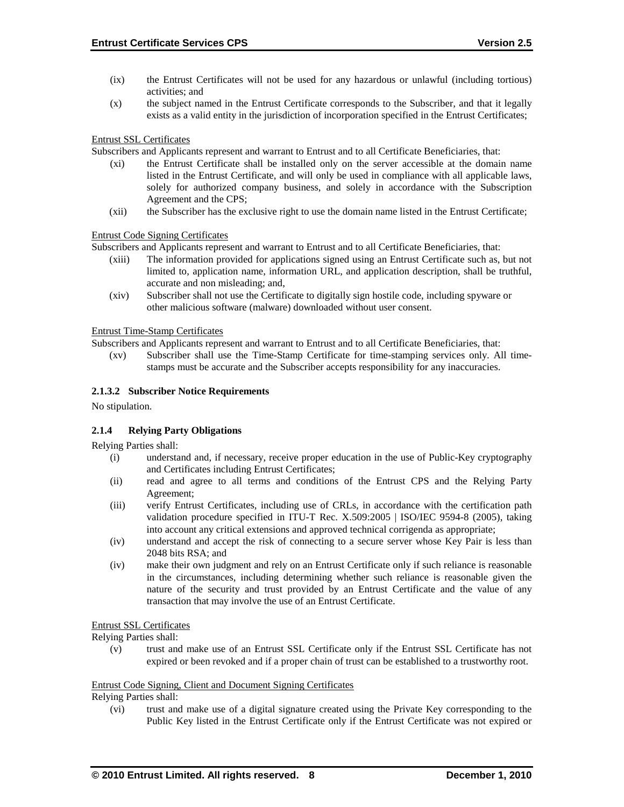- (ix) the Entrust Certificates will not be used for any hazardous or unlawful (including tortious) activities; and
- (x) the subject named in the Entrust Certificate corresponds to the Subscriber, and that it legally exists as a valid entity in the jurisdiction of incorporation specified in the Entrust Certificates;

Entrust SSL Certificates

Subscribers and Applicants represent and warrant to Entrust and to all Certificate Beneficiaries, that:

- (xi) the Entrust Certificate shall be installed only on the server accessible at the domain name listed in the Entrust Certificate, and will only be used in compliance with all applicable laws, solely for authorized company business, and solely in accordance with the Subscription Agreement and the CPS;
- (xii) the Subscriber has the exclusive right to use the domain name listed in the Entrust Certificate;

Entrust Code Signing Certificates

Subscribers and Applicants represent and warrant to Entrust and to all Certificate Beneficiaries, that:

- (xiii) The information provided for applications signed using an Entrust Certificate such as, but not limited to, application name, information URL, and application description, shall be truthful, accurate and non misleading; and,
- (xiv) Subscriber shall not use the Certificate to digitally sign hostile code, including spyware or other malicious software (malware) downloaded without user consent.

Entrust Time-Stamp Certificates

Subscribers and Applicants represent and warrant to Entrust and to all Certificate Beneficiaries, that:

(xv) Subscriber shall use the Time-Stamp Certificate for time-stamping services only. All timestamps must be accurate and the Subscriber accepts responsibility for any inaccuracies.

### **2.1.3.2 Subscriber Notice Requirements**

No stipulation.

# **2.1.4 Relying Party Obligations**

Relying Parties shall:

- (i) understand and, if necessary, receive proper education in the use of Public-Key cryptography and Certificates including Entrust Certificates;
- (ii) read and agree to all terms and conditions of the Entrust CPS and the Relying Party Agreement;
- (iii) verify Entrust Certificates, including use of CRLs, in accordance with the certification path validation procedure specified in ITU-T Rec. X.509:2005 | ISO/IEC 9594-8 (2005), taking into account any critical extensions and approved technical corrigenda as appropriate;
- (iv) understand and accept the risk of connecting to a secure server whose Key Pair is less than 2048 bits RSA; and
- (iv) make their own judgment and rely on an Entrust Certificate only if such reliance is reasonable in the circumstances, including determining whether such reliance is reasonable given the nature of the security and trust provided by an Entrust Certificate and the value of any transaction that may involve the use of an Entrust Certificate.

#### Entrust SSL Certificates

Relying Parties shall:

(v) trust and make use of an Entrust SSL Certificate only if the Entrust SSL Certificate has not expired or been revoked and if a proper chain of trust can be established to a trustworthy root.

#### Entrust Code Signing, Client and Document Signing Certificates

Relying Parties shall:

(vi) trust and make use of a digital signature created using the Private Key corresponding to the Public Key listed in the Entrust Certificate only if the Entrust Certificate was not expired or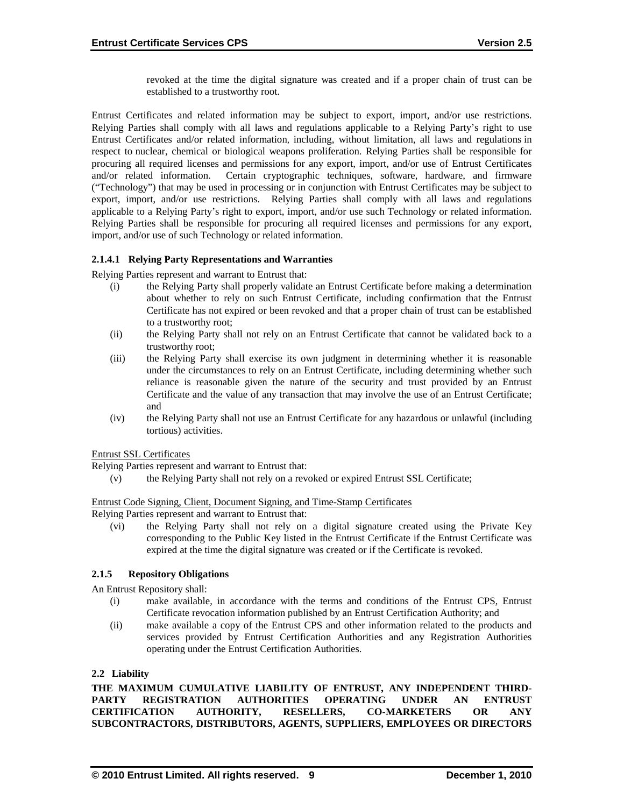revoked at the time the digital signature was created and if a proper chain of trust can be established to a trustworthy root.

Entrust Certificates and related information may be subject to export, import, and/or use restrictions. Relying Parties shall comply with all laws and regulations applicable to a Relying Party's right to use Entrust Certificates and/or related information, including, without limitation, all laws and regulations in respect to nuclear, chemical or biological weapons proliferation. Relying Parties shall be responsible for procuring all required licenses and permissions for any export, import, and/or use of Entrust Certificates and/or related information. Certain cryptographic techniques, software, hardware, and firmware ("Technology") that may be used in processing or in conjunction with Entrust Certificates may be subject to export, import, and/or use restrictions. Relying Parties shall comply with all laws and regulations applicable to a Relying Party's right to export, import, and/or use such Technology or related information. Relying Parties shall be responsible for procuring all required licenses and permissions for any export, import, and/or use of such Technology or related information.

### **2.1.4.1 Relying Party Representations and Warranties**

Relying Parties represent and warrant to Entrust that:

- (i) the Relying Party shall properly validate an Entrust Certificate before making a determination about whether to rely on such Entrust Certificate, including confirmation that the Entrust Certificate has not expired or been revoked and that a proper chain of trust can be established to a trustworthy root;
- (ii) the Relying Party shall not rely on an Entrust Certificate that cannot be validated back to a trustworthy root;
- (iii) the Relying Party shall exercise its own judgment in determining whether it is reasonable under the circumstances to rely on an Entrust Certificate, including determining whether such reliance is reasonable given the nature of the security and trust provided by an Entrust Certificate and the value of any transaction that may involve the use of an Entrust Certificate; and
- (iv) the Relying Party shall not use an Entrust Certificate for any hazardous or unlawful (including tortious) activities.

Entrust SSL Certificates

Relying Parties represent and warrant to Entrust that:

(v) the Relying Party shall not rely on a revoked or expired Entrust SSL Certificate;

Entrust Code Signing, Client, Document Signing, and Time-Stamp Certificates

Relying Parties represent and warrant to Entrust that:

(vi) the Relying Party shall not rely on a digital signature created using the Private Key corresponding to the Public Key listed in the Entrust Certificate if the Entrust Certificate was expired at the time the digital signature was created or if the Certificate is revoked.

# **2.1.5 Repository Obligations**

An Entrust Repository shall:

- (i) make available, in accordance with the terms and conditions of the Entrust CPS, Entrust Certificate revocation information published by an Entrust Certification Authority; and
- (ii) make available a copy of the Entrust CPS and other information related to the products and services provided by Entrust Certification Authorities and any Registration Authorities operating under the Entrust Certification Authorities.

#### **2.2 Liability**

THE MAXIMUM CUMULATIVE LIABILITY OF ENTRUST, ANY INDEPENDENT THIRD-<br>PARTY REGISTRATION AUTHORITIES OPERATING UNDER AN ENTRUST **PARTY REGISTRATION AUTHORITIES OPERATING UNDER AN ENTRUST CERTIFICATION AUTHORITY, RESELLERS, CO-MARKETERS OR ANY SUBCONTRACTORS, DISTRIBUTORS, AGENTS, SUPPLIERS, EMPLOYEES OR DIRECTORS**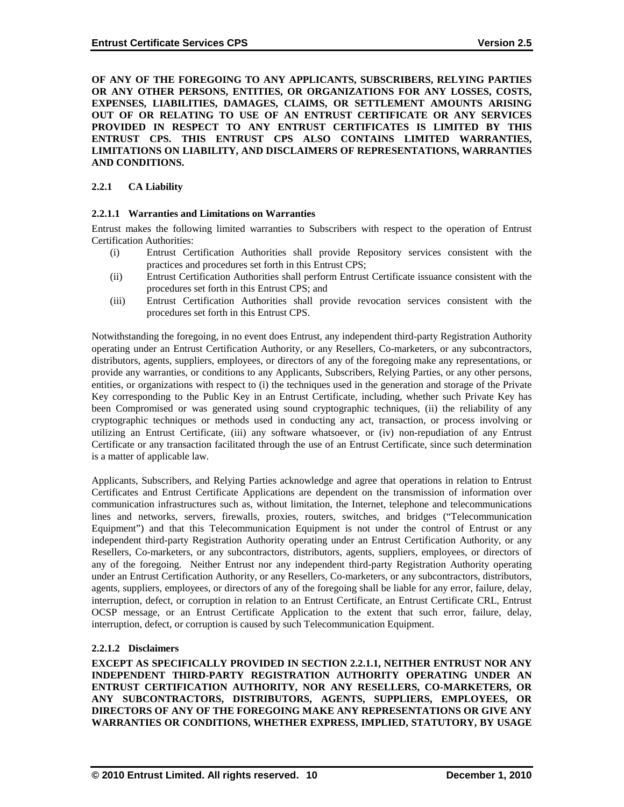**OF ANY OF THE FOREGOING TO ANY APPLICANTS, SUBSCRIBERS, RELYING PARTIES OR ANY OTHER PERSONS, ENTITIES, OR ORGANIZATIONS FOR ANY LOSSES, COSTS, EXPENSES, LIABILITIES, DAMAGES, CLAIMS, OR SETTLEMENT AMOUNTS ARISING OUT OF OR RELATING TO USE OF AN ENTRUST CERTIFICATE OR ANY SERVICES PROVIDED IN RESPECT TO ANY ENTRUST CERTIFICATES IS LIMITED BY THIS ENTRUST CPS. THIS ENTRUST CPS ALSO CONTAINS LIMITED WARRANTIES, LIMITATIONS ON LIABILITY, AND DISCLAIMERS OF REPRESENTATIONS, WARRANTIES AND CONDITIONS.**

### **2.2.1 CA Liability**

#### **2.2.1.1 Warranties and Limitations on Warranties**

Entrust makes the following limited warranties to Subscribers with respect to the operation of Entrust Certification Authorities:

- (i) Entrust Certification Authorities shall provide Repository services consistent with the practices and procedures set forth in this Entrust CPS;
- (ii) Entrust Certification Authorities shall perform Entrust Certificate issuance consistent with the procedures set forth in this Entrust CPS; and
- (iii) Entrust Certification Authorities shall provide revocation services consistent with the procedures set forth in this Entrust CPS.

Notwithstanding the foregoing, in no event does Entrust, any independent third-party Registration Authority operating under an Entrust Certification Authority, or any Resellers, Co-marketers, or any subcontractors, distributors, agents, suppliers, employees, or directors of any of the foregoing make any representations, or provide any warranties, or conditions to any Applicants, Subscribers, Relying Parties, or any other persons, entities, or organizations with respect to (i) the techniques used in the generation and storage of the Private Key corresponding to the Public Key in an Entrust Certificate, including, whether such Private Key has been Compromised or was generated using sound cryptographic techniques, (ii) the reliability of any cryptographic techniques or methods used in conducting any act, transaction, or process involving or utilizing an Entrust Certificate, (iii) any software whatsoever, or (iv) non-repudiation of any Entrust Certificate or any transaction facilitated through the use of an Entrust Certificate, since such determination is a matter of applicable law.

Applicants, Subscribers, and Relying Parties acknowledge and agree that operations in relation to Entrust Certificates and Entrust Certificate Applications are dependent on the transmission of information over communication infrastructures such as, without limitation, the Internet, telephone and telecommunications lines and networks, servers, firewalls, proxies, routers, switches, and bridges ("Telecommunication Equipment") and that this Telecommunication Equipment is not under the control of Entrust or any independent third-party Registration Authority operating under an Entrust Certification Authority, or any Resellers, Co-marketers, or any subcontractors, distributors, agents, suppliers, employees, or directors of any of the foregoing. Neither Entrust nor any independent third-party Registration Authority operating under an Entrust Certification Authority, or any Resellers, Co-marketers, or any subcontractors, distributors, agents, suppliers, employees, or directors of any of the foregoing shall be liable for any error, failure, delay, interruption, defect, or corruption in relation to an Entrust Certificate, an Entrust Certificate CRL, Entrust OCSP message, or an Entrust Certificate Application to the extent that such error, failure, delay, interruption, defect, or corruption is caused by such Telecommunication Equipment.

#### **2.2.1.2 Disclaimers**

**EXCEPT AS SPECIFICALLY PROVIDED IN SECTION 2.2.1.1, NEITHER ENTRUST NOR ANY INDEPENDENT THIRD-PARTY REGISTRATION AUTHORITY OPERATING UNDER AN ENTRUST CERTIFICATION AUTHORITY, NOR ANY RESELLERS, CO-MARKETERS, OR ANY SUBCONTRACTORS, DISTRIBUTORS, AGENTS, SUPPLIERS, EMPLOYEES, OR DIRECTORS OF ANY OF THE FOREGOING MAKE ANY REPRESENTATIONS OR GIVE ANY WARRANTIES OR CONDITIONS, WHETHER EXPRESS, IMPLIED, STATUTORY, BY USAGE**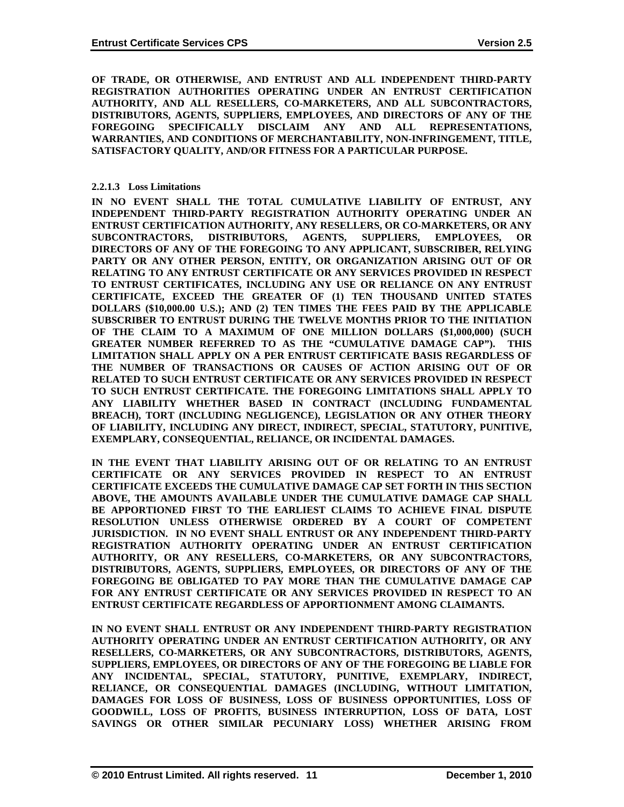**OF TRADE, OR OTHERWISE, AND ENTRUST AND ALL INDEPENDENT THIRD-PARTY REGISTRATION AUTHORITIES OPERATING UNDER AN ENTRUST CERTIFICATION AUTHORITY, AND ALL RESELLERS, CO-MARKETERS, AND ALL SUBCONTRACTORS, DISTRIBUTORS, AGENTS, SUPPLIERS, EMPLOYEES, AND DIRECTORS OF ANY OF THE FOREGOING SPECIFICALLY DISCLAIM ANY AND ALL REPRESENTATIONS, WARRANTIES, AND CONDITIONS OF MERCHANTABILITY, NON-INFRINGEMENT, TITLE, SATISFACTORY QUALITY, AND/OR FITNESS FOR A PARTICULAR PURPOSE.**

#### **2.2.1.3 Loss Limitations**

**IN NO EVENT SHALL THE TOTAL CUMULATIVE LIABILITY OF ENTRUST, ANY INDEPENDENT THIRD-PARTY REGISTRATION AUTHORITY OPERATING UNDER AN ENTRUST CERTIFICATION AUTHORITY, ANY RESELLERS, OR CO-MARKETERS, OR ANY SUBCONTRACTORS, DISTRIBUTORS, AGENTS, SUPPLIERS, EMPLOYEES, OR DIRECTORS OF ANY OF THE FOREGOING TO ANY APPLICANT, SUBSCRIBER, RELYING PARTY OR ANY OTHER PERSON, ENTITY, OR ORGANIZATION ARISING OUT OF OR RELATING TO ANY ENTRUST CERTIFICATE OR ANY SERVICES PROVIDED IN RESPECT TO ENTRUST CERTIFICATES, INCLUDING ANY USE OR RELIANCE ON ANY ENTRUST CERTIFICATE, EXCEED THE GREATER OF (1) TEN THOUSAND UNITED STATES DOLLARS (\$10,000.00 U.S.); AND (2) TEN TIMES THE FEES PAID BY THE APPLICABLE SUBSCRIBER TO ENTRUST DURING THE TWELVE MONTHS PRIOR TO THE INITIATION OF THE CLAIM TO A MAXIMUM OF ONE MILLION DOLLARS (\$1,000,000) (SUCH GREATER NUMBER REFERRED TO AS THE "CUMULATIVE DAMAGE CAP"). THIS LIMITATION SHALL APPLY ON A PER ENTRUST CERTIFICATE BASIS REGARDLESS OF THE NUMBER OF TRANSACTIONS OR CAUSES OF ACTION ARISING OUT OF OR RELATED TO SUCH ENTRUST CERTIFICATE OR ANY SERVICES PROVIDED IN RESPECT TO SUCH ENTRUST CERTIFICATE. THE FOREGOING LIMITATIONS SHALL APPLY TO ANY LIABILITY WHETHER BASED IN CONTRACT (INCLUDING FUNDAMENTAL BREACH), TORT (INCLUDING NEGLIGENCE), LEGISLATION OR ANY OTHER THEORY OF LIABILITY, INCLUDING ANY DIRECT, INDIRECT, SPECIAL, STATUTORY, PUNITIVE, EXEMPLARY, CONSEQUENTIAL, RELIANCE, OR INCIDENTAL DAMAGES.**

**IN THE EVENT THAT LIABILITY ARISING OUT OF OR RELATING TO AN ENTRUST CERTIFICATE OR ANY SERVICES PROVIDED IN RESPECT TO AN ENTRUST CERTIFICATE EXCEEDS THE CUMULATIVE DAMAGE CAP SET FORTH IN THIS SECTION ABOVE, THE AMOUNTS AVAILABLE UNDER THE CUMULATIVE DAMAGE CAP SHALL BE APPORTIONED FIRST TO THE EARLIEST CLAIMS TO ACHIEVE FINAL DISPUTE RESOLUTION UNLESS OTHERWISE ORDERED BY A COURT OF COMPETENT JURISDICTION. IN NO EVENT SHALL ENTRUST OR ANY INDEPENDENT THIRD-PARTY REGISTRATION AUTHORITY OPERATING UNDER AN ENTRUST CERTIFICATION AUTHORITY, OR ANY RESELLERS, CO-MARKETERS, OR ANY SUBCONTRACTORS, DISTRIBUTORS, AGENTS, SUPPLIERS, EMPLOYEES, OR DIRECTORS OF ANY OF THE FOREGOING BE OBLIGATED TO PAY MORE THAN THE CUMULATIVE DAMAGE CAP FOR ANY ENTRUST CERTIFICATE OR ANY SERVICES PROVIDED IN RESPECT TO AN ENTRUST CERTIFICATE REGARDLESS OF APPORTIONMENT AMONG CLAIMANTS.**

**IN NO EVENT SHALL ENTRUST OR ANY INDEPENDENT THIRD-PARTY REGISTRATION AUTHORITY OPERATING UNDER AN ENTRUST CERTIFICATION AUTHORITY, OR ANY RESELLERS, CO-MARKETERS, OR ANY SUBCONTRACTORS, DISTRIBUTORS, AGENTS, SUPPLIERS, EMPLOYEES, OR DIRECTORS OF ANY OF THE FOREGOING BE LIABLE FOR ANY INCIDENTAL, SPECIAL, STATUTORY, PUNITIVE, EXEMPLARY, INDIRECT, RELIANCE, OR CONSEQUENTIAL DAMAGES (INCLUDING, WITHOUT LIMITATION, DAMAGES FOR LOSS OF BUSINESS, LOSS OF BUSINESS OPPORTUNITIES, LOSS OF GOODWILL, LOSS OF PROFITS, BUSINESS INTERRUPTION, LOSS OF DATA, LOST SAVINGS OR OTHER SIMILAR PECUNIARY LOSS) WHETHER ARISING FROM**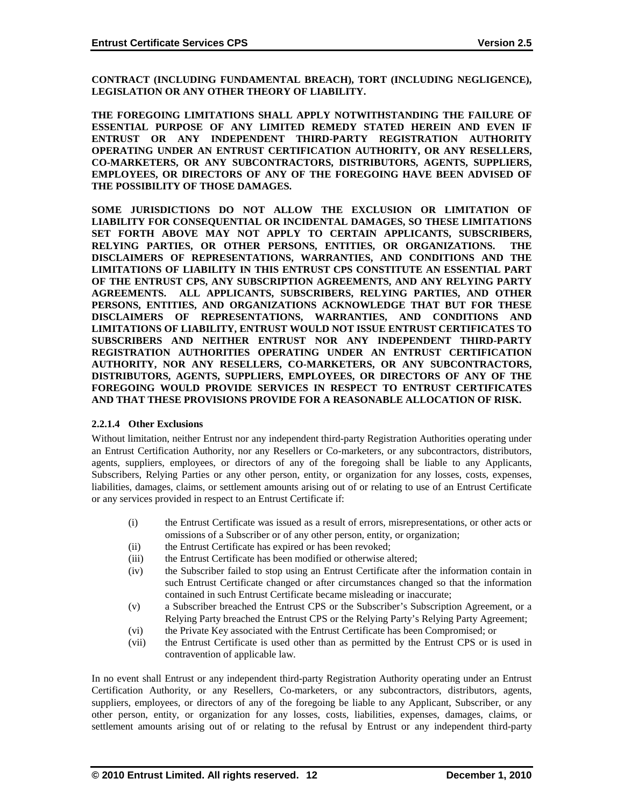**CONTRACT (INCLUDING FUNDAMENTAL BREACH), TORT (INCLUDING NEGLIGENCE), LEGISLATION OR ANY OTHER THEORY OF LIABILITY.** 

**THE FOREGOING LIMITATIONS SHALL APPLY NOTWITHSTANDING THE FAILURE OF ESSENTIAL PURPOSE OF ANY LIMITED REMEDY STATED HEREIN AND EVEN IF ENTRUST OR ANY INDEPENDENT THIRD-PARTY REGISTRATION AUTHORITY OPERATING UNDER AN ENTRUST CERTIFICATION AUTHORITY, OR ANY RESELLERS, CO-MARKETERS, OR ANY SUBCONTRACTORS, DISTRIBUTORS, AGENTS, SUPPLIERS, EMPLOYEES, OR DIRECTORS OF ANY OF THE FOREGOING HAVE BEEN ADVISED OF THE POSSIBILITY OF THOSE DAMAGES.**

**SOME JURISDICTIONS DO NOT ALLOW THE EXCLUSION OR LIMITATION OF LIABILITY FOR CONSEQUENTIAL OR INCIDENTAL DAMAGES, SO THESE LIMITATIONS SET FORTH ABOVE MAY NOT APPLY TO CERTAIN APPLICANTS, SUBSCRIBERS, RELYING PARTIES, OR OTHER PERSONS, ENTITIES, OR ORGANIZATIONS. THE DISCLAIMERS OF REPRESENTATIONS, WARRANTIES, AND CONDITIONS AND THE LIMITATIONS OF LIABILITY IN THIS ENTRUST CPS CONSTITUTE AN ESSENTIAL PART OF THE ENTRUST CPS, ANY SUBSCRIPTION AGREEMENTS, AND ANY RELYING PARTY AGREEMENTS. ALL APPLICANTS, SUBSCRIBERS, RELYING PARTIES, AND OTHER PERSONS, ENTITIES, AND ORGANIZATIONS ACKNOWLEDGE THAT BUT FOR THESE DISCLAIMERS OF REPRESENTATIONS, WARRANTIES, AND CONDITIONS AND LIMITATIONS OF LIABILITY, ENTRUST WOULD NOT ISSUE ENTRUST CERTIFICATES TO SUBSCRIBERS AND NEITHER ENTRUST NOR ANY INDEPENDENT THIRD-PARTY REGISTRATION AUTHORITIES OPERATING UNDER AN ENTRUST CERTIFICATION AUTHORITY, NOR ANY RESELLERS, CO-MARKETERS, OR ANY SUBCONTRACTORS, DISTRIBUTORS, AGENTS, SUPPLIERS, EMPLOYEES, OR DIRECTORS OF ANY OF THE FOREGOING WOULD PROVIDE SERVICES IN RESPECT TO ENTRUST CERTIFICATES AND THAT THESE PROVISIONS PROVIDE FOR A REASONABLE ALLOCATION OF RISK.**

#### **2.2.1.4 Other Exclusions**

Without limitation, neither Entrust nor any independent third-party Registration Authorities operating under an Entrust Certification Authority, nor any Resellers or Co-marketers, or any subcontractors, distributors, agents, suppliers, employees, or directors of any of the foregoing shall be liable to any Applicants, Subscribers, Relying Parties or any other person, entity, or organization for any losses, costs, expenses, liabilities, damages, claims, or settlement amounts arising out of or relating to use of an Entrust Certificate or any services provided in respect to an Entrust Certificate if:

- (i) the Entrust Certificate was issued as a result of errors, misrepresentations, or other acts or omissions of a Subscriber or of any other person, entity, or organization;
- (ii) the Entrust Certificate has expired or has been revoked;
- (iii) the Entrust Certificate has been modified or otherwise altered;
- (iv) the Subscriber failed to stop using an Entrust Certificate after the information contain in such Entrust Certificate changed or after circumstances changed so that the information contained in such Entrust Certificate became misleading or inaccurate;
- (v) a Subscriber breached the Entrust CPS or the Subscriber's Subscription Agreement, or a Relying Party breached the Entrust CPS or the Relying Party's Relying Party Agreement;
- (vi) the Private Key associated with the Entrust Certificate has been Compromised; or
- (vii) the Entrust Certificate is used other than as permitted by the Entrust CPS or is used in contravention of applicable law.

In no event shall Entrust or any independent third-party Registration Authority operating under an Entrust Certification Authority, or any Resellers, Co-marketers, or any subcontractors, distributors, agents, suppliers, employees, or directors of any of the foregoing be liable to any Applicant, Subscriber, or any other person, entity, or organization for any losses, costs, liabilities, expenses, damages, claims, or settlement amounts arising out of or relating to the refusal by Entrust or any independent third-party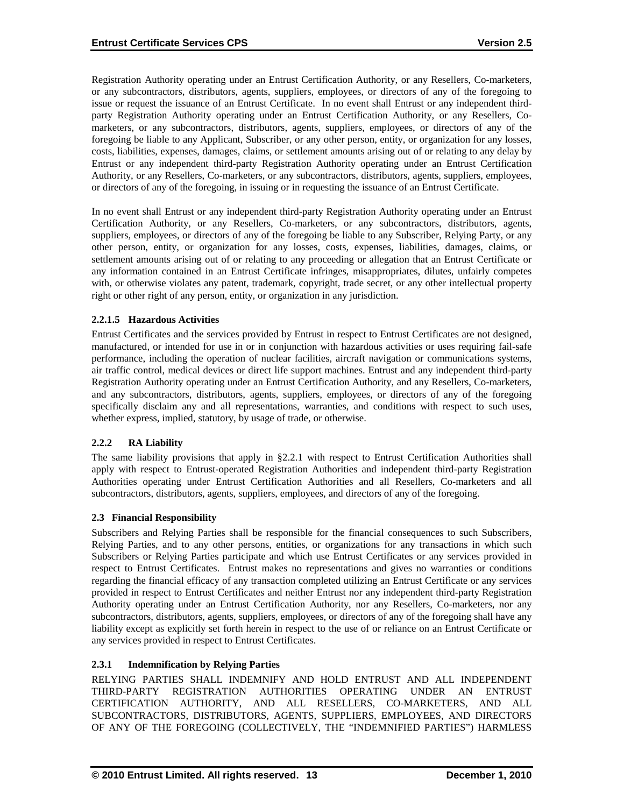Registration Authority operating under an Entrust Certification Authority, or any Resellers, Co-marketers, or any subcontractors, distributors, agents, suppliers, employees, or directors of any of the foregoing to issue or request the issuance of an Entrust Certificate. In no event shall Entrust or any independent thirdparty Registration Authority operating under an Entrust Certification Authority, or any Resellers, Comarketers, or any subcontractors, distributors, agents, suppliers, employees, or directors of any of the foregoing be liable to any Applicant, Subscriber, or any other person, entity, or organization for any losses, costs, liabilities, expenses, damages, claims, or settlement amounts arising out of or relating to any delay by Entrust or any independent third-party Registration Authority operating under an Entrust Certification Authority, or any Resellers, Co-marketers, or any subcontractors, distributors, agents, suppliers, employees, or directors of any of the foregoing, in issuing or in requesting the issuance of an Entrust Certificate.

In no event shall Entrust or any independent third-party Registration Authority operating under an Entrust Certification Authority, or any Resellers, Co-marketers, or any subcontractors, distributors, agents, suppliers, employees, or directors of any of the foregoing be liable to any Subscriber, Relying Party, or any other person, entity, or organization for any losses, costs, expenses, liabilities, damages, claims, or settlement amounts arising out of or relating to any proceeding or allegation that an Entrust Certificate or any information contained in an Entrust Certificate infringes, misappropriates, dilutes, unfairly competes with, or otherwise violates any patent, trademark, copyright, trade secret, or any other intellectual property right or other right of any person, entity, or organization in any jurisdiction.

# **2.2.1.5 Hazardous Activities**

Entrust Certificates and the services provided by Entrust in respect to Entrust Certificates are not designed, manufactured, or intended for use in or in conjunction with hazardous activities or uses requiring fail-safe performance, including the operation of nuclear facilities, aircraft navigation or communications systems, air traffic control, medical devices or direct life support machines. Entrust and any independent third-party Registration Authority operating under an Entrust Certification Authority, and any Resellers, Co-marketers, and any subcontractors, distributors, agents, suppliers, employees, or directors of any of the foregoing specifically disclaim any and all representations, warranties, and conditions with respect to such uses, whether express, implied, statutory, by usage of trade, or otherwise.

# **2.2.2 RA Liability**

The same liability provisions that apply in § 2.2.1 with respect to Entrust Certification Authorities shall apply with respect to Entrust-operated Registration Authorities and independent third-party Registration Authorities operating under Entrust Certification Authorities and all Resellers, Co-marketers and all subcontractors, distributors, agents, suppliers, employees, and directors of any of the foregoing.

#### **2.3 Financial Responsibility**

Subscribers and Relying Parties shall be responsible for the financial consequences to such Subscribers, Relying Parties, and to any other persons, entities, or organizations for any transactions in which such Subscribers or Relying Parties participate and which use Entrust Certificates or any services provided in respect to Entrust Certificates. Entrust makes no representations and gives no warranties or conditions regarding the financial efficacy of any transaction completed utilizing an Entrust Certificate or any services provided in respect to Entrust Certificates and neither Entrust nor any independent third-party Registration Authority operating under an Entrust Certification Authority, nor any Resellers, Co-marketers, nor any subcontractors, distributors, agents, suppliers, employees, or directors of any of the foregoing shall have any liability except as explicitly set forth herein in respect to the use of or reliance on an Entrust Certificate or any services provided in respect to Entrust Certificates.

# **2.3.1 Indemnification by Relying Parties**

RELYING PARTIES SHALL INDEMNIFY AND HOLD ENTRUST AND ALL INDEPENDENT THIRD-PARTY REGISTRATION AUTHORITIES OPERATING UNDER AN ENTRUST CERTIFICATION AUTHORITY, AND ALL RESELLERS, CO-MARKETERS, AND ALL SUBCONTRACTORS, DISTRIBUTORS, AGENTS, SUPPLIERS, EMPLOYEES, AND DIRECTORS OF ANY OF THE FOREGOING (COLLECTIVELY, THE "INDEMNIFIED PARTIES") HARMLESS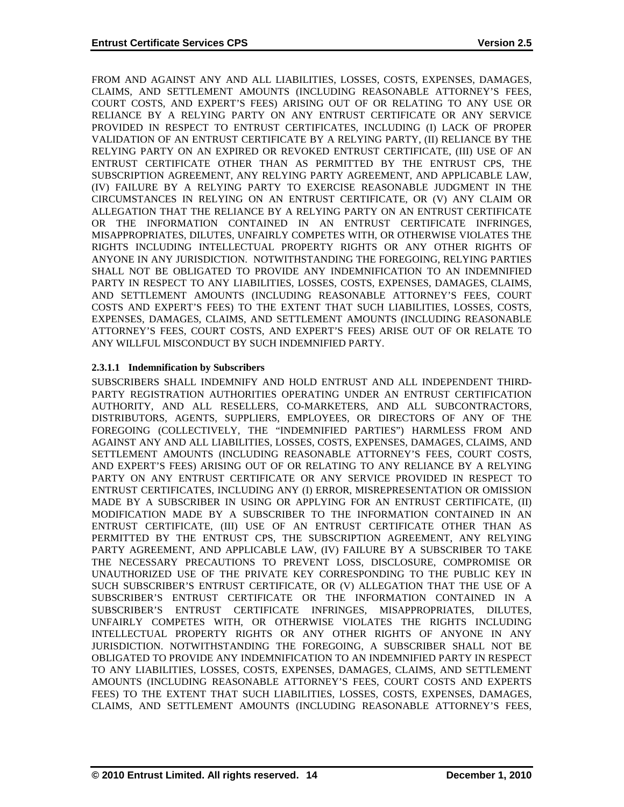FROM AND AGAINST ANY AND ALL LIABILITIES, LOSSES, COSTS, EXPENSES, DAMAGES, CLAIMS, AND SETTLEMENT AMOUNTS (INCLUDING REASONABLE ATTORNEY'S FEES, COURT COSTS, AND EXPERT'S FEES) ARISING OUT OF OR RELATING TO ANY USE OR RELIANCE BY A RELYING PARTY ON ANY ENTRUST CERTIFICATE OR ANY SERVICE PROVIDED IN RESPECT TO ENTRUST CERTIFICATES, INCLUDING (I) LACK OF PROPER VALIDATION OF AN ENTRUST CERTIFICATE BY A RELYING PARTY, (II) RELIANCE BY THE RELYING PARTY ON AN EXPIRED OR REVOKED ENTRUST CERTIFICATE, (III) USE OF AN ENTRUST CERTIFICATE OTHER THAN AS PERMITTED BY THE ENTRUST CPS, THE SUBSCRIPTION AGREEMENT, ANY RELYING PARTY AGREEMENT, AND APPLICABLE LAW, (IV) FAILURE BY A RELYING PARTY TO EXERCISE REASONABLE JUDGMENT IN THE CIRCUMSTANCES IN RELYING ON AN ENTRUST CERTIFICATE, OR (V) ANY CLAIM OR ALLEGATION THAT THE RELIANCE BY A RELYING PARTY ON AN ENTRUST CERTIFICATE OR THE INFORMATION CONTAINED IN AN ENTRUST CERTIFICATE INFRINGES, MISAPPROPRIATES, DILUTES, UNFAIRLY COMPETES WITH, OR OTHERWISE VIOLATES THE RIGHTS INCLUDING INTELLECTUAL PROPERTY RIGHTS OR ANY OTHER RIGHTS OF ANYONE IN ANY JURISDICTION. NOTWITHSTANDING THE FOREGOING, RELYING PARTIES SHALL NOT BE OBLIGATED TO PROVIDE ANY INDEMNIFICATION TO AN INDEMNIFIED PARTY IN RESPECT TO ANY LIABILITIES, LOSSES, COSTS, EXPENSES, DAMAGES, CLAIMS, AND SETTLEMENT AMOUNTS (INCLUDING REASONABLE ATTORNEY'S FEES, COURT COSTS AND EXPERT'S FEES) TO THE EXTENT THAT SUCH LIABILITIES, LOSSES, COSTS, EXPENSES, DAMAGES, CLAIMS, AND SETTLEMENT AMOUNTS (INCLUDING REASONABLE ATTORNEY'S FEES, COURT COSTS, AND EXPERT'S FEES) ARISE OUT OF OR RELATE TO ANY WILLFUL MISCONDUCT BY SUCH INDEMNIFIED PARTY.

# **2.3.1.1 Indemnification by Subscribers**

SUBSCRIBERS SHALL INDEMNIFY AND HOLD ENTRUST AND ALL INDEPENDENT THIRD-PARTY REGISTRATION AUTHORITIES OPERATING UNDER AN ENTRUST CERTIFICATION AUTHORITY, AND ALL RESELLERS, CO-MARKETERS, AND ALL SUBCONTRACTORS, DISTRIBUTORS, AGENTS, SUPPLIERS, EMPLOYEES, OR DIRECTORS OF ANY OF THE FOREGOING (COLLECTIVELY, THE "INDEMNIFIED PARTIES") HARMLESS FROM AND AGAINST ANY AND ALL LIABILITIES, LOSSES, COSTS, EXPENSES, DAMAGES, CLAIMS, AND SETTLEMENT AMOUNTS (INCLUDING REASONABLE ATTORNEY'S FEES, COURT COSTS, AND EXPERT'S FEES) ARISING OUT OF OR RELATING TO ANY RELIANCE BY A RELYING PARTY ON ANY ENTRUST CERTIFICATE OR ANY SERVICE PROVIDED IN RESPECT TO ENTRUST CERTIFICATES, INCLUDING ANY (I) ERROR, MISREPRESENTATION OR OMISSION MADE BY A SUBSCRIBER IN USING OR APPLYING FOR AN ENTRUST CERTIFICATE, (II) MODIFICATION MADE BY A SUBSCRIBER TO THE INFORMATION CONTAINED IN AN ENTRUST CERTIFICATE, (III) USE OF AN ENTRUST CERTIFICATE OTHER THAN AS PERMITTED BY THE ENTRUST CPS, THE SUBSCRIPTION AGREEMENT, ANY RELYING PARTY AGREEMENT, AND APPLICABLE LAW, (IV) FAILURE BY A SUBSCRIBER TO TAKE THE NECESSARY PRECAUTIONS TO PREVENT LOSS, DISCLOSURE, COMPROMISE OR UNAUTHORIZED USE OF THE PRIVATE KEY CORRESPONDING TO THE PUBLIC KEY IN SUCH SUBSCRIBER'S ENTRUST CERTIFICATE, OR (V) ALLEGATION THAT THE USE OF A SUBSCRIBER'S ENTRUST CERTIFICATE OR THE INFORMATION CONTAINED IN A SUBSCRIBER'S ENTRUST CERTIFICATE INFRINGES, MISAPPROPRIATES, DILUTES, UNFAIRLY COMPETES WITH, OR OTHERWISE VIOLATES THE RIGHTS INCLUDING INTELLECTUAL PROPERTY RIGHTS OR ANY OTHER RIGHTS OF ANYONE IN ANY JURISDICTION. NOTWITHSTANDING THE FOREGOING, A SUBSCRIBER SHALL NOT BE OBLIGATED TO PROVIDE ANY INDEMNIFICATION TO AN INDEMNIFIED PARTY IN RESPECT TO ANY LIABILITIES, LOSSES, COSTS, EXPENSES, DAMAGES, CLAIMS, AND SETTLEMENT AMOUNTS (INCLUDING REASONABLE ATTORNEY'S FEES, COURT COSTS AND EXPERTS FEES) TO THE EXTENT THAT SUCH LIABILITIES, LOSSES, COSTS, EXPENSES, DAMAGES, CLAIMS, AND SETTLEMENT AMOUNTS (INCLUDING REASONABLE ATTORNEY'S FEES,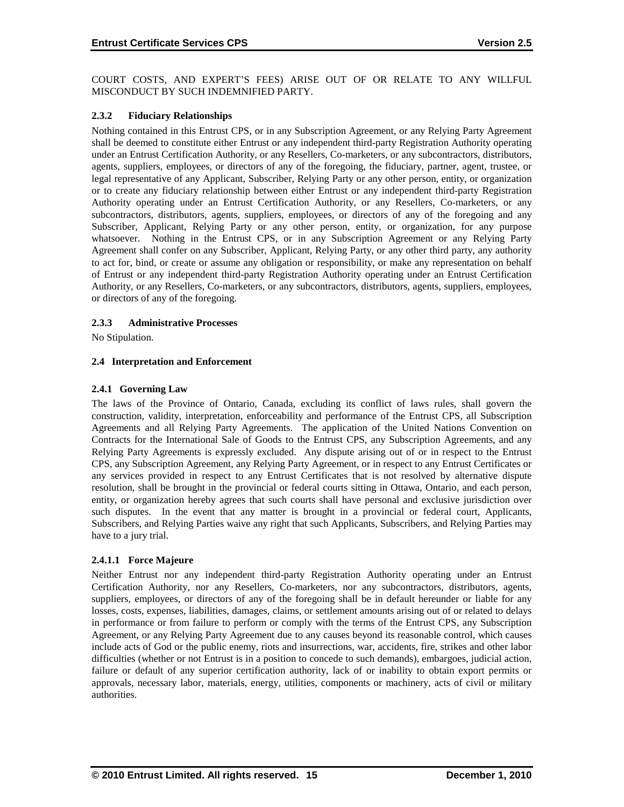COURT COSTS, AND EXPERT'S FEES) ARISE OUT OF OR RELATE TO ANY WILLFUL MISCONDUCT BY SUCH INDEMNIFIED PARTY.

#### **2.3.2 Fiduciary Relationships**

Nothing contained in this Entrust CPS, or in any Subscription Agreement, or any Relying Party Agreement shall be deemed to constitute either Entrust or any independent third-party Registration Authority operating under an Entrust Certification Authority, or any Resellers, Co-marketers, or any subcontractors, distributors, agents, suppliers, employees, or directors of any of the foregoing, the fiduciary, partner, agent, trustee, or legal representative of any Applicant, Subscriber, Relying Party or any other person, entity, or organization or to create any fiduciary relationship between either Entrust or any independent third-party Registration Authority operating under an Entrust Certification Authority, or any Resellers, Co-marketers, or any subcontractors, distributors, agents, suppliers, employees, or directors of any of the foregoing and any Subscriber, Applicant, Relying Party or any other person, entity, or organization, for any purpose whatsoever. Nothing in the Entrust CPS, or in any Subscription Agreement or any Relying Party Agreement shall confer on any Subscriber, Applicant, Relying Party, or any other third party, any authority to act for, bind, or create or assume any obligation or responsibility, or make any representation on behalf of Entrust or any independent third-party Registration Authority operating under an Entrust Certification Authority, or any Resellers, Co-marketers, or any subcontractors, distributors, agents, suppliers, employees, or directors of any of the foregoing.

#### **2.3.3 Administrative Processes**

No Stipulation.

#### **2.4 Interpretation and Enforcement**

#### **2.4.1 Governing Law**

The laws of the Province of Ontario, Canada, excluding its conflict of laws rules, shall govern the construction, validity, interpretation, enforceability and performance of the Entrust CPS, all Subscription Agreements and all Relying Party Agreements. The application of the United Nations Convention on Contracts for the International Sale of Goods to the Entrust CPS, any Subscription Agreements, and any Relying Party Agreements is expressly excluded. Any dispute arising out of or in respect to the Entrust CPS, any Subscription Agreement, any Relying Party Agreement, or in respect to any Entrust Certificates or any services provided in respect to any Entrust Certificates that is not resolved by alternative dispute resolution, shall be brought in the provincial or federal courts sitting in Ottawa, Ontario, and each person, entity, or organization hereby agrees that such courts shall have personal and exclusive jurisdiction over such disputes. In the event that any matter is brought in a provincial or federal court, Applicants, Subscribers, and Relying Parties waive any right that such Applicants, Subscribers, and Relying Parties may have to a jury trial.

#### **2.4.1.1 Force Majeure**

Neither Entrust nor any independent third-party Registration Authority operating under an Entrust Certification Authority, nor any Resellers, Co-marketers, nor any subcontractors, distributors, agents, suppliers, employees, or directors of any of the foregoing shall be in default hereunder or liable for any losses, costs, expenses, liabilities, damages, claims, or settlement amounts arising out of or related to delays in performance or from failure to perform or comply with the terms of the Entrust CPS, any Subscription Agreement, or any Relying Party Agreement due to any causes beyond its reasonable control, which causes include acts of God or the public enemy, riots and insurrections, war, accidents, fire, strikes and other labor difficulties (whether or not Entrust is in a position to concede to such demands), embargoes, judicial action, failure or default of any superior certification authority, lack of or inability to obtain export permits or approvals, necessary labor, materials, energy, utilities, components or machinery, acts of civil or military authorities.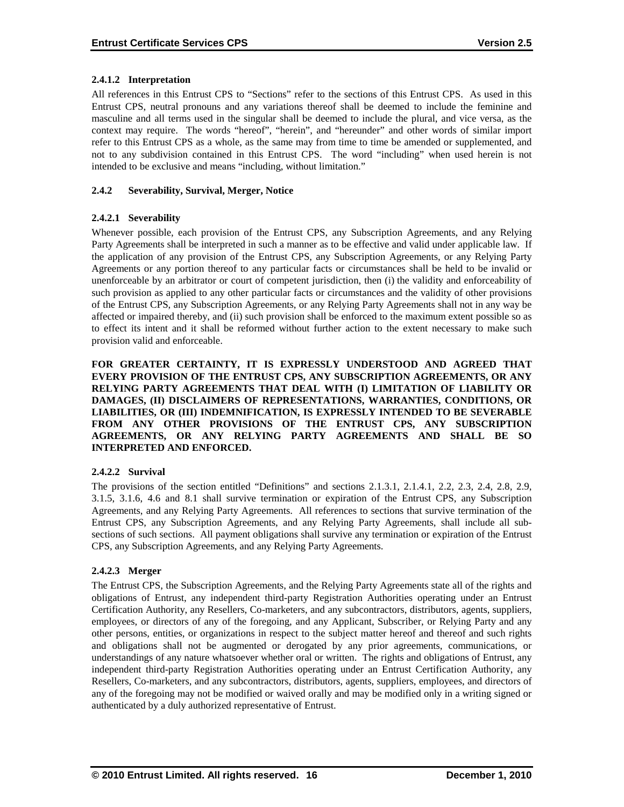# **2.4.1.2 Interpretation**

All references in this Entrust CPS to "Sections" refer to the sections of this Entrust CPS. As used in this Entrust CPS, neutral pronouns and any variations thereof shall be deemed to include the feminine and masculine and all terms used in the singular shall be deemed to include the plural, and vice versa, as the context may require. The words "hereof", "herein", and "hereunder" and other words of similar import refer to this Entrust CPS as a whole, as the same may from time to time be amended or supplemented, and not to any subdivision contained in this Entrust CPS. The word "including" when used herein is not intended to be exclusive and means "including, without limitation."

# **2.4.2 Severability, Survival, Merger, Notice**

### **2.4.2.1 Severability**

Whenever possible, each provision of the Entrust CPS, any Subscription Agreements, and any Relying Party Agreements shall be interpreted in such a manner as to be effective and valid under applicable law. If the application of any provision of the Entrust CPS, any Subscription Agreements, or any Relying Party Agreements or any portion thereof to any particular facts or circumstances shall be held to be invalid or unenforceable by an arbitrator or court of competent jurisdiction, then (i) the validity and enforceability of such provision as applied to any other particular facts or circumstances and the validity of other provisions of the Entrust CPS, any Subscription Agreements, or any Relying Party Agreements shall not in any way be affected or impaired thereby, and (ii) such provision shall be enforced to the maximum extent possible so as to effect its intent and it shall be reformed without further action to the extent necessary to make such provision valid and enforceable.

**FOR GREATER CERTAINTY, IT IS EXPRESSLY UNDERSTOOD AND AGREED THAT EVERY PROVISION OF THE ENTRUST CPS, ANY SUBSCRIPTION AGREEMENTS, OR ANY RELYING PARTY AGREEMENTS THAT DEAL WITH (I) LIMITATION OF LIABILITY OR DAMAGES, (II) DISCLAIMERS OF REPRESENTATIONS, WARRANTIES, CONDITIONS, OR LIABILITIES, OR (III) INDEMNIFICATION, IS EXPRESSLY INTENDED TO BE SEVERABLE FROM ANY OTHER PROVISIONS OF THE ENTRUST CPS, ANY SUBSCRIPTION AGREEMENTS, OR ANY RELYING PARTY AGREEMENTS AND SHALL BE SO INTERPRETED AND ENFORCED.**

#### **2.4.2.2 Survival**

The provisions of the section entitled "Definitions" and sections 2.1.3.1, 2.1.4.1, 2.2, 2.3, 2.4, 2.8, 2.9, 3.1.5, 3.1.6, 4.6 and 8.1 shall survive termination or expiration of the Entrust CPS, any Subscription Agreements, and any Relying Party Agreements. All references to sections that survive termination of the Entrust CPS, any Subscription Agreements, and any Relying Party Agreements, shall include all subsections of such sections. All payment obligations shall survive any termination or expiration of the Entrust CPS, any Subscription Agreements, and any Relying Party Agreements.

#### **2.4.2.3 Merger**

The Entrust CPS, the Subscription Agreements, and the Relying Party Agreements state all of the rights and obligations of Entrust, any independent third-party Registration Authorities operating under an Entrust Certification Authority, any Resellers, Co-marketers, and any subcontractors, distributors, agents, suppliers, employees, or directors of any of the foregoing, and any Applicant, Subscriber, or Relying Party and any other persons, entities, or organizations in respect to the subject matter hereof and thereof and such rights and obligations shall not be augmented or derogated by any prior agreements, communications, or understandings of any nature whatsoever whether oral or written. The rights and obligations of Entrust, any independent third-party Registration Authorities operating under an Entrust Certification Authority, any Resellers, Co-marketers, and any subcontractors, distributors, agents, suppliers, employees, and directors of any of the foregoing may not be modified or waived orally and may be modified only in a writing signed or authenticated by a duly authorized representative of Entrust.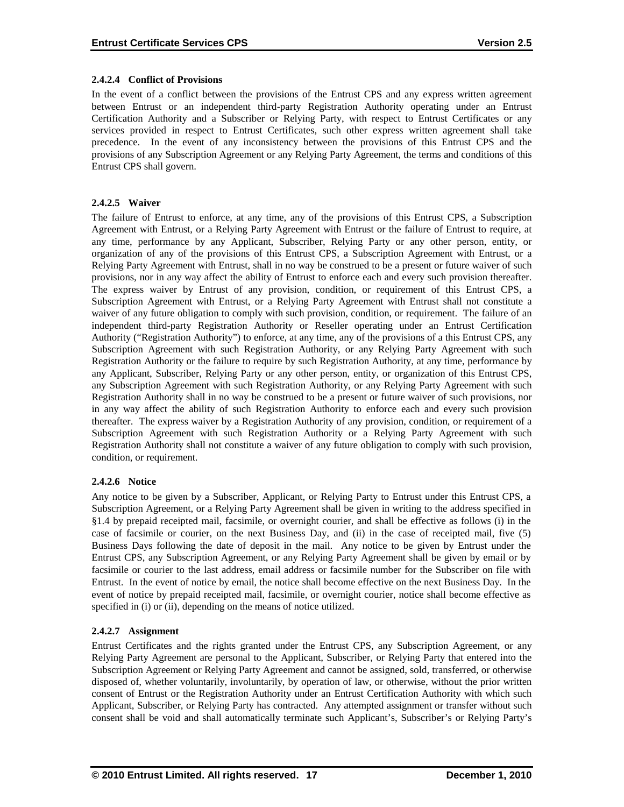### **2.4.2.4 Conflict of Provisions**

In the event of a conflict between the provisions of the Entrust CPS and any express written agreement between Entrust or an independent third-party Registration Authority operating under an Entrust Certification Authority and a Subscriber or Relying Party, with respect to Entrust Certificates or any services provided in respect to Entrust Certificates, such other express written agreement shall take precedence. In the event of any inconsistency between the provisions of this Entrust CPS and the provisions of any Subscription Agreement or any Relying Party Agreement, the terms and conditions of this Entrust CPS shall govern.

# **2.4.2.5 Waiver**

The failure of Entrust to enforce, at any time, any of the provisions of this Entrust CPS, a Subscription Agreement with Entrust, or a Relying Party Agreement with Entrust or the failure of Entrust to require, at any time, performance by any Applicant, Subscriber, Relying Party or any other person, entity, or organization of any of the provisions of this Entrust CPS, a Subscription Agreement with Entrust, or a Relying Party Agreement with Entrust, shall in no way be construed to be a present or future waiver of such provisions, nor in any way affect the ability of Entrust to enforce each and every such provision thereafter. The express waiver by Entrust of any provision, condition, or requirement of this Entrust CPS, a Subscription Agreement with Entrust, or a Relying Party Agreement with Entrust shall not constitute a waiver of any future obligation to comply with such provision, condition, or requirement. The failure of an independent third-party Registration Authority or Reseller operating under an Entrust Certification Authority ("Registration Authority") to enforce, at any time, any of the provisions of a this Entrust CPS, any Subscription Agreement with such Registration Authority, or any Relying Party Agreement with such Registration Authority or the failure to require by such Registration Authority, at any time, performance by any Applicant, Subscriber, Relying Party or any other person, entity, or organization of this Entrust CPS, any Subscription Agreement with such Registration Authority, or any Relying Party Agreement with such Registration Authority shall in no way be construed to be a present or future waiver of such provisions, nor in any way affect the ability of such Registration Authority to enforce each and every such provision thereafter. The express waiver by a Registration Authority of any provision, condition, or requirement of a Subscription Agreement with such Registration Authority or a Relying Party Agreement with such Registration Authority shall not constitute a waiver of any future obligation to comply with such provision, condition, or requirement.

# **2.4.2.6 Notice**

Any notice to be given by a Subscriber, Applicant, or Relying Party to Entrust under this Entrust CPS, a Subscription Agreement, or a Relying Party Agreement shall be given in writing to the address specified in §1.4 by prepaid receipted mail, facsimile, or overnight courier, and shall be effective as follows (i) in the case of facsimile or courier, on the next Business Day, and (ii) in the case of receipted mail, five (5) Business Days following the date of deposit in the mail. Any notice to be given by Entrust under the Entrust CPS, any Subscription Agreement, or any Relying Party Agreement shall be given by email or by facsimile or courier to the last address, email address or facsimile number for the Subscriber on file with Entrust. In the event of notice by email, the notice shall become effective on the next Business Day. In the event of notice by prepaid receipted mail, facsimile, or overnight courier, notice shall become effective as specified in (i) or (ii), depending on the means of notice utilized.

# **2.4.2.7 Assignment**

Entrust Certificates and the rights granted under the Entrust CPS, any Subscription Agreement, or any Relying Party Agreement are personal to the Applicant, Subscriber, or Relying Party that entered into the Subscription Agreement or Relying Party Agreement and cannot be assigned, sold, transferred, or otherwise disposed of, whether voluntarily, involuntarily, by operation of law, or otherwise, without the prior written consent of Entrust or the Registration Authority under an Entrust Certification Authority with which such Applicant, Subscriber, or Relying Party has contracted. Any attempted assignment or transfer without such consent shall be void and shall automatically terminate such Applicant's, Subscriber's or Relying Party's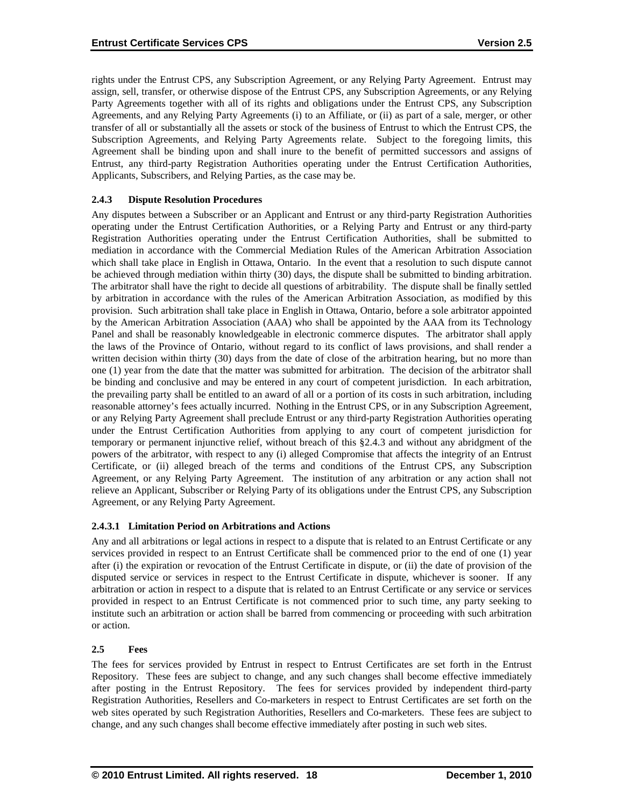rights under the Entrust CPS, any Subscription Agreement, or any Relying Party Agreement. Entrust may assign, sell, transfer, or otherwise dispose of the Entrust CPS, any Subscription Agreements, or any Relying Party Agreements together with all of its rights and obligations under the Entrust CPS, any Subscription Agreements, and any Relying Party Agreements (i) to an Affiliate, or (ii) as part of a sale, merger, or other transfer of all or substantially all the assets or stock of the business of Entrust to which the Entrust CPS, the Subscription Agreements, and Relying Party Agreements relate. Subject to the foregoing limits, this Agreement shall be binding upon and shall inure to the benefit of permitted successors and assigns of Entrust, any third-party Registration Authorities operating under the Entrust Certification Authorities, Applicants, Subscribers, and Relying Parties, as the case may be.

# **2.4.3 Dispute Resolution Procedures**

Any disputes between a Subscriber or an Applicant and Entrust or any third-party Registration Authorities operating under the Entrust Certification Authorities, or a Relying Party and Entrust or any third-party Registration Authorities operating under the Entrust Certification Authorities, shall be submitted to mediation in accordance with the Commercial Mediation Rules of the American Arbitration Association which shall take place in English in Ottawa, Ontario. In the event that a resolution to such dispute cannot be achieved through mediation within thirty (30) days, the dispute shall be submitted to binding arbitration. The arbitrator shall have the right to decide all questions of arbitrability. The dispute shall be finally settled by arbitration in accordance with the rules of the American Arbitration Association, as modified by this provision. Such arbitration shall take place in English in Ottawa, Ontario, before a sole arbitrator appointed by the American Arbitration Association (AAA) who shall be appointed by the AAA from its Technology Panel and shall be reasonably knowledgeable in electronic commerce disputes. The arbitrator shall apply the laws of the Province of Ontario, without regard to its conflict of laws provisions, and shall render a written decision within thirty (30) days from the date of close of the arbitration hearing, but no more than one (1) year from the date that the matter was submitted for arbitration. The decision of the arbitrator shall be binding and conclusive and may be entered in any court of competent jurisdiction. In each arbitration, the prevailing party shall be entitled to an award of all or a portion of its costs in such arbitration, including reasonable attorney's fees actually incurred. Nothing in the Entrust CPS, or in any Subscription Agreement, or any Relying Party Agreement shall preclude Entrust or any third-party Registration Authorities operating under the Entrust Certification Authorities from applying to any court of competent jurisdiction for temporary or permanent injunctive relief, without breach of this §2.4.3 and without any abridgment of the powers of the arbitrator, with respect to any (i) alleged Compromise that affects the integrity of an Entrust Certificate, or (ii) alleged breach of the terms and conditions of the Entrust CPS, any Subscription Agreement, or any Relying Party Agreement. The institution of any arbitration or any action shall not relieve an Applicant, Subscriber or Relying Party of its obligations under the Entrust CPS, any Subscription Agreement, or any Relying Party Agreement.

#### **2.4.3.1 Limitation Period on Arbitrations and Actions**

Any and all arbitrations or legal actions in respect to a dispute that is related to an Entrust Certificate or any services provided in respect to an Entrust Certificate shall be commenced prior to the end of one (1) year after (i) the expiration or revocation of the Entrust Certificate in dispute, or (ii) the date of provision of the disputed service or services in respect to the Entrust Certificate in dispute, whichever is sooner. If any arbitration or action in respect to a dispute that is related to an Entrust Certificate or any service or services provided in respect to an Entrust Certificate is not commenced prior to such time, any party seeking to institute such an arbitration or action shall be barred from commencing or proceeding with such arbitration or action.

#### **2.5 Fees**

The fees for services provided by Entrust in respect to Entrust Certificates are set forth in the Entrust Repository. These fees are subject to change, and any such changes shall become effective immediately after posting in the Entrust Repository. The fees for services provided by independent third-party Registration Authorities, Resellers and Co-marketers in respect to Entrust Certificates are set forth on the web sites operated by such Registration Authorities, Resellers and Co-marketers. These fees are subject to change, and any such changes shall become effective immediately after posting in such web sites.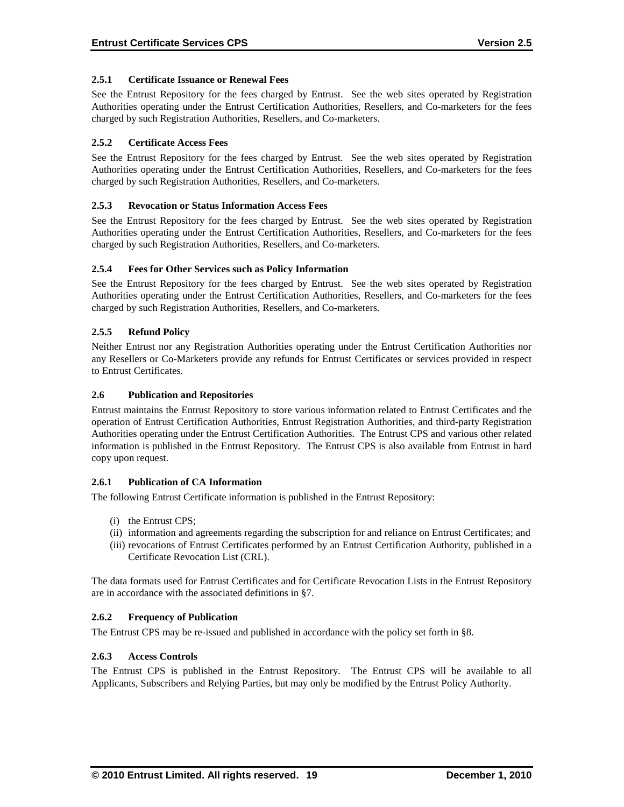### **2.5.1 Certificate Issuance or Renewal Fees**

See the Entrust Repository for the fees charged by Entrust. See the web sites operated by Registration Authorities operating under the Entrust Certification Authorities, Resellers, and Co-marketers for the fees charged by such Registration Authorities, Resellers, and Co-marketers.

# **2.5.2 Certificate Access Fees**

See the Entrust Repository for the fees charged by Entrust. See the web sites operated by Registration Authorities operating under the Entrust Certification Authorities, Resellers, and Co-marketers for the fees charged by such Registration Authorities, Resellers, and Co-marketers.

### **2.5.3 Revocation or Status Information Access Fees**

See the Entrust Repository for the fees charged by Entrust. See the web sites operated by Registration Authorities operating under the Entrust Certification Authorities, Resellers, and Co-marketers for the fees charged by such Registration Authorities, Resellers, and Co-marketers.

### **2.5.4 Fees for Other Services such as Policy Information**

See the Entrust Repository for the fees charged by Entrust. See the web sites operated by Registration Authorities operating under the Entrust Certification Authorities, Resellers, and Co-marketers for the fees charged by such Registration Authorities, Resellers, and Co-marketers.

### **2.5.5 Refund Policy**

Neither Entrust nor any Registration Authorities operating under the Entrust Certification Authorities nor any Resellers or Co-Marketers provide any refunds for Entrust Certificates or services provided in respect to Entrust Certificates.

### **2.6 Publication and Repositories**

Entrust maintains the Entrust Repository to store various information related to Entrust Certificates and the operation of Entrust Certification Authorities, Entrust Registration Authorities, and third-party Registration Authorities operating under the Entrust Certification Authorities. The Entrust CPS and various other related information is published in the Entrust Repository. The Entrust CPS is also available from Entrust in hard copy upon request .

# **2.6.1 Publication of CA Information**

The following Entrust Certificate information is published in the Entrust Repository:

- (i) the Entrust CPS;
- (ii) information and agreements regarding the subscription for and reliance on Entrust Certificates; and
- (iii) revocations of Entrust Certificates performed by an Entrust Certification Authority, published in a Certificate Revocation List (CRL).

The data formats used for Entrust Certificates and for Certificate Revocation Lists in the Entrust Repository are in accordance with the associated definitions in §7.

#### **2.6.2 Frequency of Publication**

The Entrust CPS may be re-issued and published in accordance with the policy set forth in §8.

#### **2.6.3 Access Controls**

The Entrust CPS is published in the Entrust Repository. The Entrust CPS will be available to all Applicants, Subscribers and Relying Parties, but may only be modified by the Entrust Policy Authority.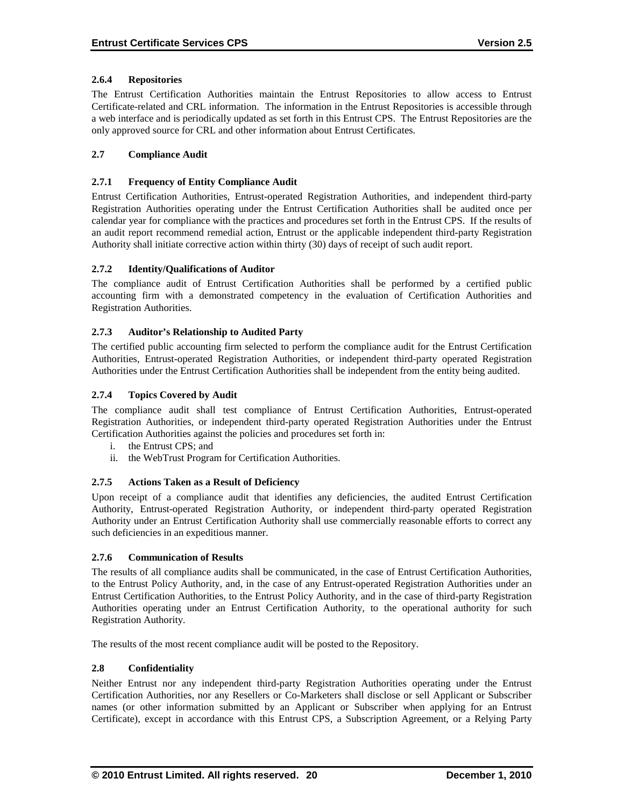# **2.6.4 Repositories**

The Entrust Certification Authorities maintain the Entrust Repositories to allow access to Entrust Certificate-related and CRL information. The information in the Entrust Repositories is accessible through a web interface and is periodically updated as set forth in this Entrust CPS. The Entrust Repositories are the only approved source for CRL and other information about Entrust Certificates.

# **2.7 Compliance Audit**

#### **2.7.1 Frequency of Entity Compliance Audit**

Entrust Certification Authorities, Entrust-operated Registration Authorities, and independent third-party Registration Authorities operating under the Entrust Certification Authorities shall be audited once per calendar year for compliance with the practices and procedures set forth in the Entrust CPS. If the results of an audit report recommend remedial action, Entrust or the applicable independent third-party Registration Authority shall initiate corrective action within thirty (30) days of receipt of such audit report.

### **2.7.2 Identity/Qualifications of Auditor**

The compliance audit of Entrust Certification Authorities shall be performed by a certified public accounting firm with a demonstrated competency in the evaluation of Certification Authorities and Registration Authorities.

### **2.7.3 Auditor's Relationship to Audited Party**

The certified public accounting firm selected to perform the compliance audit for the Entrust Certification Authorities, Entrust-operated Registration Authorities, or independent third-party operated Registration Authorities under the Entrust Certification Authorities shall be independent from the entity being audited.

### **2.7.4 Topics Covered by Audit**

The compliance audit shall test compliance of Entrust Certification Authorities, Entrust-operated Registration Authorities, or independent third-party operated Registration Authorities under the Entrust Certification Authorities against the policies and procedures set forth in:

- i. the Entrust CPS; and
- ii. the WebTrust Program for Certification Authorities.

#### **2.7.5 Actions Taken as a Result of Deficiency**

Upon receipt of a compliance audit that identifies any deficiencies, the audited Entrust Certification Authority, Entrust-operated Registration Authority, or independent third-party operated Registration Authority under an Entrust Certification Authority shall use commercially reasonable efforts to correct any such deficiencies in an expeditious manner.

#### **2.7.6 Communication of Results**

The results of all compliance audits shall be communicated, in the case of Entrust Certification Authorities, to the Entrust Policy Authority, and, in the case of any Entrust-operated Registration Authorities under an Entrust Certification Authorities, to the Entrust Policy Authority, and in the case of third-party Registration Authorities operating under an Entrust Certification Authority, to the operational authority for such Registration Authority.

The results of the most recent compliance audit will be posted to the Repository.

#### **2.8 Confidentiality**

Neither Entrust nor any independent third-party Registration Authorities operating under the Entrust Certification Authorities, nor any Resellers or Co-Marketers shall disclose or sell Applicant or Subscriber names (or other information submitted by an Applicant or Subscriber when applying for an Entrust Certificate), except in accordance with this Entrust CPS, a Subscription Agreement, or a Relying Party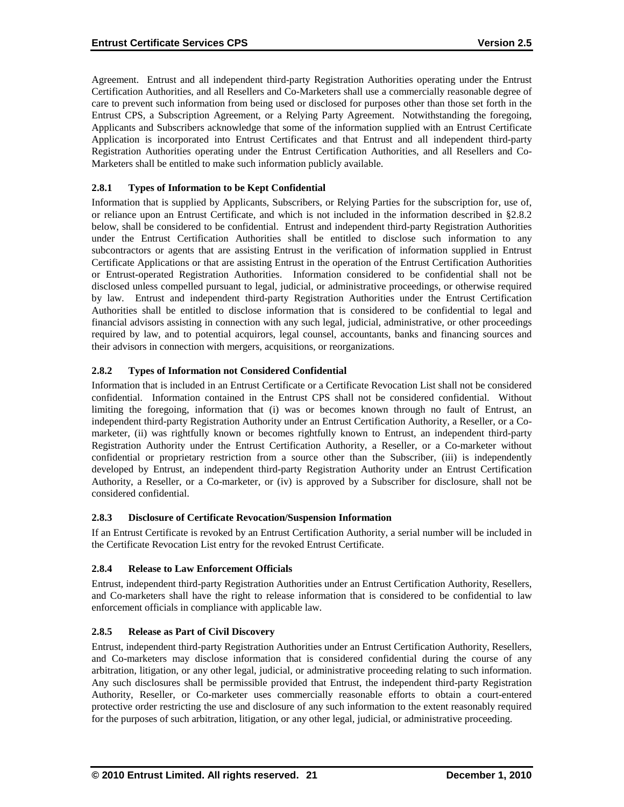Agreement. Entrust and all independent third-party Registration Authorities operating under the Entrust Certification Authorities, and all Resellers and Co-Marketers shall use a commercially reasonable degree of care to prevent such information from being used or disclosed for purposes other than those set forth in the Entrust CPS, a Subscription Agreement, or a Relying Party Agreement. Notwithstanding the foregoing, Applicants and Subscribers acknowledge that some of the information supplied with an Entrust Certificate Application is incorporated into Entrust Certificates and that Entrust and all independent third-party Registration Authorities operating under the Entrust Certification Authorities, and all Resellers and Co-Marketers shall be entitled to make such information publicly available.

# **2.8.1 Types of Information to be Kept Confidential**

Information that is supplied by Applicants, Subscribers, or Relying Parties for the subscription for, use of, or reliance upon an Entrust Certificate, and which is not included in the information described in §2.8.2 below, shall be considered to be confidential. Entrust and independent third-party Registration Authorities under the Entrust Certification Authorities shall be entitled to disclose such information to any subcontractors or agents that are assisting Entrust in the verification of information supplied in Entrust Certificate Applications or that are assisting Entrust in the operation of the Entrust Certification Authorities or Entrust-operated Registration Authorities. Information considered to be confidential shall not be disclosed unless compelled pursuant to legal, judicial, or administrative proceedings, or otherwise required by law. Entrust and independent third-party Registration Authorities under the Entrust Certification Authorities shall be entitled to disclose information that is considered to be confidential to legal and financial advisors assisting in connection with any such legal, judicial, administrative, or other proceedings required by law, and to potential acquirors, legal counsel, accountants, banks and financing sources and their advisors in connection with mergers, acquisitions, or reorganizations.

# **2.8.2 Types of Information not Considered Confidential**

Information that is included in an Entrust Certificate or a Certificate Revocation List shall not be considered confidential. Information contained in the Entrust CPS shall not be considered confidential. Without limiting the foregoing, information that (i) was or becomes known through no fault of Entrust, an independent third-party Registration Authority under an Entrust Certification Authority, a Reseller, or a Comarketer, (ii) was rightfully known or becomes rightfully known to Entrust, an independent third-party Registration Authority under the Entrust Certification Authority, a Reseller, or a Co-marketer without confidential or proprietary restriction from a source other than the Subscriber, (iii) is independently developed by Entrust, an independent third-party Registration Authority under an Entrust Certification Authority, a Reseller, or a Co-marketer, or (iv) is approved by a Subscriber for disclosure, shall not be considered confidential.

# **2.8.3 Disclosure of Certificate Revocation/Suspension Information**

If an Entrust Certificate is revoked by an Entrust Certification Authority, a serial number will be included in the Certificate Revocation List entry for the revoked Entrust Certificate.

# **2.8.4 Release to Law Enforcement Officials**

Entrust, independent third-party Registration Authorities under an Entrust Certification Authority, Resellers, and Co-marketers shall have the right to release information that is considered to be confidential to law enforcement officials in compliance with applicable law.

# **2.8.5 Release as Part of Civil Discovery**

Entrust, independent third-party Registration Authorities under an Entrust Certification Authority, Resellers, and Co-marketers may disclose information that is considered confidential during the course of any arbitration, litigation, or any other legal, judicial, or administrative proceeding relating to such information. Any such disclosures shall be permissible provided that Entrust, the independent third-party Registration Authority, Reseller, or Co-marketer uses commercially reasonable efforts to obtain a court-entered protective order restricting the use and disclosure of any such information to the extent reasonably required for the purposes of such arbitration, litigation, or any other legal, judicial, or administrative proceeding.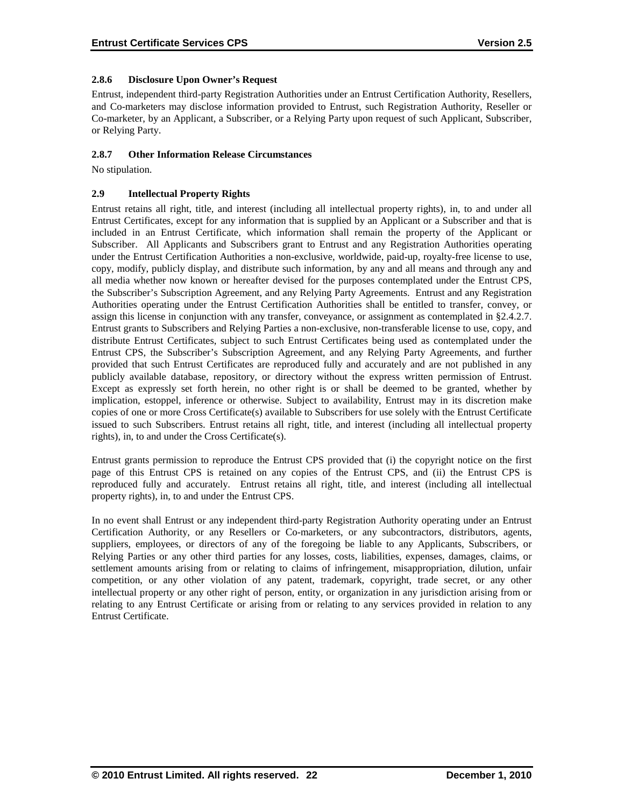# **2.8.6 Disclosure Upon Owner's Request**

Entrust, independent third-party Registration Authorities under an Entrust Certification Authority, Resellers, and Co-marketers may disclose information provided to Entrust, such Registration Authority, Reseller or Co-marketer, by an Applicant, a Subscriber, or a Relying Party upon request of such Applicant, Subscriber, or Relying Party.

### **2.8.7 Other Information Release Circumstances**

No stipulation.

# **2.9 Intellectual Property Rights**

Entrust retains all right, title, and interest (including all intellectual property rights), in, to and under all Entrust Certificates, except for any information that is supplied by an Applicant or a Subscriber and that is included in an Entrust Certificate, which information shall remain the property of the Applicant or Subscriber. All Applicants and Subscribers grant to Entrust and any Registration Authorities operating under the Entrust Certification Authorities a non-exclusive, worldwide, paid-up, royalty-free license to use, copy, modify, publicly display, and distribute such information, by any and all means and through any and all media whether now known or hereafter devised for the purposes contemplated under the Entrust CPS, the Subscriber's Subscription Agreement, and any Relying Party Agreements. Entrust and any Registration Authorities operating under the Entrust Certification Authorities shall be entitled to transfer, convey, or assign this license in conjunction with any transfer, conveyance, or assignment as contemplated in §2.4.2.7. Entrust grants to Subscribers and Relying Parties a non-exclusive, non-transferable license to use, copy, and distribute Entrust Certificates, subject to such Entrust Certificates being used as contemplated under the Entrust CPS, the Subscriber's Subscription Agreement, and any Relying Party Agreements, and further provided that such Entrust Certificates are reproduced fully and accurately and are not published in any publicly available database, repository, or directory without the express written permission of Entrust. Except as expressly set forth herein, no other right is or shall be deemed to be granted, whether by implication, estoppel, inference or otherwise. Subject to availability, Entrust may in its discretion make copies of one or more Cross Certificate(s) available to Subscribers for use solely with the Entrust Certificate issued to such Subscribers. Entrust retains all right, title, and interest (including all intellectual property rights), in, to and under the Cross Certificate(s).

Entrust grants permission to reproduce the Entrust CPS provided that (i) the copyright notice on the first page of this Entrust CPS is retained on any copies of the Entrust CPS, and (ii) the Entrust CPS is reproduced fully and accurately. Entrust retains all right, title, and interest (including all intellectual property rights), in, to and under the Entrust CPS.

In no event shall Entrust or any independent third-party Registration Authority operating under an Entrust Certification Authority, or any Resellers or Co-marketers, or any subcontractors, distributors, agents, suppliers, employees, or directors of any of the foregoing be liable to any Applicants, Subscribers, or Relying Parties or any other third parties for any losses, costs, liabilities, expenses, damages, claims, or settlement amounts arising from or relating to claims of infringement, misappropriation, dilution, unfair competition, or any other violation of any patent, trademark, copyright, trade secret, or any other intellectual property or any other right of person, entity, or organization in any jurisdiction arising from or relating to any Entrust Certificate or arising from or relating to any services provided in relation to any Entrust Certificate.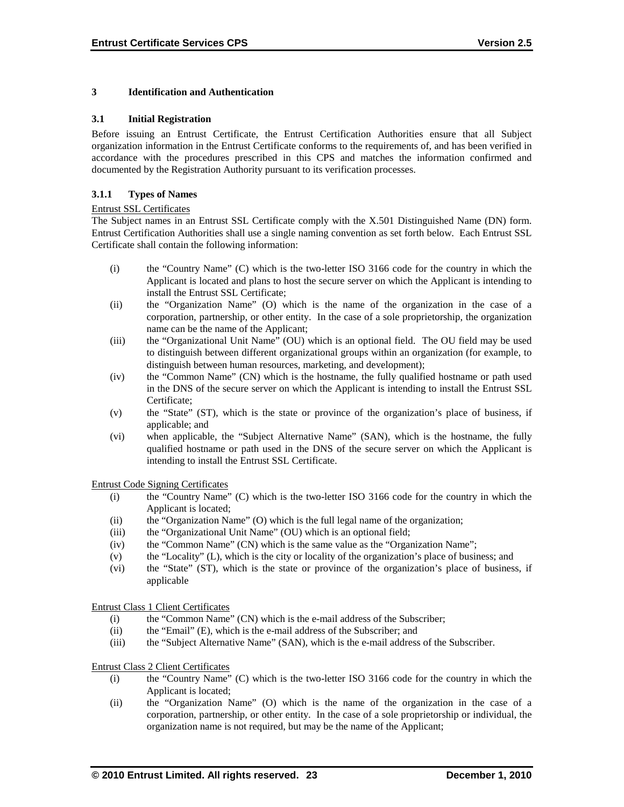#### **3 Identification and Authentication**

#### **3.1 Initial Registration**

Before issuing an Entrust Certificate, the Entrust Certification Authorities ensure that all Subject organization information in the Entrust Certificate conforms to the requirements of, and has been verified in accordance with the procedures prescribed in this CPS and matches the information confirmed and documented by the Registration Authority pursuant to its verification processes.

#### **3.1.1 Types of Names**

#### Entrust SSL Certificates

The Subject names in an Entrust SSL Certificate comply with the X.501 Distinguished Name (DN) form. Entrust Certification Authorities shall use a single naming convention as set forth below. Each Entrust SSL Certificate shall contain the following information:

- (i) the "Country Name" (C) which is the two-letter ISO 3166 code for the country in which the Applicant is located and plans to host the secure server on which the Applicant is intending to install the Entrust SSL Certificate;
- (ii) the "Organization Name" (O) which is the name of the organization in the case of a corporation, partnership, or other entity. In the case of a sole proprietorship, the organization name can be the name of the Applicant;
- (iii) the "Organizational Unit Name" (OU) which is an optional field. The OU field may be used to distinguish between different organizational groups within an organization (for example, to distinguish between human resources, marketing, and development);
- (iv) the "Common Name" (CN) which is the hostname, the fully qualified hostname or path used in the DNS of the secure server on which the Applicant is intending to install the Entrust SSL Certificate;
- (v) the "State" (ST), which is the state or province of the organization's place of business, if applicable; and
- (vi) when applicable, the "Subject Alternative Name" (SAN), which is the hostname, the fully qualified hostname or path used in the DNS of the secure server on which the Applicant is intending to install the Entrust SSL Certificate.

Entrust Code Signing Certificates

- (i) the "Country Name" (C) which is the two-letter ISO 3166 code for the country in which the Applicant is located;
- (ii) the "Organization Name" (O) which is the full legal name of the organization;
- (iii) the "Organizational Unit Name" (OU) which is an optional field;
- (iv) the "Common Name" (CN) which is the same value as the "Organization Name";
- (v) the "Locality" (L), which is the city or locality of the organization's place of business; and
- (vi) the "State" (ST), which is the state or province of the organization's place of business, if applicable

Entrust Class 1 Client Certificates

- (i) the "Common Name" (CN) which is the e-mail address of the Subscriber;
- (ii) the "Email" (E), which is the e-mail address of the Subscriber; and
- (iii) the "Subject Alternative Name" (SAN), which is the e-mail address of the Subscriber.

#### Entrust Class 2 Client Certificates

- (i) the "Country Name" (C) which is the two-letter ISO 3166 code for the country in which the Applicant is located;
- (ii) the "Organization Name" (O) which is the name of the organization in the case of a corporation, partnership, or other entity. In the case of a sole proprietorship or individual, the organization name is not required, but may be the name of the Applicant;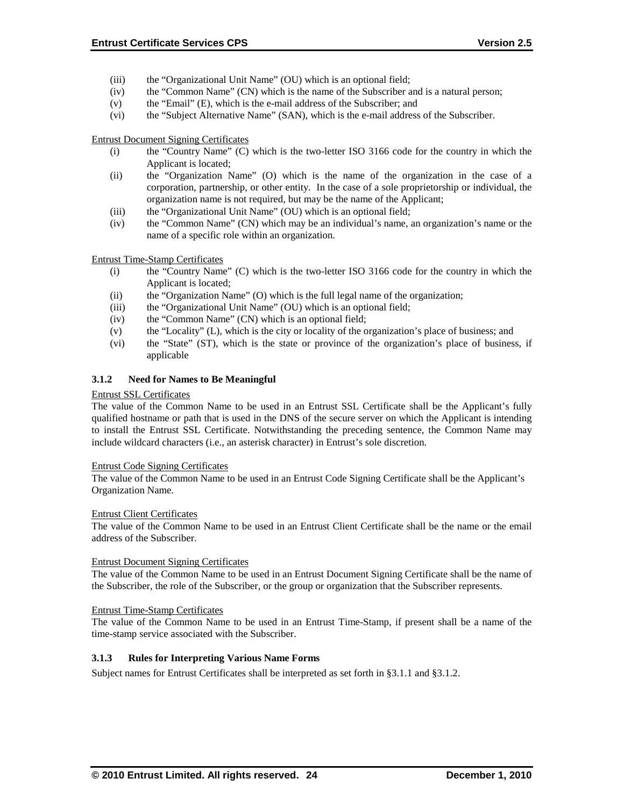- (iii) the "Organizational Unit Name" (OU) which is an optional field;
- (iv) the "Common Name" (CN) which is the name of the Subscriber and is a natural person;
- (v) the "Email" (E), which is the e-mail address of the Subscriber; and
- (vi) the "Subject Alternative Name" (SAN), which is the e-mail address of the Subscriber.

Entrust Document Signing Certificates

- (i) the "Country Name" (C) which is the two-letter ISO 3166 code for the country in which the Applicant is located;
- (ii) the "Organization Name" (O) which is the name of the organization in the case of a corporation, partnership, or other entity. In the case of a sole proprietorship or individual, the organization name is not required, but may be the name of the Applicant;
- (iii) the "Organizational Unit Name" (OU) which is an optional field;
- (iv) the "Common Name" (CN) which may be an individual's name, an organization's name or the name of a specific role within an organization.

Entrust Time-Stamp Certificates

- (i) the "Country Name" (C) which is the two-letter ISO 3166 code for the country in which the Applicant is located;
- (ii) the "Organization Name" (O) which is the full legal name of the organization;
- (iii) the "Organizational Unit Name" (OU) which is an optional field;
- (iv) the "Common Name" (CN) which is an optional field;
- (v) the "Locality" (L), which is the city or locality of the organization's place of business; and
- (vi) the "State" (ST), which is the state or province of the organization's place of business, if applicable

#### **3.1.2 Need for Names to Be Meaningful**

#### Entrust SSL Certificates

The value of the Common Name to be used in an Entrust SSL Certificate shall be the Applicant's fully qualified hostname or path that is used in the DNS of the secure server on which the Applicant is intending to install the Entrust SSL Certificate. Notwithstanding the preceding sentence, the Common Name may include wildcard characters (i.e., an asterisk character) in Entrust's sole discretion.

#### Entrust Code Signing Certificates

The value of the Common Name to be used in an Entrust Code Signing Certificate shall be the Applicant's Organization Name.

#### Entrust Client Certificates

The value of the Common Name to be used in an Entrust Client Certificate shall be the name or the email address of the Subscriber.

#### Entrust Document Signing Certificates

The value of the Common Name to be used in an Entrust Document Signing Certificate shall be the name of the Subscriber, the role of the Subscriber, or the group or organization that the Subscriber represents.

#### Entrust Time-Stamp Certificates

The value of the Common Name to be used in an Entrust Time-Stamp, if present shall be a name of the time-stamp service associated with the Subscriber.

#### **3.1.3 Rules for Interpreting Various Name Forms**

Subject names for Entrust Certificates shall be interpreted as set forth in §3.1.1 and §3.1.2.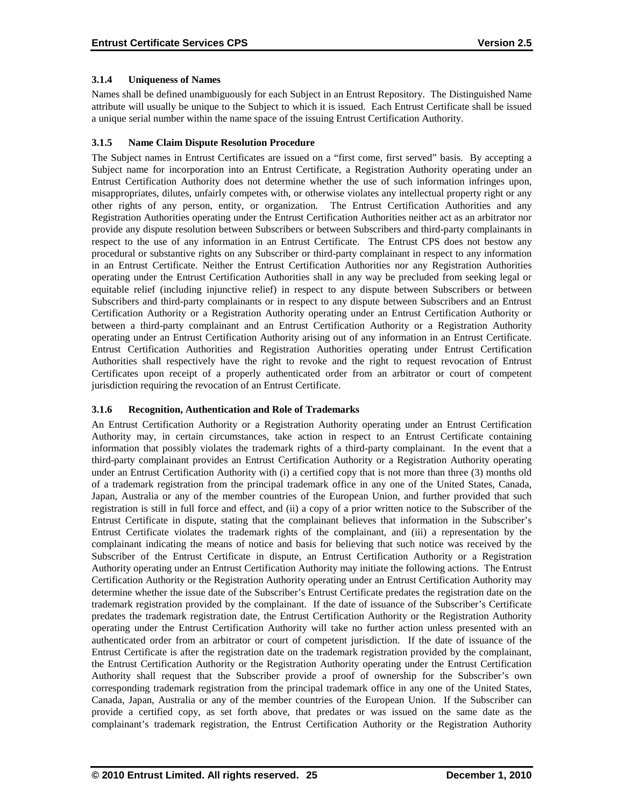# **3.1.4 Uniqueness of Names**

Names shall be defined unambiguously for each Subject in an Entrust Repository. The Distinguished Name attribute will usually be unique to the Subject to which it is issued. Each Entrust Certificate shall be issued a unique serial number within the name space of the issuing Entrust Certification Authority.

# **3.1.5 Name Claim Dispute Resolution Procedure**

The Subject names in Entrust Certificates are issued on a "first come, first served" basis. By accepting a Subject name for incorporation into an Entrust Certificate, a Registration Authority operating under an Entrust Certification Authority does not determine whether the use of such information infringes upon, misappropriates, dilutes, unfairly competes with, or otherwise violates any intellectual property right or any other rights of any person, entity, or organization. The Entrust Certification Authorities and any Registration Authorities operating under the Entrust Certification Authorities neither act as an arbitrator nor provide any dispute resolution between Subscribers or between Subscribers and third-party complainants in respect to the use of any information in an Entrust Certificate. The Entrust CPS does not bestow any procedural or substantive rights on any Subscriber or third-party complainant in respect to any information in an Entrust Certificate. Neither the Entrust Certification Authorities nor any Registration Authorities operating under the Entrust Certification Authorities shall in any way be precluded from seeking legal or equitable relief (including injunctive relief) in respect to any dispute between Subscribers or between Subscribers and third-party complainants or in respect to any dispute between Subscribers and an Entrust Certification Authority or a Registration Authority operating under an Entrust Certification Authority or between a third-party complainant and an Entrust Certification Authority or a Registration Authority operating under an Entrust Certification Authority arising out of any information in an Entrust Certificate. Entrust Certification Authorities and Registration Authorities operating under Entrust Certification Authorities shall respectively have the right to revoke and the right to request revocation of Entrust Certificates upon receipt of a properly authenticated order from an arbitrator or court of competent jurisdiction requiring the revocation of an Entrust Certificate.

# **3.1.6 Recognition, Authentication and Role of Trademarks**

An Entrust Certification Authority or a Registration Authority operating under an Entrust Certification Authority may, in certain circumstances, take action in respect to an Entrust Certificate containing information that possibly violates the trademark rights of a third-party complainant. In the event that a third-party complainant provides an Entrust Certification Authority or a Registration Authority operating under an Entrust Certification Authority with (i) a certified copy that is not more than three (3) months old of a trademark registration from the principal trademark office in any one of the United States, Canada, Japan, Australia or any of the member countries of the European Union, and further provided that such registration is still in full force and effect, and (ii) a copy of a prior written notice to the Subscriber of the Entrust Certificate in dispute, stating that the complainant believes that information in the Subscriber's Entrust Certificate violates the trademark rights of the complainant, and (iii) a representation by the complainant indicating the means of notice and basis for believing that such notice was received by the Subscriber of the Entrust Certificate in dispute, an Entrust Certification Authority or a Registration Authority operating under an Entrust Certification Authority may initiate the following actions. The Entrust Certification Authority or the Registration Authority operating under an Entrust Certification Authority may determine whether the issue date of the Subscriber's Entrust Certificate predates the registration date on the trademark registration provided by the complainant. If the date of issuance of the Subscriber's Certificate predates the trademark registration date, the Entrust Certification Authority or the Registration Authority operating under the Entrust Certification Authority will take no further action unless presented with an authenticated order from an arbitrator or court of competent jurisdiction. If the date of issuance of the Entrust Certificate is after the registration date on the trademark registration provided by the complainant, the Entrust Certification Authority or the Registration Authority operating under the Entrust Certification Authority shall request that the Subscriber provide a proof of ownership for the Subscriber's own corresponding trademark registration from the principal trademark office in any one of the United States, Canada, Japan, Australia or any of the member countries of the European Union. If the Subscriber can provide a certified copy, as set forth above, that predates or was issued on the same date as the complainant's trademark registration, the Entrust Certification Authority or the Registration Authority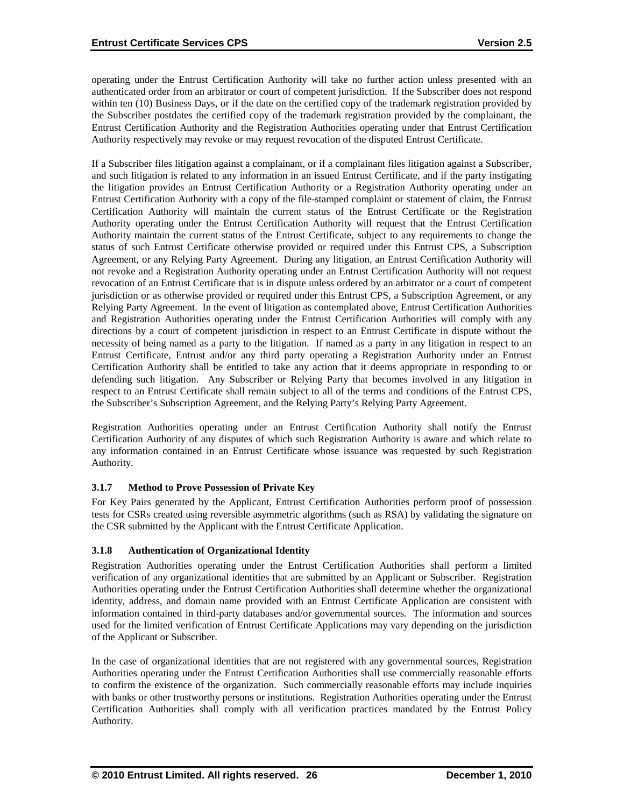operating under the Entrust Certification Authority will take no further action unless presented with an authenticated order from an arbitrator or court of competent jurisdiction. If the Subscriber does not respond within ten (10) Business Days, or if the date on the certified copy of the trademark registration provided by the Subscriber postdates the certified copy of the trademark registration provided by the complainant, the Entrust Certification Authority and the Registration Authorities operating under that Entrust Certification Authority respectively may revoke or may request revocation of the disputed Entrust Certificate.

If a Subscriber files litigation against a complainant, or if a complainant files litigation against a Subscriber, and such litigation is related to any information in an issued Entrust Certificate, and if the party instigating the litigation provides an Entrust Certification Authority or a Registration Authority operating under an Entrust Certification Authority with a copy of the file-stamped complaint or statement of claim, the Entrust Certification Authority will maintain the current status of the Entrust Certificate or the Registration Authority operating under the Entrust Certification Authority will request that the Entrust Certification Authority maintain the current status of the Entrust Certificate, subject to any requirements to change the status of such Entrust Certificate otherwise provided or required under this Entrust CPS, a Subscription Agreement, or any Relying Party Agreement. During any litigation, an Entrust Certification Authority will not revoke and a Registration Authority operating under an Entrust Certification Authority will not request revocation of an Entrust Certificate that is in dispute unless ordered by an arbitrator or a court of competent jurisdiction or as otherwise provided or required under this Entrust CPS, a Subscription Agreement, or any Relying Party Agreement. In the event of litigation as contemplated above, Entrust Certification Authorities and Registration Authorities operating under the Entrust Certification Authorities will comply with any directions by a court of competent jurisdiction in respect to an Entrust Certificate in dispute without the necessity of being named as a party to the litigation. If named as a party in any litigation in respect to an Entrust Certificate, Entrust and/or any third party operating a Registration Authority under an Entrust Certification Authority shall be entitled to take any action that it deems appropriate in responding to or defending such litigation. Any Subscriber or Relying Party that becomes involved in any litigation in respect to an Entrust Certificate shall remain subject to all of the terms and conditions of the Entrust CPS, the Subscriber's Subscription Agreement, and the Relying Party's Relying Party Agreement.

Registration Authorities operating under an Entrust Certification Authority shall notify the Entrust Certification Authority of any disputes of which such Registration Authority is aware and which relate to any information contained in an Entrust Certificate whose issuance was requested by such Registration Authority.

# **3.1.7 Method to Prove Possession of Private Key**

For Key Pairs generated by the Applicant, Entrust Certification Authorities perform proof of possession tests for CSRs created using reversible asymmetric algorithms (such as RSA) by validating the signature on the CSR submitted by the Applicant with the Entrust Certificate Application.

#### **3.1.8 Authentication of Organizational Identity**

Registration Authorities operating under the Entrust Certification Authorities shall perform a limited verification of any organizational identities that are submitted by an Applicant or Subscriber. Registration Authorities operating under the Entrust Certification Authorities shall determine whether the organizational identity, address, and domain name provided with an Entrust Certificate Application are consistent with information contained in third-party databases and/or governmental sources. The information and sources used for the limited verification of Entrust Certificate Applications may vary depending on the jurisdiction of the Applicant or Subscriber.

In the case of organizational identities that are not registered with any governmental sources, Registration Authorities operating under the Entrust Certification Authorities shall use commercially reasonable efforts to confirm the existence of the organization. Such commercially reasonable efforts may include inquiries with banks or other trustworthy persons or institutions. Registration Authorities operating under the Entrust Certification Authorities shall comply with all verification practices mandated by the Entrust Policy Authority.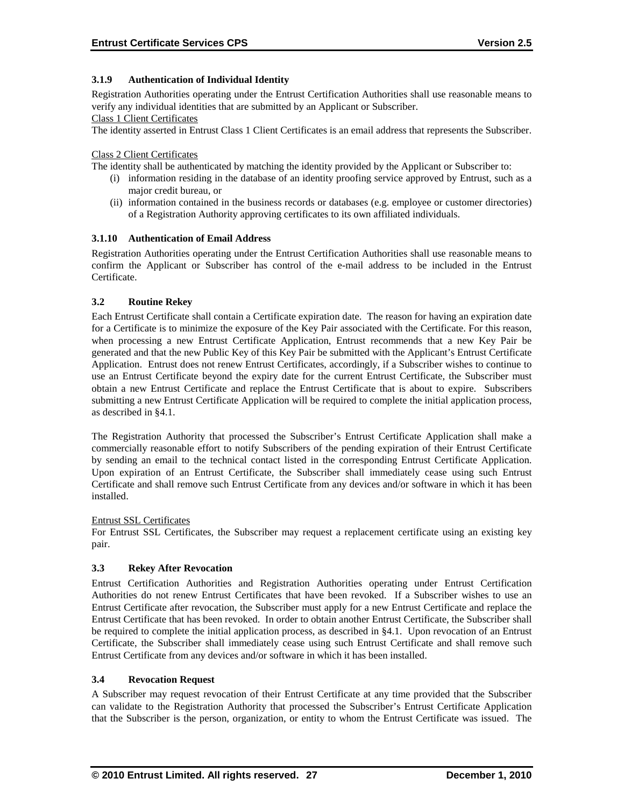### **3.1.9 Authentication of Individual Identity**

Registration Authorities operating under the Entrust Certification Authorities shall use reasonable means to verify any individual identities that are submitted by an Applicant or Subscriber.

# Class 1 Client Certificates

The identity asserted in Entrust Class 1 Client Certificates is an email address that represents the Subscriber.

#### Class 2 Client Certificates

The identity shall be authenticated by matching the identity provided by the Applicant or Subscriber to:

- (i) information residing in the database of an identity proofing service approved by Entrust, such as a major credit bureau, or
- (ii) information contained in the business records or databases (e.g. employee or customer directories) of a Registration Authority approving certificates to its own affiliated individuals.

### **3.1.10 Authentication of Email Address**

Registration Authorities operating under the Entrust Certification Authorities shall use reasonable means to confirm the Applicant or Subscriber has control of the e-mail address to be included in the Entrust **Certificate** 

### **3.2 Routine Rekey**

Each Entrust Certificate shall contain a Certificate expiration date. The reason for having an expiration date for a Certificate is to minimize the exposure of the Key Pair associated with the Certificate. For this reason, when processing a new Entrust Certificate Application, Entrust recommends that a new Key Pair be generated and that the new Public Key of this Key Pair be submitted with the Applicant's Entrust Certificate Application. Entrust does not renew Entrust Certificates, accordingly, if a Subscriber wishes to continue to use an Entrust Certificate beyond the expiry date for the current Entrust Certificate, the Subscriber must obtain a new Entrust Certificate and replace the Entrust Certificate that is about to expire. Subscribers submitting a new Entrust Certificate Application will be required to complete the initial application process, as described in §4.1.

The Registration Authority that processed the Subscriber's Entrust Certificate Application shall make a commercially reasonable effort to notify Subscribers of the pending expiration of their Entrust Certificate by sending an email to the technical contact listed in the corresponding Entrust Certificate Application. Upon expiration of an Entrust Certificate, the Subscriber shall immediately cease using such Entrust Certificate and shall remove such Entrust Certificate from any devices and/or software in which it has been installed.

#### Entrust SSL Certificates

For Entrust SSL Certificates, the Subscriber may request a replacement certificate using an existing key pair.

# **3.3 Rekey After Revocation**

Entrust Certification Authorities and Registration Authorities operating under Entrust Certification Authorities do not renew Entrust Certificates that have been revoked. If a Subscriber wishes to use an Entrust Certificate after revocation, the Subscriber must apply for a new Entrust Certificate and replace the Entrust Certificate that has been revoked. In order to obtain another Entrust Certificate, the Subscriber shall be required to complete the initial application process, as described in §4.1. Upon revocation of an Entrust Certificate, the Subscriber shall immediately cease using such Entrust Certificate and shall remove such Entrust Certificate from any devices and/or software in which it has been installed.

#### **3.4 Revocation Request**

A Subscriber may request revocation of their Entrust Certificate at any time provided that the Subscriber can validate to the Registration Authority that processed the Subscriber's Entrust Certificate Application that the Subscriber is the person, organization, or entity to whom the Entrust Certificate was issued. The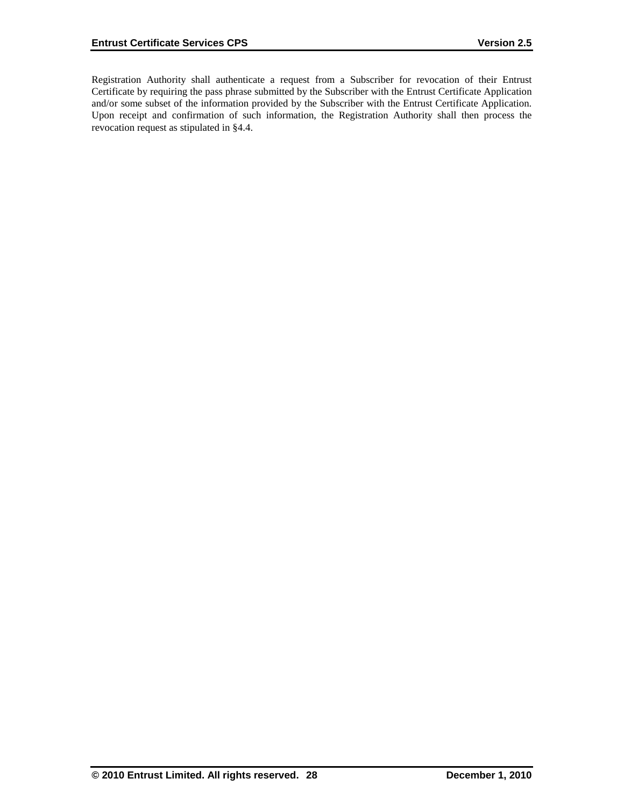Registration Authority shall authenticate a request from a Subscriber for revocation of their Entrust Certificate by requiring the pass phrase submitted by the Subscriber with the Entrust Certificate Application and/or some subset of the information provided by the Subscriber with the Entrust Certificate Application. Upon receipt and confirmation of such information, the Registration Authority shall then process the revocation request as stipulated in §4.4.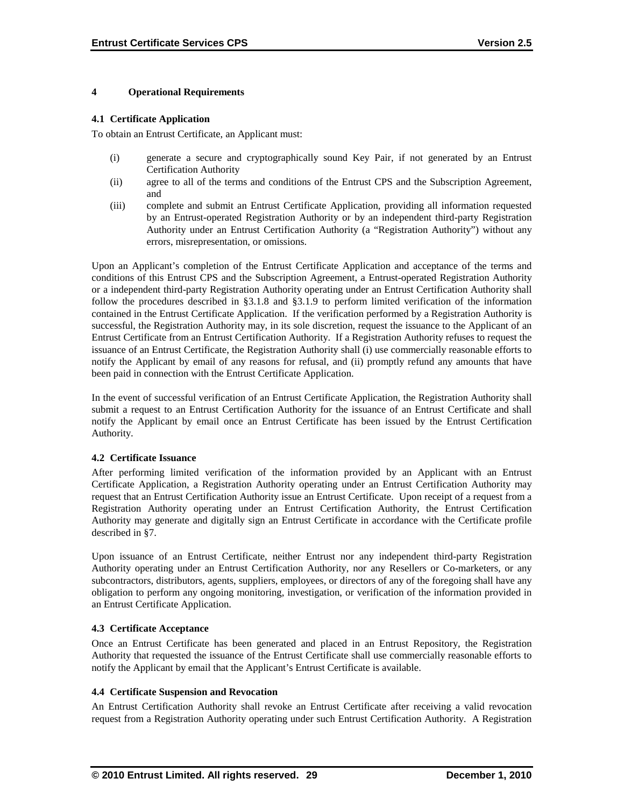#### **4 Operational Requirements**

#### **4.1 Certificate Application**

To obtain an Entrust Certificate, an Applicant must:

- (i) generate a secure and cryptographically sound Key Pair, if not generated by an Entrust Certification Authority
- (ii) agree to all of the terms and conditions of the Entrust CPS and the Subscription Agreement, and
- (iii) complete and submit an Entrust Certificate Application, providing all information requested by an Entrust-operated Registration Authority or by an independent third-party Registration Authority under an Entrust Certification Authority (a "Registration Authority") without any errors, misrepresentation, or omissions.

Upon an Applicant's completion of the Entrust Certificate Application and acceptance of the terms and conditions of this Entrust CPS and the Subscription Agreement, a Entrust-operated Registration Authority or a independent third-party Registration Authority operating under an Entrust Certification Authority shall follow the procedures described in §3.1.8 and §3.1.9 to perform limited verification of the information contained in the Entrust Certificate Application. If the verification performed by a Registration Authority is successful, the Registration Authority may, in its sole discretion, request the issuance to the Applicant of an Entrust Certificate from an Entrust Certification Authority. If a Registration Authority refuses to request the issuance of an Entrust Certificate, the Registration Authority shall (i) use commercially reasonable efforts to notify the Applicant by email of any reasons for refusal, and (ii) promptly refund any amounts that have been paid in connection with the Entrust Certificate Application.

In the event of successful verification of an Entrust Certificate Application, the Registration Authority shall submit a request to an Entrust Certification Authority for the issuance of an Entrust Certificate and shall notify the Applicant by email once an Entrust Certificate has been issued by the Entrust Certification Authority.

#### **4.2 Certificate Issuance**

After performing limited verification of the information provided by an Applicant with an Entrust Certificate Application, a Registration Authority operating under an Entrust Certification Authority may request that an Entrust Certification Authority issue an Entrust Certificate. Upon receipt of a request from a Registration Authority operating under an Entrust Certification Authority, the Entrust Certification Authority may generate and digitally sign an Entrust Certificate in accordance with the Certificate profile described in §7.

Upon issuance of an Entrust Certificate, neither Entrust nor any independent third-party Registration Authority operating under an Entrust Certification Authority, nor any Resellers or Co-marketers, or any subcontractors, distributors, agents, suppliers, employees, or directors of any of the foregoing shall have any obligation to perform any ongoing monitoring, investigation, or verification of the information provided in an Entrust Certificate Application.

#### **4.3 Certificate Acceptance**

Once an Entrust Certificate has been generated and placed in an Entrust Repository, the Registration Authority that requested the issuance of the Entrust Certificate shall use commercially reasonable efforts to notify the Applicant by email that the Applicant's Entrust Certificate is available.

#### **4.4 Certificate Suspension and Revocation**

An Entrust Certification Authority shall revoke an Entrust Certificate after receiving a valid revocation request from a Registration Authority operating under such Entrust Certification Authority. A Registration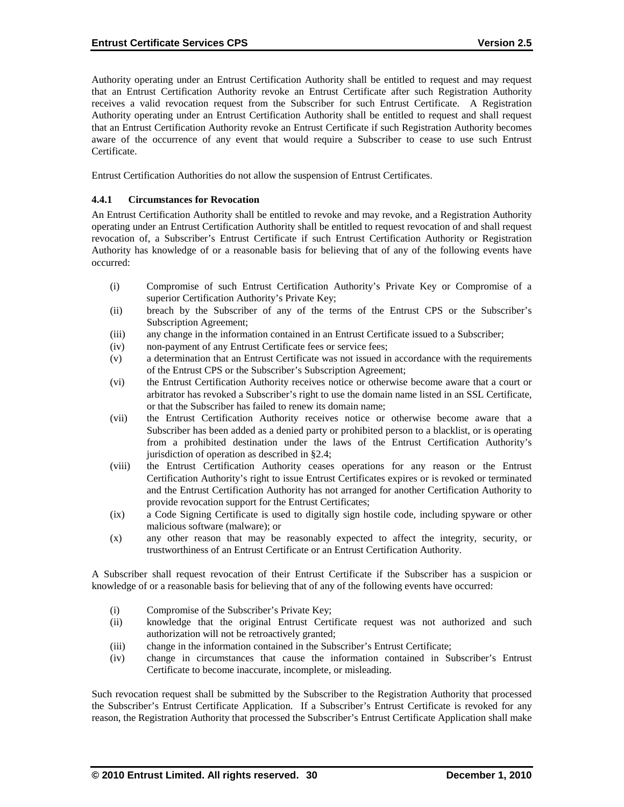Authority operating under an Entrust Certification Authority shall be entitled to request and may request that an Entrust Certification Authority revoke an Entrust Certificate after such Registration Authority receives a valid revocation request from the Subscriber for such Entrust Certificate. A Registration Authority operating under an Entrust Certification Authority shall be entitled to request and shall request that an Entrust Certification Authority revoke an Entrust Certificate if such Registration Authority becomes aware of the occurrence of any event that would require a Subscriber to cease to use such Entrust Certificate.

Entrust Certification Authorities do not allow the suspension of Entrust Certificates.

#### **4.4.1 Circumstances for Revocation**

An Entrust Certification Authority shall be entitled to revoke and may revoke, and a Registration Authority operating under an Entrust Certification Authority shall be entitled to request revocation of and shall request revocation of, a Subscriber's Entrust Certificate if such Entrust Certification Authority or Registration Authority has knowledge of or a reasonable basis for believing that of any of the following events have occurred:

- (i) Compromise of such Entrust Certification Authority's Private Key or Compromise of a superior Certification Authority's Private Key;
- (ii) breach by the Subscriber of any of the terms of the Entrust CPS or the Subscriber's Subscription Agreement;
- (iii) any change in the information contained in an Entrust Certificate issued to a Subscriber;
- (iv) non-payment of any Entrust Certificate fees or service fees;
- (v) a determination that an Entrust Certificate was not issued in accordance with the requirements of the Entrust CPS or the Subscriber's Subscription Agreement;
- (vi) the Entrust Certification Authority receives notice or otherwise become aware that a court or arbitrator has revoked a Subscriber's right to use the domain name listed in an SSL Certificate, or that the Subscriber has failed to renew its domain name;
- (vii) the Entrust Certification Authority receives notice or otherwise become aware that a Subscriber has been added as a denied party or prohibited person to a blacklist, or is operating from a prohibited destination under the laws of the Entrust Certification Authority's jurisdiction of operation as described in §2.4;
- (viii) the Entrust Certification Authority ceases operations for any reason or the Entrust Certification Authority's right to issue Entrust Certificates expires or is revoked or terminated and the Entrust Certification Authority has not arranged for another Certification Authority to provide revocation support for the Entrust Certificates;
- (ix) a Code Signing Certificate is used to digitally sign hostile code, including spyware or other malicious software (malware); or
- (x) any other reason that may be reasonably expected to affect the integrity, security, or trustworthiness of an Entrust Certificate or an Entrust Certification Authority.

A Subscriber shall request revocation of their Entrust Certificate if the Subscriber has a suspicion or knowledge of or a reasonable basis for believing that of any of the following events have occurred:

- (i) Compromise of the Subscriber's Private Key;
- (ii) knowledge that the original Entrust Certificate request was not authorized and such authorization will not be retroactively granted;
- (iii) change in the information contained in the Subscriber's Entrust Certificate;
- (iv) change in circumstances that cause the information contained in Subscriber's Entrust Certificate to become inaccurate, incomplete, or misleading.

Such revocation request shall be submitted by the Subscriber to the Registration Authority that processed the Subscriber's Entrust Certificate Application. If a Subscriber's Entrust Certificate is revoked for any reason, the Registration Authority that processed the Subscriber's Entrust Certificate Application shall make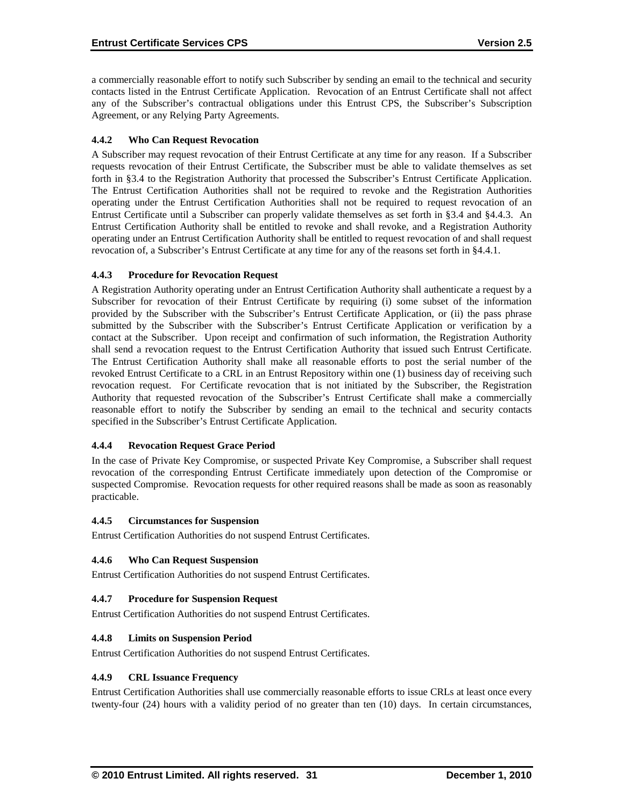a commercially reasonable effort to notify such Subscriber by sending an email to the technical and security contacts listed in the Entrust Certificate Application. Revocation of an Entrust Certificate shall not affect any of the Subscriber's contractual obligations under this Entrust CPS, the Subscriber's Subscription Agreement, or any Relying Party Agreements.

# **4.4.2 Who Can Request Revocation**

A Subscriber may request revocation of their Entrust Certificate at any time for any reason. If a Subscriber requests revocation of their Entrust Certificate, the Subscriber must be able to validate themselves as set forth in §3.4 to the Registration Authority that processed the Subscriber's Entrust Certificate Application. The Entrust Certification Authorities shall not be required to revoke and the Registration Authorities operating under the Entrust Certification Authorities shall not be required to request revocation of an Entrust Certificate until a Subscriber can properly validate themselves as set forth in §3.4 and §4.4.3. An Entrust Certification Authority shall be entitled to revoke and shall revoke, and a Registration Authority operating under an Entrust Certification Authority shall be entitled to request revocation of and shall request revocation of, a Subscriber's Entrust Certificate at any time for any of the reasons set forth in §4.4.1.

### **4.4.3 Procedure for Revocation Request**

A Registration Authority operating under an Entrust Certification Authority shall authenticate a request by a Subscriber for revocation of their Entrust Certificate by requiring (i) some subset of the information provided by the Subscriber with the Subscriber's Entrust Certificate Application, or (ii) the pass phrase submitted by the Subscriber with the Subscriber's Entrust Certificate Application or verification by a contact at the Subscriber. Upon receipt and confirmation of such information, the Registration Authority shall send a revocation request to the Entrust Certification Authority that issued such Entrust Certificate. The Entrust Certification Authority shall make all reasonable efforts to post the serial number of the revoked Entrust Certificate to a CRL in an Entrust Repository within one (1) business day of receiving such revocation request. For Certificate revocation that is not initiated by the Subscriber, the Registration Authority that requested revocation of the Subscriber's Entrust Certificate shall make a commercially reasonable effort to notify the Subscriber by sending an email to the technical and security contacts specified in the Subscriber's Entrust Certificate Application.

# **4.4.4 Revocation Request Grace Period**

In the case of Private Key Compromise, or suspected Private Key Compromise, a Subscriber shall request revocation of the corresponding Entrust Certificate immediately upon detection of the Compromise or suspected Compromise. Revocation requests for other required reasons shall be made as soon as reasonably practicable.

#### **4.4.5 Circumstances for Suspension**

Entrust Certification Authorities do not suspend Entrust Certificates.

#### **4.4.6 Who Can Request Suspension**

Entrust Certification Authorities do not suspend Entrust Certificates.

#### **4.4.7 Procedure for Suspension Request**

Entrust Certification Authorities do not suspend Entrust Certificates.

#### **4.4.8 Limits on Suspension Period**

Entrust Certification Authorities do not suspend Entrust Certificates.

#### **4.4.9 CRL Issuance Frequency**

Entrust Certification Authorities shall use commercially reasonable efforts to issue CRLs at least once every twenty-four (24) hours with a validity period of no greater than ten (10) days. In certain circumstances,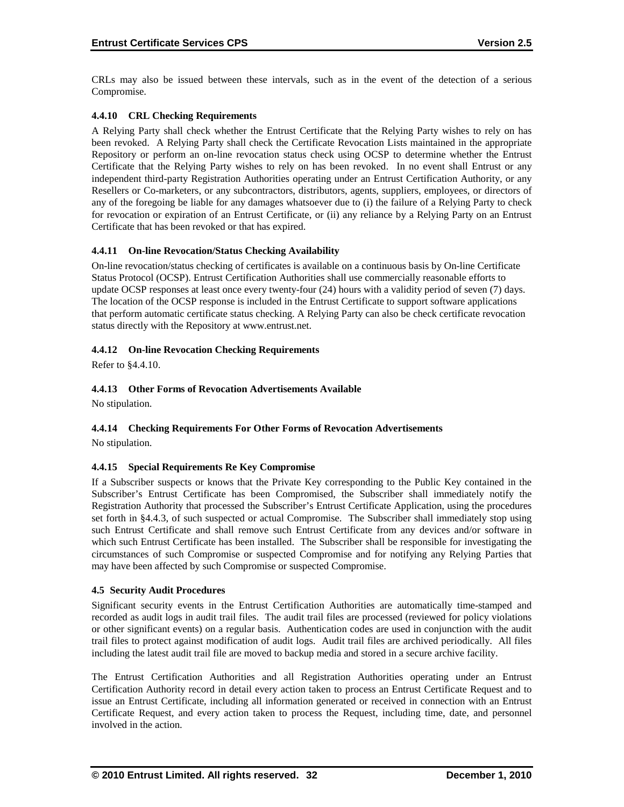CRLs may also be issued between these intervals, such as in the event of the detection of a serious Compromise.

# **4.4.10 CRL Checking Requirements**

A Relying Party shall check whether the Entrust Certificate that the Relying Party wishes to rely on has been revoked. A Relying Party shall check the Certificate Revocation Lists maintained in the appropriate Repository or perform an on-line revocation status check using OCSP to determine whether the Entrust Certificate that the Relying Party wishes to rely on has been revoked. In no event shall Entrust or any independent third-party Registration Authorities operating under an Entrust Certification Authority, or any Resellers or Co-marketers, or any subcontractors, distributors, agents, suppliers, employees, or directors of any of the foregoing be liable for any damages whatsoever due to (i) the failure of a Relying Party to check for revocation or expiration of an Entrust Certificate, or (ii) any reliance by a Relying Party on an Entrust Certificate that has been revoked or that has expired.

# **4.4.11 On-line Revocation/Status Checking Availability**

On-line revocation/status checking of certificates is available on a continuous basis by On-line Certificate Status Protocol (OCSP). Entrust Certification Authorities shall use commercially reasonable efforts to update OCSP responses at least once every twenty-four (24) hours with a validity period of seven (7) days. The location of the OCSP response is included in the Entrust Certificate to support software applications that perform automatic certificate status checking. A Relying Party can also be check certificate revocation status directly with the Repository at www.entrust.net.

# **4.4.12 On-line Revocation Checking Requirements**

Refer to §4.4.10.

# **4.4.13 Other Forms of Revocation Advertisements Available**

No stipulation.

# **4.4.14 Checking Requirements For Other Forms of Revocation Advertisements**

No stipulation.

# **4.4.15 Special Requirements Re Key Compromise**

If a Subscriber suspects or knows that the Private Key corresponding to the Public Key contained in the Subscriber's Entrust Certificate has been Compromised, the Subscriber shall immediately notify the Registration Authority that processed the Subscriber's Entrust Certificate Application, using the procedures set forth in §4.4.3, of such suspected or actual Compromise. The Subscriber shall immediately stop using such Entrust Certificate and shall remove such Entrust Certificate from any devices and/or software in which such Entrust Certificate has been installed. The Subscriber shall be responsible for investigating the circumstances of such Compromise or suspected Compromise and for notifying any Relying Parties that may have been affected by such Compromise or suspected Compromise.

# **4.5 Security Audit Procedures**

Significant security events in the Entrust Certification Authorities are automatically time-stamped and recorded as audit logs in audit trail files. The audit trail files are processed (reviewed for policy violations or other significant events) on a regular basis. Authentication codes are used in conjunction with the audit trail files to protect against modification of audit logs. Audit trail files are archived periodically. All files including the latest audit trail file are moved to backup media and stored in a secure archive facility.

The Entrust Certification Authorities and all Registration Authorities operating under an Entrust Certification Authority record in detail every action taken to process an Entrust Certificate Request and to issue an Entrust Certificate, including all information generated or received in connection with an Entrust Certificate Request, and every action taken to process the Request, including time, date, and personnel involved in the action.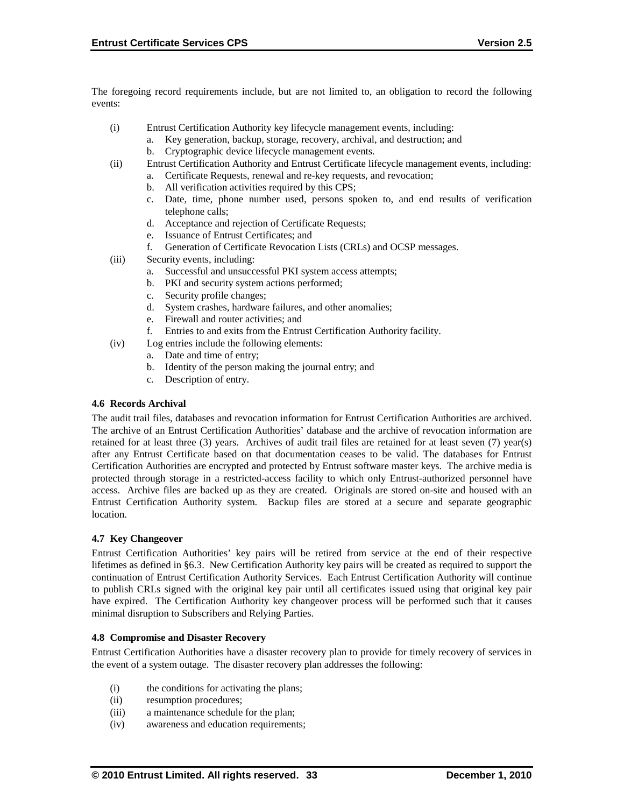The foregoing record requirements include, but are not limited to, an obligation to record the following events:

- (i) Entrust Certification Authority key lifecycle management events, including:
	- a. Key generation, backup, storage, recovery, archival, and destruction; and
	- b. Cryptographic device lifecycle management events.
- (ii) Entrust Certification Authority and Entrust Certificate lifecycle management events, including:
	- a. Certificate Requests, renewal and re-key requests, and revocation;
		- b. All verification activities required by this CPS;
	- c. Date, time, phone number used, persons spoken to, and end results of verification telephone calls;
	- d. Acceptance and rejection of Certificate Requests;
	- e. Issuance of Entrust Certificates; and
	- f. Generation of Certificate Revocation Lists (CRLs) and OCSP messages.
- (iii) Security events, including:
	- a. Successful and unsuccessful PKI system access attempts;
	- b. PKI and security system actions performed;
	- c. Security profile changes;
	- d. System crashes, hardware failures, and other anomalies;
	- e. Firewall and router activities; and
	- f. Entries to and exits from the Entrust Certification Authority facility.
- (iv) Log entries include the following elements:
	- a. Date and time of entry;
	- b. Identity of the person making the journal entry; and
	- c. Description of entry.

#### **4.6 Records Archival**

The audit trail files, databases and revocation information for Entrust Certification Authorities are archived. The archive of an Entrust Certification Authorities' database and the archive of revocation information are retained for at least three (3) years. Archives of audit trail files are retained for at least seven (7) year(s) after any Entrust Certificate based on that documentation ceases to be valid. The databases for Entrust Certification Authorities are encrypted and protected by Entrust software master keys. The archive media is protected through storage in a restricted-access facility to which only Entrust-authorized personnel have access. Archive files are backed up as they are created. Originals are stored on-site and housed with an Entrust Certification Authority system. Backup files are stored at a secure and separate geographic location.

#### **4.7 Key Changeover**

Entrust Certification Authorities' key pairs will be retired from service at the end of their respective lifetimes as defined in §6.3. New Certification Authority key pairs will be created as required to support the continuation of Entrust Certification Authority Services. Each Entrust Certification Authority will continue to publish CRLs signed with the original key pair until all certificates issued using that original key pair have expired. The Certification Authority key changeover process will be performed such that it causes minimal disruption to Subscribers and Relying Parties.

#### **4.8 Compromise and Disaster Recovery**

Entrust Certification Authorities have a disaster recovery plan to provide for timely recovery of services in the event of a system outage. The disaster recovery plan addresses the following:

- (i) the conditions for activating the plans;
- (ii) resumption procedures;
- (iii) a maintenance schedule for the plan;
- (iv) awareness and education requirements;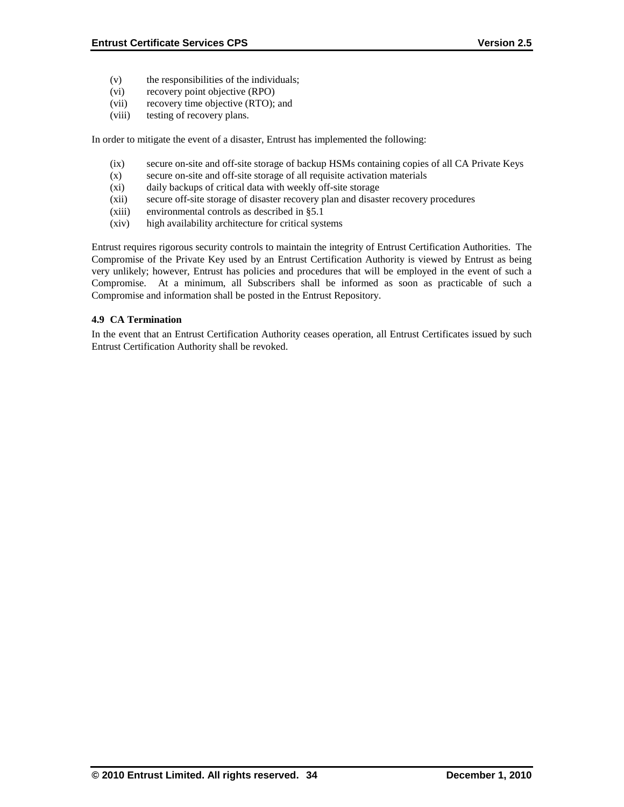- (v) the responsibilities of the individuals;
- (vi) recovery point objective (RPO)
- (vii) recovery time objective (RTO); and
- (viii) testing of recovery plans.

In order to mitigate the event of a disaster, Entrust has implemented the following:

- (ix) secure on-site and off-site storage of backup HSMs containing copies of all CA Private Keys
- (x) secure on-site and off-site storage of all requisite activation materials
- (xi) daily backups of critical data with weekly off-site storage
- (xii) secure off-site storage of disaster recovery plan and disaster recovery procedures
- (xiii) environmental controls as described in §5.1
- (xiv) high availability architecture for critical systems

Entrust requires rigorous security controls to maintain the integrity of Entrust Certification Authorities. The Compromise of the Private Key used by an Entrust Certification Authority is viewed by Entrust as being very unlikely; however, Entrust has policies and procedures that will be employed in the event of such a Compromise. At a minimum, all Subscribers shall be informed as soon as practicable of such a Compromise and information shall be posted in the Entrust Repository.

### **4.9 CA Termination**

In the event that an Entrust Certification Authority ceases operation, all Entrust Certificates issued by such Entrust Certification Authority shall be revoked.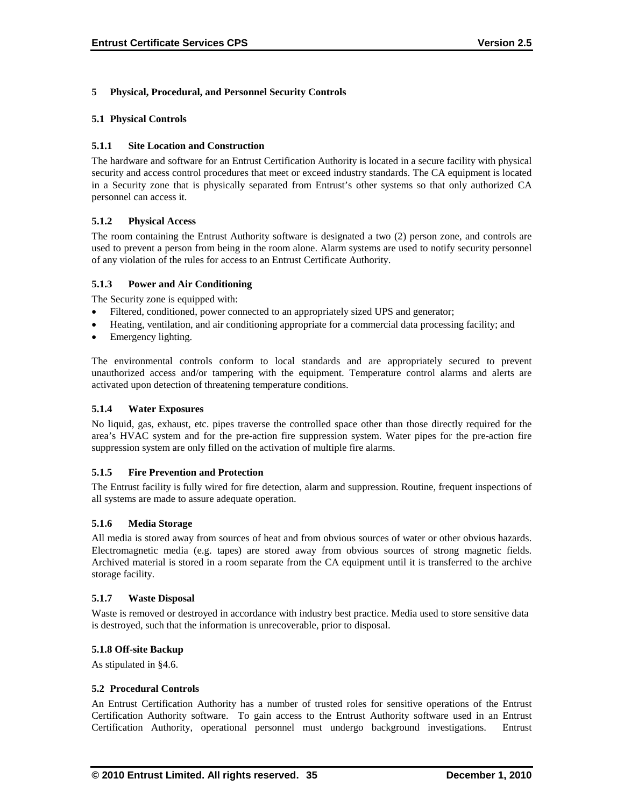#### **5 Physical, Procedural, and Personnel Security Controls**

#### **5.1 Physical Controls**

#### **5.1.1 Site Location and Construction**

The hardware and software for an Entrust Certification Authority is located in a secure facility with physical security and access control procedures that meet or exceed industry standards. The CA equipment is located in a Security zone that is physically separated from Entrust's other systems so that only authorized CA personnel can access it.

#### **5.1.2 Physical Access**

The room containing the Entrust Authority software is designated a two (2) person zone, and controls are used to prevent a person from being in the room alone. Alarm systems are used to notify security personnel of any violation of the rules for access to an Entrust Certificate Authority.

#### **5.1.3 Power and Air Conditioning**

The Security zone is equipped with:

- Filtered, conditioned, power connected to an appropriately sized UPS and generator;
- Heating, ventilation, and air conditioning appropriate for a commercial data processing facility; and
- Emergency lighting.

The environmental controls conform to local standards and are appropriately secured to prevent unauthorized access and/or tampering with the equipment. Temperature control alarms and alerts are activated upon detection of threatening temperature conditions.

#### **5.1.4 Water Exposures**

No liquid, gas, exhaust, etc. pipes traverse the controlled space other than those directly required for the area's HVAC system and for the pre-action fire suppression system. Water pipes for the pre-action fire suppression system are only filled on the activation of multiple fire alarms.

#### **5.1.5 Fire Prevention and Protection**

The Entrust facility is fully wired for fire detection, alarm and suppression. Routine, frequent inspections of all systems are made to assure adequate operation.

#### **5.1.6 Media Storage**

All media is stored away from sources of heat and from obvious sources of water or other obvious hazards. Electromagnetic media (e.g. tapes) are stored away from obvious sources of strong magnetic fields. Archived material is stored in a room separate from the CA equipment until it is transferred to the archive storage facility.

#### **5.1.7 Waste Disposal**

Waste is removed or destroyed in accordance with industry best practice. Media used to store sensitive data is destroyed, such that the information is unrecoverable, prior to disposal.

#### **5.1.8 Off-site Backup**

As stipulated in §4.6.

#### **5.2 Procedural Controls**

An Entrust Certification Authority has a number of trusted roles for sensitive operations of the Entrust Certification Authority software. To gain access to the Entrust Authority software used in an Entrust Certification Authority, operational personnel must undergo background investigations. Entrust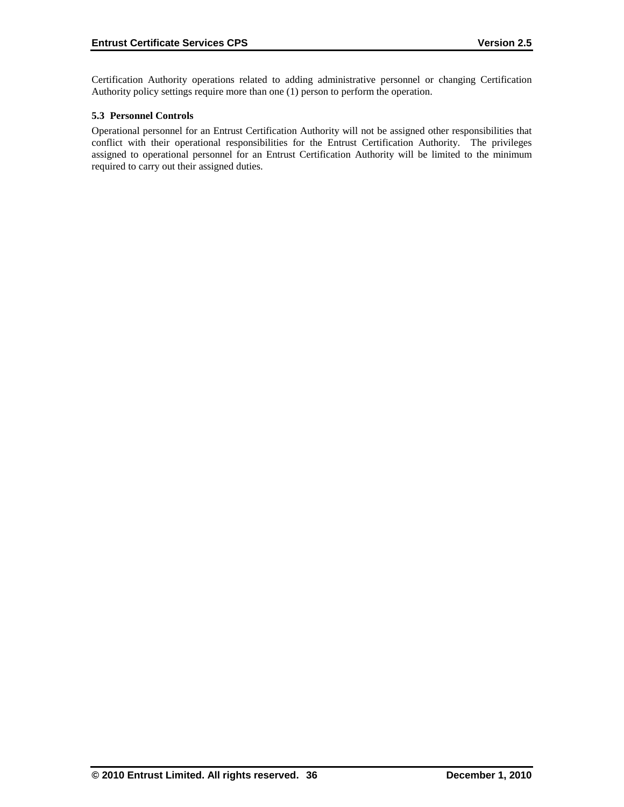Certification Authority operations related to adding administrative personnel or changing Certification Authority policy settings require more than one (1) person to perform the operation.

### **5.3 Personnel Controls**

Operational personnel for an Entrust Certification Authority will not be assigned other responsibilities that conflict with their operational responsibilities for the Entrust Certification Authority. The privileges assigned to operational personnel for an Entrust Certification Authority will be limited to the minimum required to carry out their assigned duties.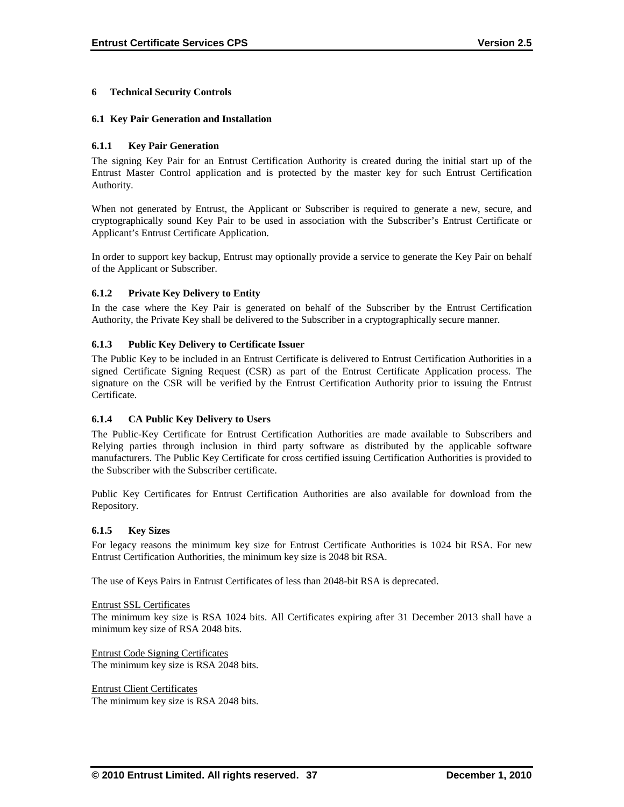#### **6 Technical Security Controls**

#### **6.1 Key Pair Generation and Installation**

#### **6.1.1 Key Pair Generation**

The signing Key Pair for an Entrust Certification Authority is created during the initial start up of the Entrust Master Control application and is protected by the master key for such Entrust Certification Authority.

When not generated by Entrust, the Applicant or Subscriber is required to generate a new, secure, and cryptographically sound Key Pair to be used in association with the Subscriber's Entrust Certificate or Applicant's Entrust Certificate Application.

In order to support key backup, Entrust may optionally provide a service to generate the Key Pair on behalf of the Applicant or Subscriber.

#### **6.1.2 Private Key Delivery to Entity**

In the case where the Key Pair is generated on behalf of the Subscriber by the Entrust Certification Authority, the Private Key shall be delivered to the Subscriber in a cryptographically secure manner.

#### **6.1.3 Public Key Delivery to Certificate Issuer**

The Public Key to be included in an Entrust Certificate is delivered to Entrust Certification Authorities in a signed Certificate Signing Request (CSR) as part of the Entrust Certificate Application process. The signature on the CSR will be verified by the Entrust Certification Authority prior to issuing the Entrust Certificate.

#### **6.1.4 CA Public Key Delivery to Users**

The Public-Key Certificate for Entrust Certification Authorities are made available to Subscribers and Relying parties through inclusion in third party software as distributed by the applicable software manufacturers. The Public Key Certificate for cross certified issuing Certification Authorities is provided to the Subscriber with the Subscriber certificate.

Public Key Certificates for Entrust Certification Authorities are also available for download from the Repository.

#### **6.1.5 Key Sizes**

For legacy reasons the minimum key size for Entrust Certificate Authorities is 1024 bit RSA. For new Entrust Certification Authorities, the minimum key size is 2048 bit RSA.

The use of Keys Pairs in Entrust Certificates of less than 2048-bit RSA is deprecated.

Entrust SSL Certificates

The minimum key size is RSA 1024 bits. All Certificates expiring after 31 December 2013 shall have a minimum key size of RSA 2048 bits.

Entrust Code Signing Certificates The minimum key size is RSA 2048 bits.

Entrust Client Certificates The minimum key size is RSA 2048 bits.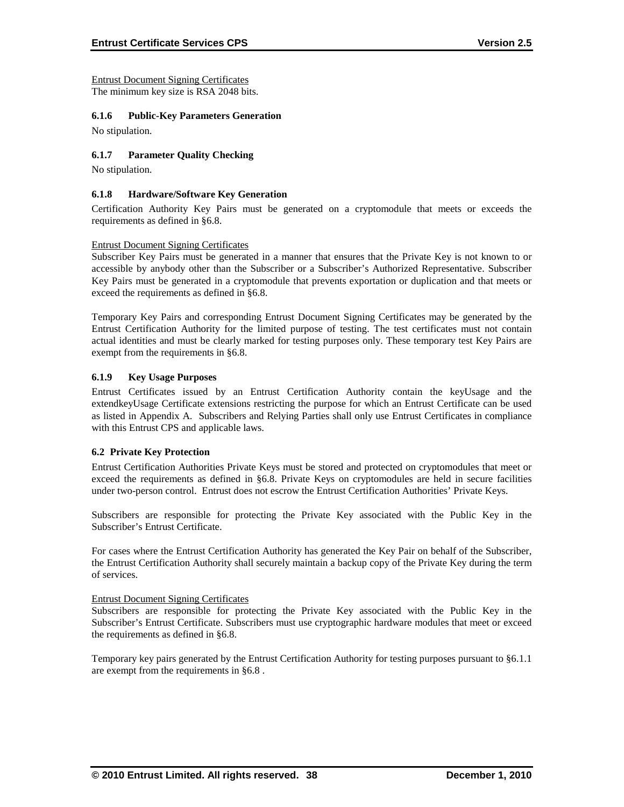Entrust Document Signing Certificates The minimum key size is RSA 2048 bits.

#### **6.1.6 Public-Key Parameters Generation**

No stipulation.

#### **6.1.7 Parameter Quality Checking**

No stipulation.

#### **6.1.8 Hardware/Software Key Generation**

Certification Authority Key Pairs must be generated on a cryptomodule that meets or exceeds the requirements as defined in §6.8.

#### Entrust Document Signing Certificates

Subscriber Key Pairs must be generated in a manner that ensures that the Private Key is not known to or accessible by anybody other than the Subscriber or a Subscriber's Authorized Representative. Subscriber Key Pairs must be generated in a cryptomodule that prevents exportation or duplication and that meets or exceed the requirements as defined in §6.8.

Temporary Key Pairs and corresponding Entrust Document Signing Certificates may be generated by the Entrust Certification Authority for the limited purpose of testing. The test certificates must not contain actual identities and must be clearly marked for testing purposes only. These temporary test Key Pairs are exempt from the requirements in §6.8.

#### **6.1.9 Key Usage Purposes**

Entrust Certificates issued by an Entrust Certification Authority contain the keyUsage and the extendkeyUsage Certificate extensions restricting the purpose for which an Entrust Certificate can be used as listed in Appendix A. Subscribers and Relying Parties shall only use Entrust Certificates in compliance with this Entrust CPS and applicable laws.

#### **6.2 Private Key Protection**

Entrust Certification Authorities Private Keys must be stored and protected on cryptomodules that meet or exceed the requirements as defined in §6.8. Private Keys on cryptomodules are held in secure facilities under two-person control. Entrust does not escrow the Entrust Certification Authorities' Private Keys.

Subscribers are responsible for protecting the Private Key associated with the Public Key in the Subscriber's Entrust Certificate.

For cases where the Entrust Certification Authority has generated the Key Pair on behalf of the Subscriber, the Entrust Certification Authority shall securely maintain a backup copy of the Private Key during the term of services.

#### Entrust Document Signing Certificates

Subscribers are responsible for protecting the Private Key associated with the Public Key in the Subscriber's Entrust Certificate. Subscribers must use cryptographic hardware modules that meet or exceed the requirements as defined in §6.8.

Temporary key pairs generated by the Entrust Certification Authority for testing purposes pursuant to §6.1.1 are exempt from the requirements in §6.8 .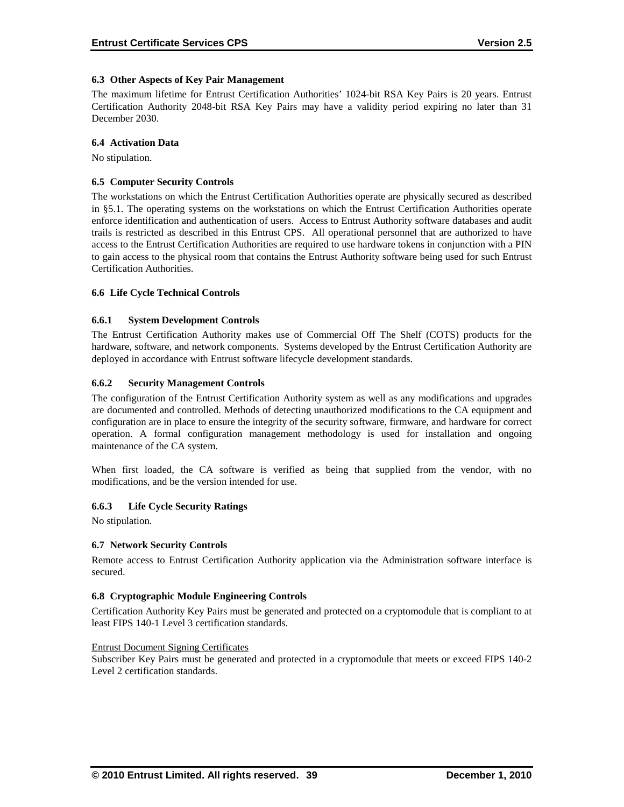#### **6.3 Other Aspects of Key Pair Management**

The maximum lifetime for Entrust Certification Authorities' 1024-bit RSA Key Pairs is 20 years. Entrust Certification Authority 2048-bit RSA Key Pairs may have a validity period expiring no later than 31 December 2030.

#### **6.4 Activation Data**

No stipulation.

#### **6.5 Computer Security Controls**

The workstations on which the Entrust Certification Authorities operate are physically secured as described in §5.1. The operating systems on the workstations on which the Entrust Certification Authorities operate enforce identification and authentication of users. Access to Entrust Authority software databases and audit trails is restricted as described in this Entrust CPS. All operational personnel that are authorized to have access to the Entrust Certification Authorities are required to use hardware tokens in conjunction with a PIN to gain access to the physical room that contains the Entrust Authority software being used for such Entrust Certification Authorities.

#### **6.6 Life Cycle Technical Controls**

#### **6.6.1 System Development Controls**

The Entrust Certification Authority makes use of Commercial Off The Shelf (COTS) products for the hardware, software, and network components. Systems developed by the Entrust Certification Authority are deployed in accordance with Entrust software lifecycle development standards.

#### **6.6.2 Security Management Controls**

The configuration of the Entrust Certification Authority system as well as any modifications and upgrades are documented and controlled. Methods of detecting unauthorized modifications to the CA equipment and configuration are in place to ensure the integrity of the security software, firmware, and hardware for correct operation. A formal configuration management methodology is used for installation and ongoing maintenance of the CA system.

When first loaded, the CA software is verified as being that supplied from the vendor, with no modifications, and be the version intended for use.

#### **6.6.3 Life Cycle Security Ratings**

No stipulation.

#### **6.7 Network Security Controls**

Remote access to Entrust Certification Authority application via the Administration software interface is secured.

#### **6.8 Cryptographic Module Engineering Controls**

Certification Authority Key Pairs must be generated and protected on a cryptomodule that is compliant to at least FIPS 140-1 Level 3 certification standards.

#### Entrust Document Signing Certificates

Subscriber Key Pairs must be generated and protected in a cryptomodule that meets or exceed FIPS 140-2 Level 2 certification standards.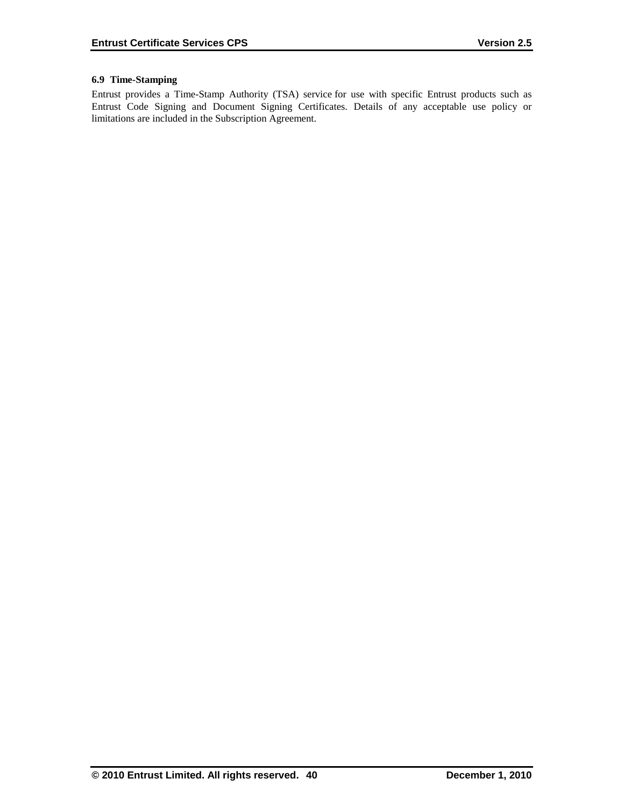# **6.9 Time-Stamping**

Entrust provides a Time-Stamp Authority (TSA) service for use with specific Entrust products such as Entrust Code Signing and Document Signing Certificates. Details of any acceptable use policy or limitations are included in the Subscription Agreement.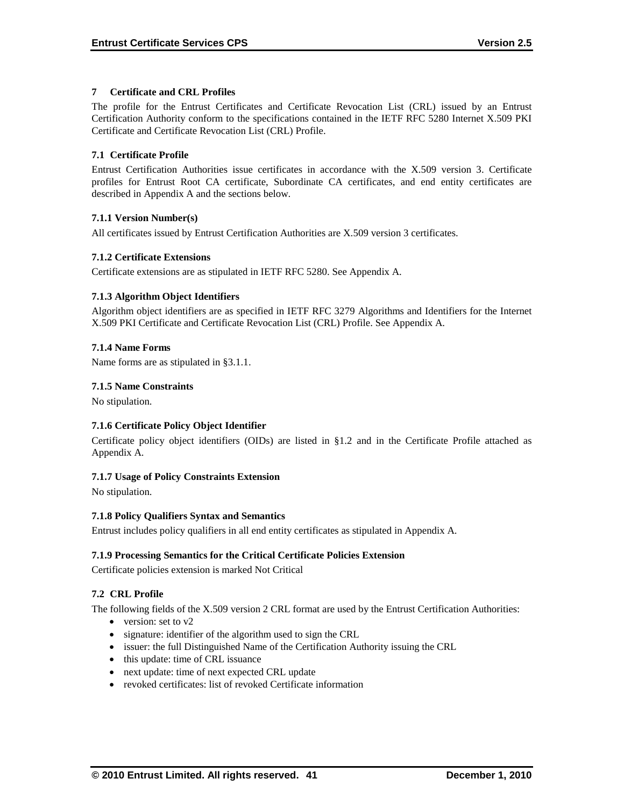# **7 Certificate and CRL Profiles**

The profile for the Entrust Certificates and Certificate Revocation List (CRL) issued by an Entrust Certification Authority conform to the specifications contained in the IETF RFC 5280 Internet X.509 PKI Certificate and Certificate Revocation List (CRL) Profile .

# **7.1 Certificate Profile**

Entrust Certification Authorities issue certificates in accordance with the X.509 version 3. Certificate profiles for Entrust Root CA certificate, Subordinate CA certificates, and end entity certificates are described in Appendix A and the sections below.

### **7.1.1 Version Number(s)**

All certificates issued by Entrust Certification Authorities are X.509 version 3 certificates.

### **7.1.2 Certificate Extensions**

Certificate extensions are as stipulated in IETF RFC 5280. See Appendix A.

### **7.1.3 Algorithm Object Identifiers**

Algorithm object identifiers are as specified in IETF RFC 3279 Algorithms and Identifiers for the Internet X.509 PKI Certificate and Certificate Revocation List (CRL) Profile. See Appendix A.

### **7.1.4 Name Forms**

Name forms are as stipulated in §3.1.1.

### **7.1.5 Name Constraints**

No stipulation.

# **7.1.6 Certificate Policy Object Identifier**

Certificate policy object identifiers (OIDs) are listed in §1.2 and in the Certificate Profile attached as Appendix A.

# **7.1.7 Usage of Policy Constraints Extension**

No stipulation.

#### **7.1.8 Policy Qualifiers Syntax and Semantics**

Entrust includes policy qualifiers in all end entity certificates as stipulated in Appendix A.

# **7.1.9 Processing Semantics for the Critical Certificate Policies Extension**

Certificate policies extension is marked Not Critical

# **7.2 CRL Profile**

The following fields of the X.509 version 2 CRL format are used by the Entrust Certification Authorities:

- version: set to v2
- signature: identifier of the algorithm used to sign the CRL
- issuer: the full Distinguished Name of the Certification Authority issuing the CRL
- this update: time of CRL issuance
- next update: time of next expected CRL update
- revoked certificates: list of revoked Certificate information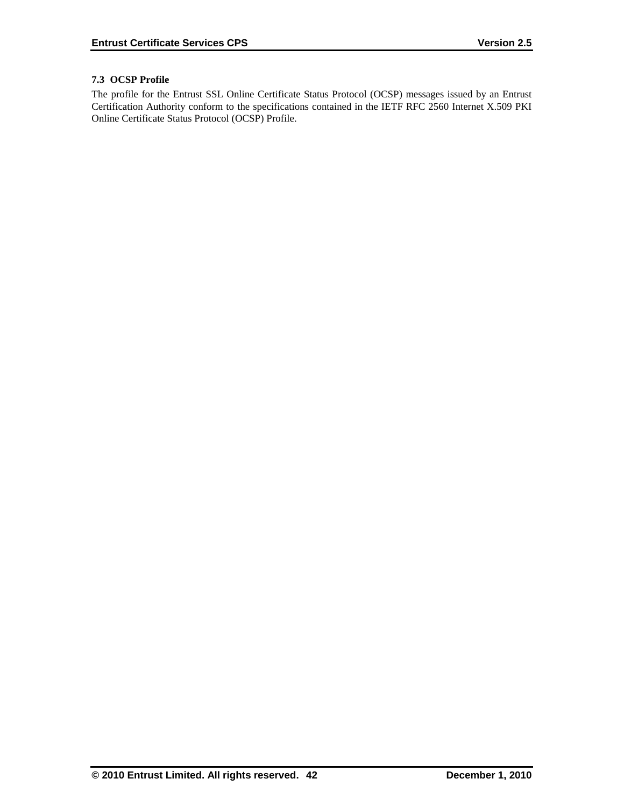# **7.3 OCSP Profile**

The profile for the Entrust SSL Online Certificate Status Protocol (OCSP) messages issued by an Entrust Certification Authority conform to the specifications contained in the IETF RFC 2560 Internet X.509 PKI Online Certificate Status Protocol (OCSP) Profile.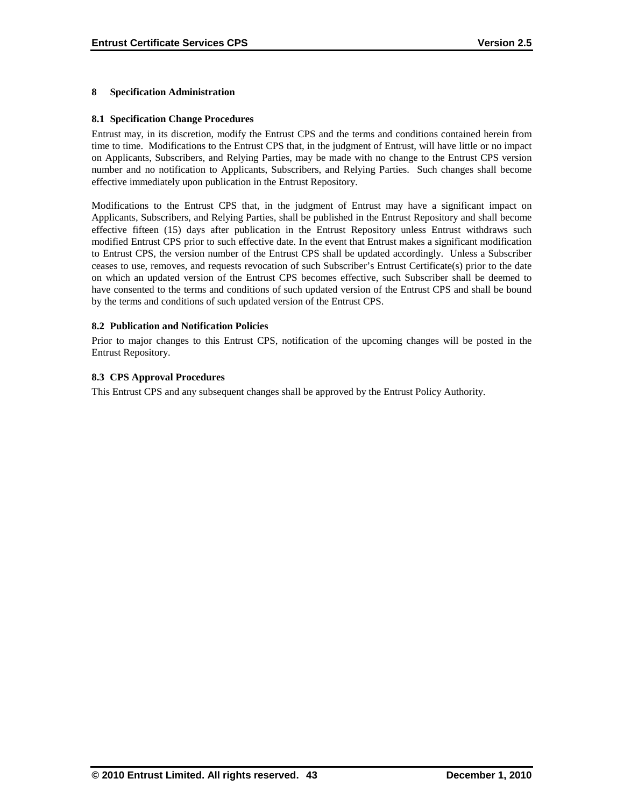### **8 Specification Administration**

#### **8.1 Specification Change Procedures**

Entrust may, in its discretion, modify the Entrust CPS and the terms and conditions contained herein from time to time. Modifications to the Entrust CPS that, in the judgment of Entrust, will have little or no impact on Applicants, Subscribers, and Relying Parties, may be made with no change to the Entrust CPS version number and no notification to Applicants, Subscribers, and Relying Parties. Such changes shall become effective immediately upon publication in the Entrust Repository.

Modifications to the Entrust CPS that, in the judgment of Entrust may have a significant impact on Applicants, Subscribers, and Relying Parties, shall be published in the Entrust Repository and shall become effective fifteen (15) days after publication in the Entrust Repository unless Entrust withdraws such modified Entrust CPS prior to such effective date. In the event that Entrust makes a significant modification to Entrust CPS, the version number of the Entrust CPS shall be updated accordingly. Unless a Subscriber ceases to use, removes, and requests revocation of such Subscriber's Entrust Certificate(s) prior to the date on which an updated version of the Entrust CPS becomes effective, such Subscriber shall be deemed to have consented to the terms and conditions of such updated version of the Entrust CPS and shall be bound by the terms and conditions of such updated version of the Entrust CPS.

### **8.2 Publication and Notification Policies**

Prior to major changes to this Entrust CPS, notification of the upcoming changes will be posted in the Entrust Repository.

### **8.3 CPS Approval Procedures**

This Entrust CPS and any subsequent changes shall be approved by the Entrust Policy Authority.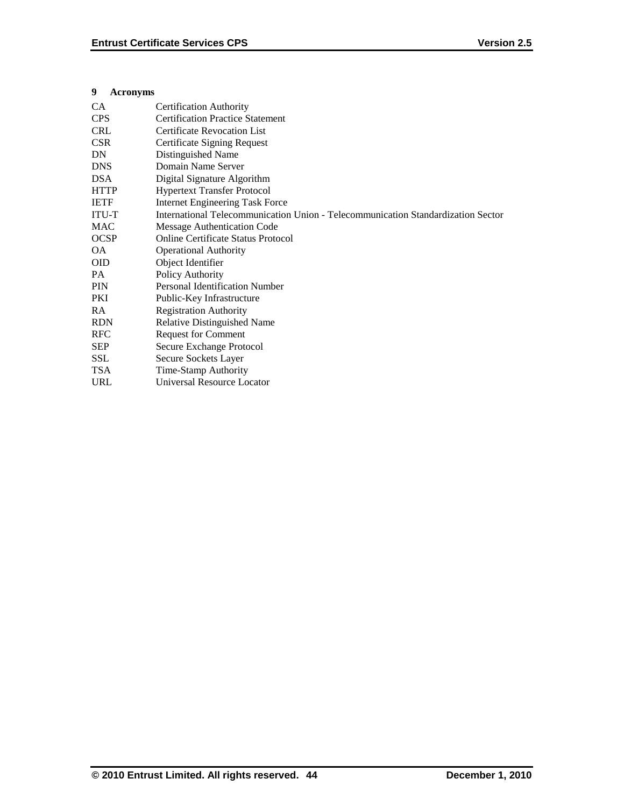### **9 Acronyms**

| <b>Certification Authority</b>                                                   |
|----------------------------------------------------------------------------------|
| <b>Certification Practice Statement</b>                                          |
| <b>Certificate Revocation List</b>                                               |
| Certificate Signing Request                                                      |
| Distinguished Name                                                               |
| Domain Name Server                                                               |
| Digital Signature Algorithm                                                      |
| <b>Hypertext Transfer Protocol</b>                                               |
| <b>Internet Engineering Task Force</b>                                           |
| International Telecommunication Union - Telecommunication Standardization Sector |
| <b>Message Authentication Code</b>                                               |
| Online Certificate Status Protocol                                               |
| <b>Operational Authority</b>                                                     |
| Object Identifier                                                                |
| Policy Authority                                                                 |
| <b>Personal Identification Number</b>                                            |
| Public-Key Infrastructure                                                        |
| <b>Registration Authority</b>                                                    |
| Relative Distinguished Name                                                      |
| <b>Request for Comment</b>                                                       |
| Secure Exchange Protocol                                                         |
| Secure Sockets Layer                                                             |
| Time-Stamp Authority                                                             |
| Universal Resource Locator                                                       |
|                                                                                  |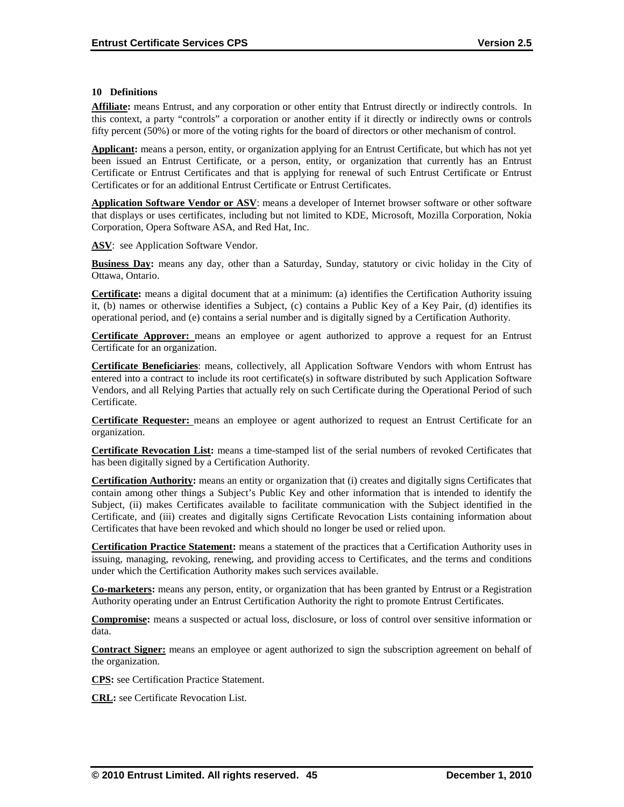#### **10 Definitions**

**Affiliate:** means Entrust, and any corporation or other entity that Entrust directly or indirectly controls. In this context, a party "controls" a corporation or another entity if it directly or indirectly owns or controls fifty percent (50%) or more of the voting rights for the board of directors or other mechanism of control.

**Applicant:** means a person, entity, or organization applying for an Entrust Certificate, but which has not yet been issued an Entrust Certificate, or a person, entity, or organization that currently has an Entrust Certificate or Entrust Certificates and that is applying for renewal of such Entrust Certificate or Entrust Certificates or for an additional Entrust Certificate or Entrust Certificates.

**Application Software Vendor or ASV**: means a developer of Internet browser software or other software that displays or uses certificates, including but not limited to KDE, Microsoft, Mozilla Corporation, Nokia Corporation, Opera Software ASA, and Red Hat, Inc.

**ASV**: see Application Software Vendor.

**Business Day:** means any day, other than a Saturday, Sunday, statutory or civic holiday in the City of Ottawa, Ontario.

**Certificate:** means a digital document that at a minimum: (a) identifies the Certification Authority issuing it, (b) names or otherwise identifies a Subject, (c) contains a Public Key of a Key Pair, (d) identifies its operational period, and (e) contains a serial number and is digitally signed by a Certification Authority.

**Certificate Approver:** means an employee or agent authorized to approve a request for an Entrust Certificate for an organization.

**Certificate Beneficiaries**: means, collectively, all Application Software Vendors with whom Entrust has entered into a contract to include its root certificate(s) in software distributed by such Application Software Vendors, and all Relying Parties that actually rely on such Certificate during the Operational Period of such Certificate.

**Certificate Requester:** means an employee or agent authorized to request an Entrust Certificate for an organization.

**Certificate Revocation List:** means a time-stamped list of the serial numbers of revoked Certificates that has been digitally signed by a Certification Authority.

**Certification Authority:** means an entity or organization that (i) creates and digitally signs Certificates that contain among other things a Subject's Public Key and other information that is intended to identify the Subject, (ii) makes Certificates available to facilitate communication with the Subject identified in the Certificate, and (iii) creates and digitally signs Certificate Revocation Lists containing information about Certificates that have been revoked and which should no longer be used or relied upon.

**Certification Practice Statement:** means a statement of the practices that a Certification Authority uses in issuing, managing, revoking, renewing, and providing access to Certificates, and the terms and conditions under which the Certification Authority makes such services available.

**Co-marketers:** means any person, entity, or organization that has been granted by Entrust or a Registration Authority operating under an Entrust Certification Authority the right to promote Entrust Certificates.

**Compromise:** means a suspected or actual loss, disclosure, or loss of control over sensitive information or data.

**Contract Signer:** means an employee or agent authorized to sign the subscription agreement on behalf of the organization.

**CPS:** see Certification Practice Statement.

**CRL:** see Certificate Revocation List.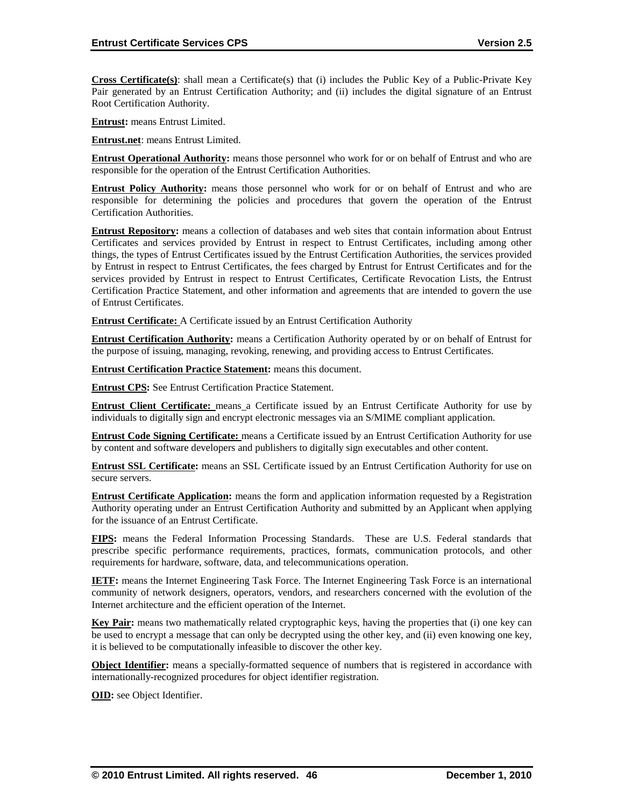**Cross Certificate(s)**: shall mean a Certificate(s) that (i) includes the Public Key of a Public-Private Key Pair generated by an Entrust Certification Authority; and (ii) includes the digital signature of an Entrust Root Certification Authority.

**Entrust:** means Entrust Limited.

**Entrust.net**: means Entrust Limited.

**Entrust Operational Authority:** means those personnel who work for or on behalf of Entrust and who are responsible for the operation of the Entrust Certification Authorities.

**Entrust Policy Authority:** means those personnel who work for or on behalf of Entrust and who are responsible for determining the policies and procedures that govern the operation of the Entrust Certification Authorities.

**Entrust Repository:** means a collection of databases and web sites that contain information about Entrust Certificates and services provided by Entrust in respect to Entrust Certificates, including among other things, the types of Entrust Certificates issued by the Entrust Certification Authorities, the services provided by Entrust in respect to Entrust Certificates, the fees charged by Entrust for Entrust Certificates and for the services provided by Entrust in respect to Entrust Certificates, Certificate Revocation Lists, the Entrust Certification Practice Statement, and other information and agreements that are intended to govern the use of Entrust Certificates.

**Entrust Certificate:** A Certificate issued by an Entrust Certification Authority

**Entrust Certification Authority:** means a Certification Authority operated by or on behalf of Entrust for the purpose of issuing, managing, revoking, renewing, and providing access to Entrust Certificates.

**Entrust Certification Practice Statement:** means this document.

**Entrust CPS:** See Entrust Certification Practice Statement.

**Entrust Client Certificate:** means a Certificate issued by an Entrust Certificate Authority for use by individuals to digitally sign and encrypt electronic messages via an S/MIME compliant application.

**Entrust Code Signing Certificate:** means a Certificate issued by an Entrust Certification Authority for use by content and software developers and publishers to digitally sign executables and other content.

**Entrust SSL Certificate:** means an SSL Certificate issued by an Entrust Certification Authority for use on secure servers.

**Entrust Certificate Application:** means the form and application information requested by a Registration Authority operating under an Entrust Certification Authority and submitted by an Applicant when applying for the issuance of an Entrust Certificate.

**FIPS:** means the Federal Information Processing Standards. These are U.S. Federal standards that prescribe specific performance requirements, practices, formats, communication protocols, and other requirements for hardware, software, data, and telecommunications operation.

**IETF:** means the Internet Engineering Task Force. The Internet Engineering Task Force is an international community of network designers, operators, vendors, and researchers concerned with the evolution of the Internet architecture and the efficient operation of the Internet.

**Key Pair:** means two mathematically related cryptographic keys, having the properties that (i) one key can be used to encrypt a message that can only be decrypted using the other key, and (ii) even knowing one key, it is believed to be computationally infeasible to discover the other key.

**Object Identifier:** means a specially-formatted sequence of numbers that is registered in accordance with internationally-recognized procedures for object identifier registration.

**OID:** see Object Identifier.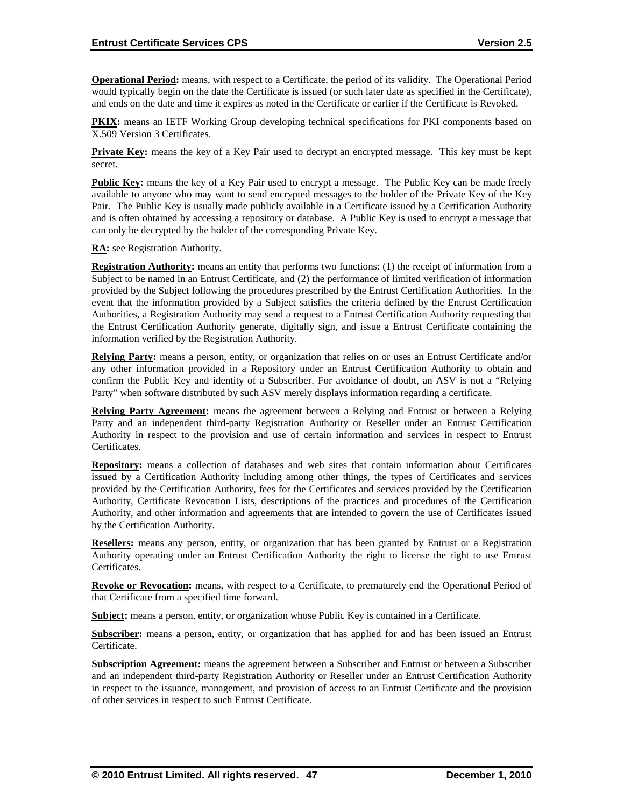**Operational Period:** means, with respect to a Certificate, the period of its validity. The Operational Period would typically begin on the date the Certificate is issued (or such later date as specified in the Certificate), and ends on the date and time it expires as noted in the Certificate or earlier if the Certificate is Revoked.

**PKIX:** means an IETF Working Group developing technical specifications for PKI components based on X.509 Version 3 Certificates.

**Private Key:** means the key of a Key Pair used to decrypt an encrypted message. This key must be kept secret.

**Public Key:** means the key of a Key Pair used to encrypt a message. The Public Key can be made freely available to anyone who may want to send encrypted messages to the holder of the Private Key of the Key Pair. The Public Key is usually made publicly available in a Certificate issued by a Certification Authority and is often obtained by accessing a repository or database. A Public Key is used to encrypt a message that can only be decrypted by the holder of the corresponding Private Key.

**RA:** see Registration Authority.

**Registration Authority:** means an entity that performs two functions: (1) the receipt of information from a Subject to be named in an Entrust Certificate, and (2) the performance of limited verification of information provided by the Subject following the procedures prescribed by the Entrust Certification Authorities. In the event that the information provided by a Subject satisfies the criteria defined by the Entrust Certification Authorities, a Registration Authority may send a request to a Entrust Certification Authority requesting that the Entrust Certification Authority generate, digitally sign, and issue a Entrust Certificate containing the information verified by the Registration Authority.

**Relying Party:** means a person, entity, or organization that relies on or uses an Entrust Certificate and/or any other information provided in a Repository under an Entrust Certification Authority to obtain and confirm the Public Key and identity of a Subscriber. For avoidance of doubt, an ASV is not a "Relying Party" when software distributed by such ASV merely displays information regarding a certificate.

**Relying Party Agreement:** means the agreement between a Relying and Entrust or between a Relying Party and an independent third-party Registration Authority or Reseller under an Entrust Certification Authority in respect to the provision and use of certain information and services in respect to Entrust Certificates.

**Repository:** means a collection of databases and web sites that contain information about Certificates issued by a Certification Authority including among other things, the types of Certificates and services provided by the Certification Authority, fees for the Certificates and services provided by the Certification Authority, Certificate Revocation Lists, descriptions of the practices and procedures of the Certification Authority, and other information and agreements that are intended to govern the use of Certificates issued by the Certification Authority.

**Resellers:** means any person, entity, or organization that has been granted by Entrust or a Registration Authority operating under an Entrust Certification Authority the right to license the right to use Entrust Certificates.

**Revoke or Revocation:** means, with respect to a Certificate, to prematurely end the Operational Period of that Certificate from a specified time forward.

**Subject:** means a person, entity, or organization whose Public Key is contained in a Certificate.

**Subscriber:** means a person, entity, or organization that has applied for and has been issued an Entrust Certificate.

**Subscription Agreement:** means the agreement between a Subscriber and Entrust or between a Subscriber and an independent third-party Registration Authority or Reseller under an Entrust Certification Authority in respect to the issuance, management, and provision of access to an Entrust Certificate and the provision of other services in respect to such Entrust Certificate.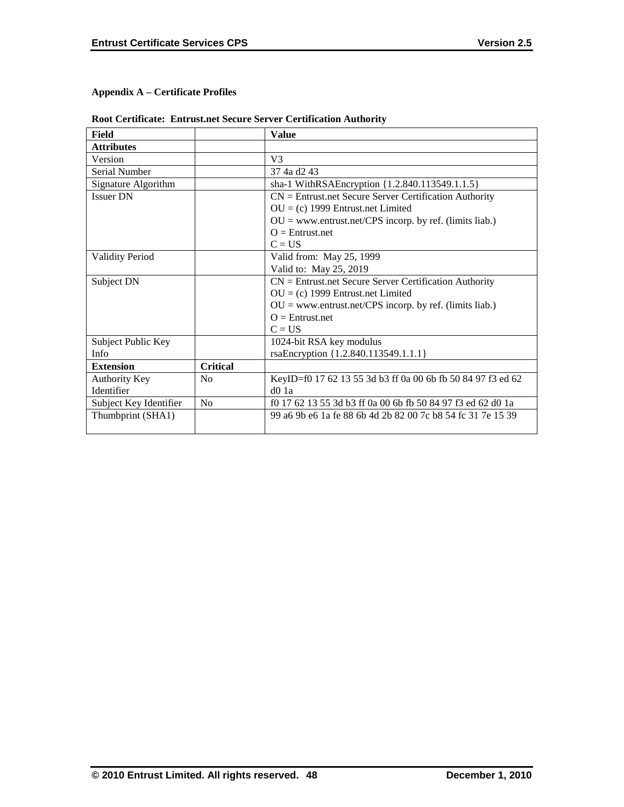# **Appendix A – Certificate Profiles**

|  |  |  | <b>Root Certificate: Entrust.net Secure Server Certification Authority</b> |
|--|--|--|----------------------------------------------------------------------------|
|--|--|--|----------------------------------------------------------------------------|

| Field                  |                 | <b>Value</b>                                                |
|------------------------|-----------------|-------------------------------------------------------------|
| <b>Attributes</b>      |                 |                                                             |
| Version                |                 | V <sub>3</sub>                                              |
| Serial Number          |                 | 37 4a d2 43                                                 |
| Signature Algorithm    |                 | sha-1 WithRSAEncryption {1.2.840.113549.1.1.5}              |
| <b>Issuer DN</b>       |                 | $CN =$ Entrust.net Secure Server Certification Authority    |
|                        |                 | $OU = (c)$ 1999 Entrust.net Limited                         |
|                        |                 | $OU = www.entrust.net/CPS incorp. by ref. (limits liab.)$   |
|                        |                 | $Q =$ Entrust.net                                           |
|                        |                 | $C = US$                                                    |
| <b>Validity Period</b> |                 | Valid from: May 25, 1999                                    |
|                        |                 | Valid to: May 25, 2019                                      |
| Subject DN             |                 | $CN =$ Entrust.net Secure Server Certification Authority    |
|                        |                 | $OU = (c)$ 1999 Entrust.net Limited                         |
|                        |                 | $OU = www.entrust.net/CPS incorp. by ref. (limits liab.)$   |
|                        |                 | $Q =$ Entrust.net                                           |
|                        |                 | $C = US$                                                    |
| Subject Public Key     |                 | 1024-bit RSA key modulus                                    |
| Info                   |                 | rsaEncryption {1.2.840.113549.1.1.1}                        |
| <b>Extension</b>       | <b>Critical</b> |                                                             |
| Authority Key          | N <sub>0</sub>  | KeyID=f0 17 62 13 55 3d b3 ff 0a 00 6b fb 50 84 97 f3 ed 62 |
| Identifier             |                 | $d0$ 1a                                                     |
| Subject Key Identifier | No              | f0 17 62 13 55 3d b3 ff 0a 00 6b fb 50 84 97 f3 ed 62 d0 1a |
| Thumbprint (SHA1)      |                 | 99 a6 9b e6 1a fe 88 6b 4d 2b 82 00 7c b8 54 fc 31 7e 15 39 |
|                        |                 |                                                             |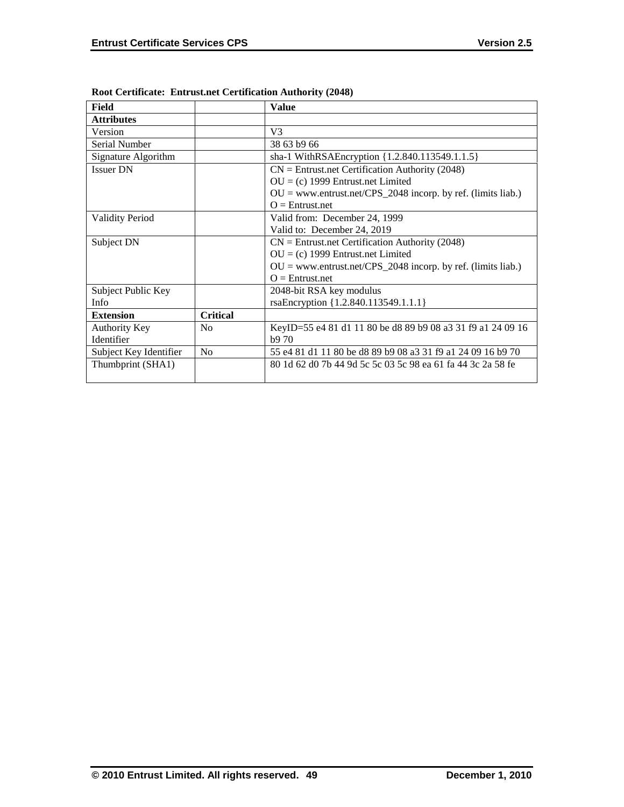| Field                  |                 | <b>Value</b>                                                   |
|------------------------|-----------------|----------------------------------------------------------------|
| <b>Attributes</b>      |                 |                                                                |
| Version                |                 | V <sub>3</sub>                                                 |
| Serial Number          |                 | 38 63 b9 66                                                    |
| Signature Algorithm    |                 | sha-1 WithRSAEncryption {1.2.840.113549.1.1.5}                 |
| <b>Issuer DN</b>       |                 | $CN =$ Entrust.net Certification Authority (2048)              |
|                        |                 | $OU = (c)$ 1999 Entrust.net Limited                            |
|                        |                 | $OU = www.entrust.net/CPS_2048 incorp. by ref. (limits liab.)$ |
|                        |                 | $Q =$ Entrust.net                                              |
| <b>Validity Period</b> |                 | Valid from: December 24, 1999                                  |
|                        |                 | Valid to: December 24, 2019                                    |
| Subject DN             |                 | $CN =$ Entrust.net Certification Authority (2048)              |
|                        |                 | $OU = (c)$ 1999 Entrust.net Limited                            |
|                        |                 | $OU = www.entrust.net/CPS_2048 incorp. by ref. (limits liab.)$ |
|                        |                 | $Q =$ Entrust.net                                              |
| Subject Public Key     |                 | 2048-bit RSA key modulus                                       |
| Info                   |                 | rsaEncryption {1.2.840.113549.1.1.1}                           |
| <b>Extension</b>       | <b>Critical</b> |                                                                |
| Authority Key          | N <sub>0</sub>  | KeyID=55 e4 81 d1 11 80 be d8 89 b9 08 a3 31 f9 a1 24 09 16    |
| Identifier             |                 | b970                                                           |
| Subject Key Identifier | No              | 55 e4 81 d1 11 80 be d8 89 b9 08 a3 31 f9 a1 24 09 16 b9 70    |
| Thumbprint (SHA1)      |                 | 80 1d 62 d0 7b 44 9d 5c 5c 03 5c 98 ea 61 fa 44 3c 2a 58 fe    |
|                        |                 |                                                                |

**Root Certificate: Entrust.net Certification Authority (2048)**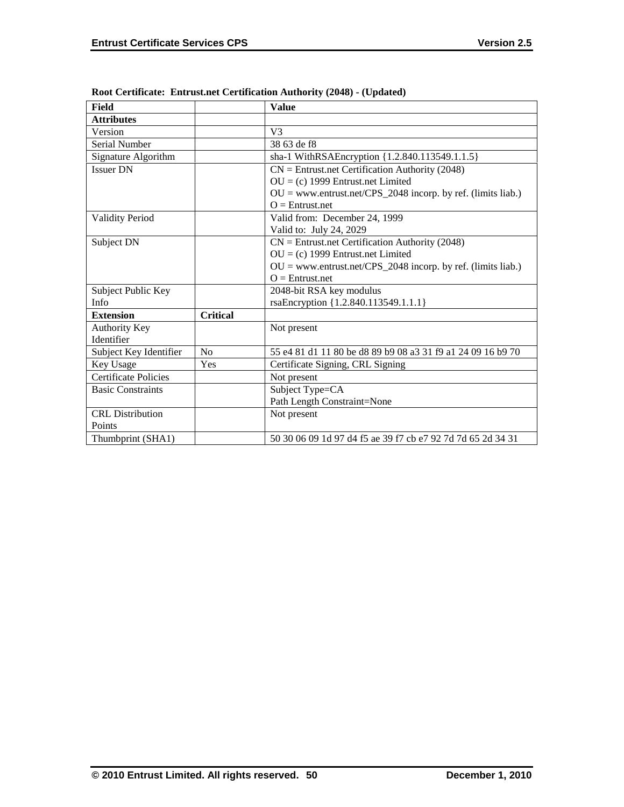| Field                       |                 | <b>Value</b>                                                   |
|-----------------------------|-----------------|----------------------------------------------------------------|
| <b>Attributes</b>           |                 |                                                                |
| Version                     |                 | V <sub>3</sub>                                                 |
| Serial Number               |                 | 38 63 de f8                                                    |
| Signature Algorithm         |                 | sha-1 WithRSAEncryption {1.2.840.113549.1.1.5}                 |
| <b>Issuer DN</b>            |                 | $CN =$ Entrust.net Certification Authority (2048)              |
|                             |                 | $OU = (c)$ 1999 Entrust.net Limited                            |
|                             |                 | $OU =$ www.entrust.net/CPS_2048 incorp. by ref. (limits liab.) |
|                             |                 | $O =$ Entrust.net                                              |
| <b>Validity Period</b>      |                 | Valid from: December 24, 1999                                  |
|                             |                 | Valid to: July 24, 2029                                        |
| Subject DN                  |                 | $CN =$ Entrust.net Certification Authority (2048)              |
|                             |                 | $OU = (c)$ 1999 Entrust.net Limited                            |
|                             |                 | $OU = www.entrust.net/CPS_2048 incorp. by ref. (limits liab.)$ |
|                             |                 | $O =$ Entrust.net                                              |
| Subject Public Key          |                 | 2048-bit RSA key modulus                                       |
| Info                        |                 | rsaEncryption {1.2.840.113549.1.1.1}                           |
| <b>Extension</b>            | <b>Critical</b> |                                                                |
| <b>Authority Key</b>        |                 | Not present                                                    |
| Identifier                  |                 |                                                                |
| Subject Key Identifier      | N <sub>0</sub>  | 55 e4 81 d1 11 80 be d8 89 b9 08 a3 31 f9 a1 24 09 16 b9 70    |
| Key Usage                   | Yes             | Certificate Signing, CRL Signing                               |
| <b>Certificate Policies</b> |                 | Not present                                                    |
| <b>Basic Constraints</b>    |                 | Subject Type=CA                                                |
|                             |                 | Path Length Constraint=None                                    |
| <b>CRL</b> Distribution     |                 | Not present                                                    |
| Points                      |                 |                                                                |
| Thumbprint (SHA1)           |                 | 50 30 06 09 1d 97 d4 f5 ae 39 f7 cb e7 92 7d 7d 65 2d 34 31    |

**Root Certificate: Entrust.net Certification Authority (2048) - (Updated)**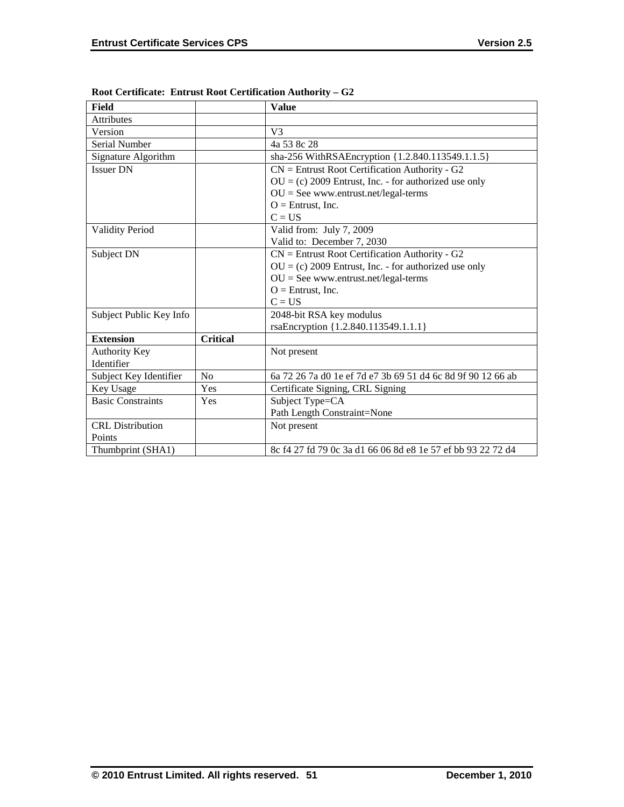| <b>Field</b>             |                 | <b>Value</b>                                                |
|--------------------------|-----------------|-------------------------------------------------------------|
| <b>Attributes</b>        |                 |                                                             |
| Version                  |                 | V <sub>3</sub>                                              |
| Serial Number            |                 | 4a 53 8c 28                                                 |
| Signature Algorithm      |                 | sha-256 WithRSAEncryption {1.2.840.113549.1.1.5}            |
| <b>Issuer DN</b>         |                 | $CN =$ Entrust Root Certification Authority - G2            |
|                          |                 | $OU = (c) 2009$ Entrust, Inc. - for authorized use only     |
|                          |                 | $OU = See$ www.entrust.net/legal-terms                      |
|                          |                 | $O =$ Entrust, Inc.                                         |
|                          |                 | $C = US$                                                    |
| <b>Validity Period</b>   |                 | Valid from: July 7, 2009                                    |
|                          |                 | Valid to: December 7, 2030                                  |
| Subject DN               |                 | $CN =$ Entrust Root Certification Authority - G2            |
|                          |                 | $OU = (c) 2009$ Entrust, Inc. - for authorized use only     |
|                          |                 | $OU = See$ www.entrust.net/legal-terms                      |
|                          |                 | $O =$ Entrust, Inc.                                         |
|                          |                 | $C = US$                                                    |
| Subject Public Key Info  |                 | 2048-bit RSA key modulus                                    |
|                          |                 | rsaEncryption {1.2.840.113549.1.1.1}                        |
| <b>Extension</b>         | <b>Critical</b> |                                                             |
| <b>Authority Key</b>     |                 | Not present                                                 |
| Identifier               |                 |                                                             |
| Subject Key Identifier   | N <sub>o</sub>  | 6a 72 26 7a d0 1e ef 7d e7 3b 69 51 d4 6c 8d 9f 90 12 66 ab |
| Key Usage                | Yes             | Certificate Signing, CRL Signing                            |
| <b>Basic Constraints</b> | Yes             | Subject Type=CA                                             |
|                          |                 | Path Length Constraint=None                                 |
| <b>CRL</b> Distribution  |                 | Not present                                                 |
| Points                   |                 |                                                             |
| Thumbprint (SHA1)        |                 | 8c f4 27 fd 79 0c 3a d1 66 06 8d e8 1e 57 ef bb 93 22 72 d4 |

**Root Certificate: Entrust Root Certification Authority – G2**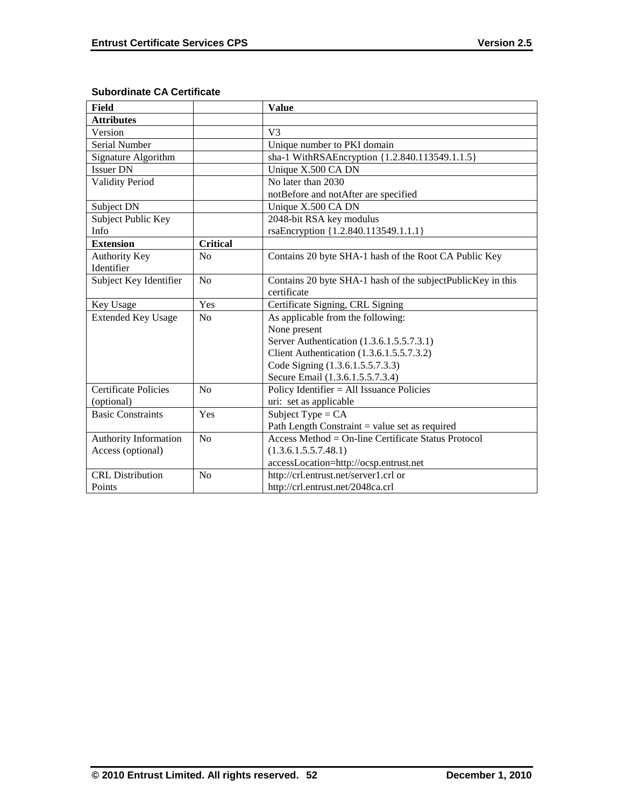| <b>Field</b>                |                 | <b>Value</b>                                                |
|-----------------------------|-----------------|-------------------------------------------------------------|
| <b>Attributes</b>           |                 |                                                             |
| Version                     |                 | V <sub>3</sub>                                              |
| <b>Serial Number</b>        |                 | Unique number to PKI domain                                 |
| Signature Algorithm         |                 | sha-1 WithRSAEncryption {1.2.840.113549.1.1.5}              |
| <b>Issuer DN</b>            |                 | Unique X.500 CA DN                                          |
| <b>Validity Period</b>      |                 | No later than 2030                                          |
|                             |                 | notBefore and notAfter are specified                        |
| Subject DN                  |                 | Unique X.500 CA DN                                          |
| Subject Public Key          |                 | 2048-bit RSA key modulus                                    |
| Info                        |                 | rsaEncryption {1.2.840.113549.1.1.1}                        |
| <b>Extension</b>            | <b>Critical</b> |                                                             |
| Authority Key               | N <sub>0</sub>  | Contains 20 byte SHA-1 hash of the Root CA Public Key       |
| Identifier                  |                 |                                                             |
| Subject Key Identifier      | No              | Contains 20 byte SHA-1 hash of the subjectPublicKey in this |
|                             |                 | certificate                                                 |
| Key Usage                   | Yes             | Certificate Signing, CRL Signing                            |
| <b>Extended Key Usage</b>   | No              | As applicable from the following:                           |
|                             |                 | None present                                                |
|                             |                 | Server Authentication (1.3.6.1.5.5.7.3.1)                   |
|                             |                 | Client Authentication (1.3.6.1.5.5.7.3.2)                   |
|                             |                 | Code Signing (1.3.6.1.5.5.7.3.3)                            |
|                             |                 | Secure Email (1.3.6.1.5.5.7.3.4)                            |
| <b>Certificate Policies</b> | No              | Policy Identifier = All Issuance Policies                   |
| (optional)                  |                 | uri: set as applicable                                      |
| <b>Basic Constraints</b>    | Yes             | Subject Type = $CA$                                         |
|                             |                 | Path Length Constraint = value set as required              |
| Authority Information       | No              | Access Method = $On$ -line Certificate Status Protocol      |
| Access (optional)           |                 | (1.3.6.1.5.5.7.48.1)                                        |
|                             |                 | accessLocation=http://ocsp.entrust.net                      |
| <b>CRL</b> Distribution     | No              | http://crl.entrust.net/server1.crl or                       |
| Points                      |                 | http://crl.entrust.net/2048ca.crl                           |

# **Subordinate CA Certificate**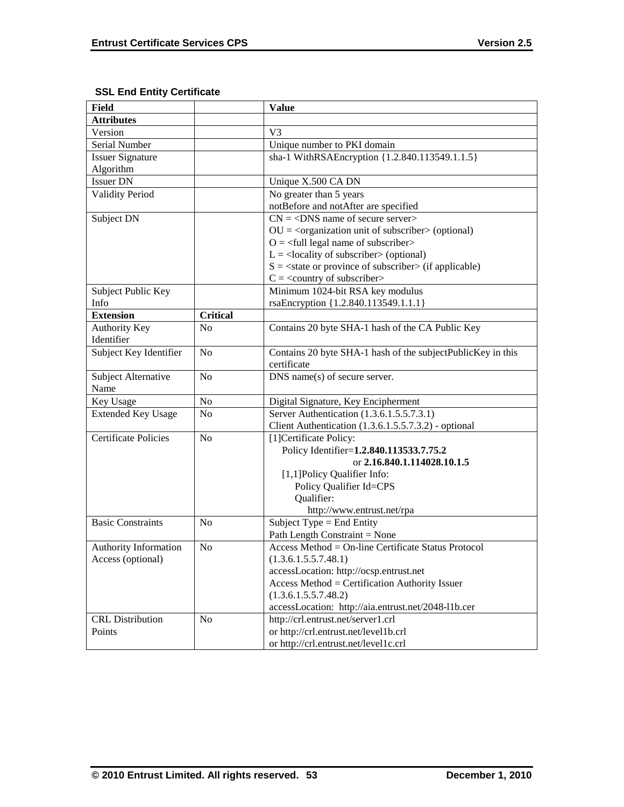# **SSL End Entity Certificate**

| <b>Field</b>                 |                 | <b>Value</b>                                                             |
|------------------------------|-----------------|--------------------------------------------------------------------------|
| <b>Attributes</b>            |                 |                                                                          |
| Version                      |                 | V <sub>3</sub>                                                           |
| Serial Number                |                 | Unique number to PKI domain                                              |
| <b>Issuer Signature</b>      |                 | sha-1 WithRSAEncryption {1.2.840.113549.1.1.5}                           |
| Algorithm                    |                 |                                                                          |
| <b>Issuer DN</b>             |                 | Unique X.500 CA DN                                                       |
| <b>Validity Period</b>       |                 | No greater than 5 years                                                  |
|                              |                 | notBefore and notAfter are specified                                     |
| Subject DN                   |                 | $CN = <$ DNS name of secure server>                                      |
|                              |                 | $OU = corganization unit of subscripter > (optional)$                    |
|                              |                 | $Q = \text{full legal name of subscriber}$                               |
|                              |                 | $L =$ <locality of="" subscriber=""> (optional)</locality>               |
|                              |                 | $S = \text{state}$ or province of subscriber $\text{in}$ (if applicable) |
|                              |                 | $C = \langle$ country of subscriber>                                     |
| Subject Public Key           |                 | Minimum 1024-bit RSA key modulus                                         |
| Info                         |                 | rsaEncryption {1.2.840.113549.1.1.1}                                     |
| <b>Extension</b>             | <b>Critical</b> |                                                                          |
| <b>Authority Key</b>         | N <sub>0</sub>  | Contains 20 byte SHA-1 hash of the CA Public Key                         |
| Identifier                   |                 |                                                                          |
| Subject Key Identifier       | N <sub>o</sub>  | Contains 20 byte SHA-1 hash of the subjectPublicKey in this              |
|                              |                 | certificate                                                              |
| Subject Alternative          | No              | DNS name(s) of secure server.                                            |
| Name                         |                 |                                                                          |
| Key Usage                    | No              | Digital Signature, Key Encipherment                                      |
| <b>Extended Key Usage</b>    | N <sub>0</sub>  | Server Authentication (1.3.6.1.5.5.7.3.1)                                |
|                              |                 | Client Authentication (1.3.6.1.5.5.7.3.2) - optional                     |
| <b>Certificate Policies</b>  | N <sub>0</sub>  | [1] Certificate Policy:                                                  |
|                              |                 | Policy Identifier=1.2.840.113533.7.75.2                                  |
|                              |                 | or 2.16.840.1.114028.10.1.5                                              |
|                              |                 | [1,1]Policy Qualifier Info:                                              |
|                              |                 | Policy Qualifier Id=CPS                                                  |
|                              |                 | Qualifier:                                                               |
|                              |                 | http://www.entrust.net/rpa                                               |
| <b>Basic Constraints</b>     | N <sub>0</sub>  | Subject Type = End Entity                                                |
|                              |                 | Path Length Constraint = None                                            |
| <b>Authority Information</b> | N <sub>o</sub>  | Access Method = On-line Certificate Status Protocol                      |
| Access (optional)            |                 | (1.3.6.1.5.5.7.48.1)                                                     |
|                              |                 | accessLocation: http://ocsp.entrust.net                                  |
|                              |                 | Access Method = Certification Authority Issuer                           |
|                              |                 | (1.3.6.1.5.5.7.48.2)                                                     |
|                              |                 | accessLocation: http://aia.entrust.net/2048-11b.cer                      |
| <b>CRL</b> Distribution      | N <sub>o</sub>  | http://crl.entrust.net/server1.crl                                       |
| Points                       |                 | or http://crl.entrust.net/level1b.crl                                    |
|                              |                 | or http://crl.entrust.net/level1c.crl                                    |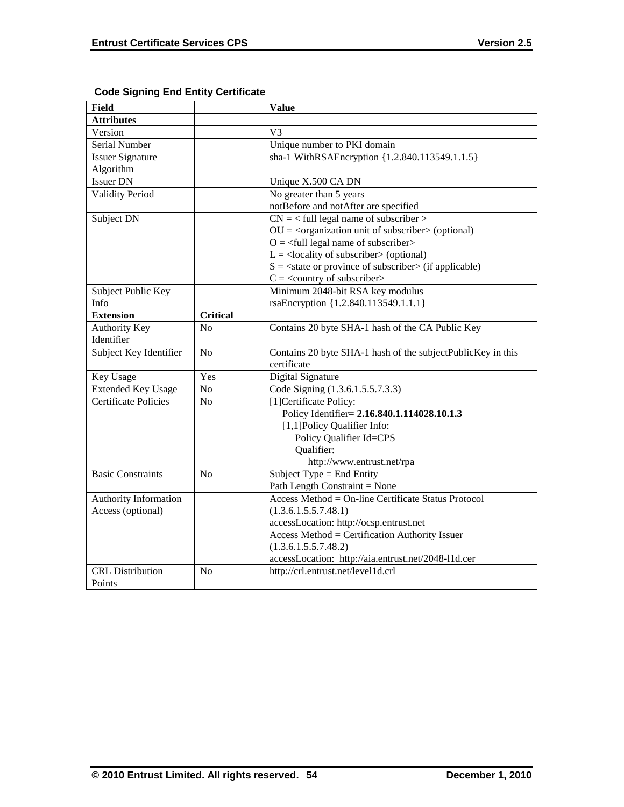| <b>Field</b>                |                 | <b>Value</b>                                                           |
|-----------------------------|-----------------|------------------------------------------------------------------------|
| <b>Attributes</b>           |                 |                                                                        |
| Version                     |                 | V <sub>3</sub>                                                         |
| Serial Number               |                 | Unique number to PKI domain                                            |
| <b>Issuer Signature</b>     |                 | sha-1 WithRSAEncryption {1.2.840.113549.1.1.5}                         |
| Algorithm                   |                 |                                                                        |
| <b>Issuer DN</b>            |                 | Unique X.500 CA DN                                                     |
| <b>Validity Period</b>      |                 | No greater than 5 years                                                |
|                             |                 | notBefore and notAfter are specified                                   |
| Subject DN                  |                 | $CN =$ < full legal name of subscriber >                               |
|                             |                 | $OU = corganization unit of subscripter > (optional)$                  |
|                             |                 | $O = \left\langle \text{full legal name of subscripter} \right\rangle$ |
|                             |                 | $L =$ <locality of="" subscriber=""> (optional)</locality>             |
|                             |                 | $S = \text{state}$ or province of subscriber > (if applicable)         |
|                             |                 | $C = \langle$ country of subscriber>                                   |
| Subject Public Key          |                 | Minimum 2048-bit RSA key modulus                                       |
| Info                        |                 | rsaEncryption {1.2.840.113549.1.1.1}                                   |
| <b>Extension</b>            | <b>Critical</b> |                                                                        |
| <b>Authority Key</b>        | No              | Contains 20 byte SHA-1 hash of the CA Public Key                       |
| Identifier                  |                 |                                                                        |
| Subject Key Identifier      | N <sub>o</sub>  | Contains 20 byte SHA-1 hash of the subjectPublicKey in this            |
|                             |                 | certificate                                                            |
| Key Usage                   | Yes             | Digital Signature                                                      |
| <b>Extended Key Usage</b>   | N <sub>o</sub>  | Code Signing (1.3.6.1.5.5.7.3.3)                                       |
| <b>Certificate Policies</b> | N <sub>o</sub>  | [1] Certificate Policy:                                                |
|                             |                 | Policy Identifier= 2.16.840.1.114028.10.1.3                            |
|                             |                 | [1,1]Policy Qualifier Info:                                            |
|                             |                 | Policy Qualifier Id=CPS                                                |
|                             |                 | Qualifier:                                                             |
|                             |                 | http://www.entrust.net/rpa                                             |
| <b>Basic Constraints</b>    | N <sub>o</sub>  | Subject Type = End Entity                                              |
|                             |                 | Path Length Constraint = None                                          |
| Authority Information       |                 | Access Method = On-line Certificate Status Protocol                    |
| Access (optional)           |                 | (1.3.6.1.5.5.7.48.1)                                                   |
|                             |                 | accessLocation: http://ocsp.entrust.net                                |
|                             |                 | Access Method = Certification Authority Issuer                         |
|                             |                 | (1.3.6.1.5.5.7.48.2)                                                   |
|                             |                 | accessLocation: http://aia.entrust.net/2048-11d.cer                    |
| <b>CRL</b> Distribution     | N <sub>o</sub>  | http://crl.entrust.net/level1d.crl                                     |
| Points                      |                 |                                                                        |

# **Code Signing End Entity Certificate**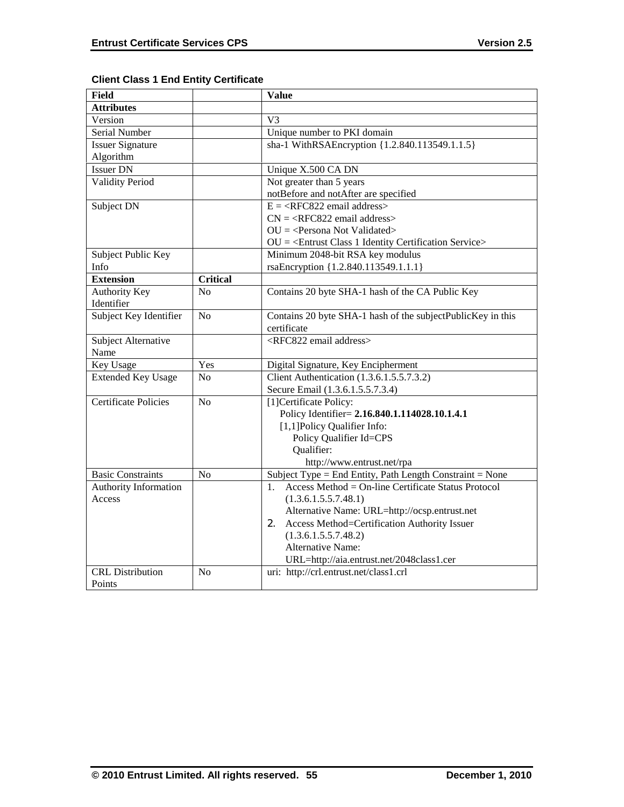| <b>Field</b>                |                 | Value                                                             |
|-----------------------------|-----------------|-------------------------------------------------------------------|
| <b>Attributes</b>           |                 |                                                                   |
| Version                     |                 | V <sub>3</sub>                                                    |
| Serial Number               |                 | Unique number to PKI domain                                       |
| <b>Issuer Signature</b>     |                 | sha-1 WithRSAEncryption {1.2.840.113549.1.1.5}                    |
| Algorithm                   |                 |                                                                   |
| <b>Issuer DN</b>            |                 | Unique X.500 CA DN                                                |
| <b>Validity Period</b>      |                 | Not greater than 5 years                                          |
|                             |                 | notBefore and notAfter are specified                              |
| Subject DN                  |                 | $E = \langle RFC822 \text{ email address} \rangle$                |
|                             |                 | $CN =  email address>$                                            |
|                             |                 | $OU = Persona Not Validated >$                                    |
|                             |                 | $OU = \langle Entrust Class 1 Identity Certain Service \rangle$   |
| Subject Public Key          |                 | Minimum 2048-bit RSA key modulus                                  |
| Info                        |                 | rsaEncryption {1.2.840.113549.1.1.1}                              |
| <b>Extension</b>            | <b>Critical</b> |                                                                   |
| Authority Key               | No              | Contains 20 byte SHA-1 hash of the CA Public Key                  |
| Identifier                  |                 |                                                                   |
| Subject Key Identifier      | N <sub>o</sub>  | Contains 20 byte SHA-1 hash of the subjectPublicKey in this       |
|                             |                 | certificate                                                       |
| Subject Alternative         |                 | <rfc822 address="" email=""></rfc822>                             |
| Name                        |                 |                                                                   |
| Key Usage                   | Yes             | Digital Signature, Key Encipherment                               |
| <b>Extended Key Usage</b>   | N <sub>0</sub>  | Client Authentication (1.3.6.1.5.5.7.3.2)                         |
|                             |                 | Secure Email (1.3.6.1.5.5.7.3.4)                                  |
| <b>Certificate Policies</b> | No              | [1] Certificate Policy:                                           |
|                             |                 | Policy Identifier= 2.16.840.1.114028.10.1.4.1                     |
|                             |                 | [1,1]Policy Qualifier Info:                                       |
|                             |                 | Policy Qualifier Id=CPS                                           |
|                             |                 | Qualifier:                                                        |
|                             |                 | http://www.entrust.net/rpa                                        |
| <b>Basic Constraints</b>    | N <sub>o</sub>  | Subject Type = End Entity, Path Length Constraint = None          |
| Authority Information       |                 | Access Method = $On$ -line Certificate Status Protocol<br>$1_{-}$ |
| Access                      |                 | (1.3.6.1.5.5.7.48.1)                                              |
|                             |                 | Alternative Name: URL=http://ocsp.entrust.net                     |
|                             |                 | Access Method=Certification Authority Issuer<br>2.                |
|                             |                 | (1.3.6.1.5.5.7.48.2)                                              |
|                             |                 | <b>Alternative Name:</b>                                          |
|                             |                 | URL=http://aia.entrust.net/2048class1.cer                         |
| <b>CRL</b> Distribution     | No              | uri: http://crl.entrust.net/class1.crl                            |
| Points                      |                 |                                                                   |

# **Client Class 1 End Entity Certificate**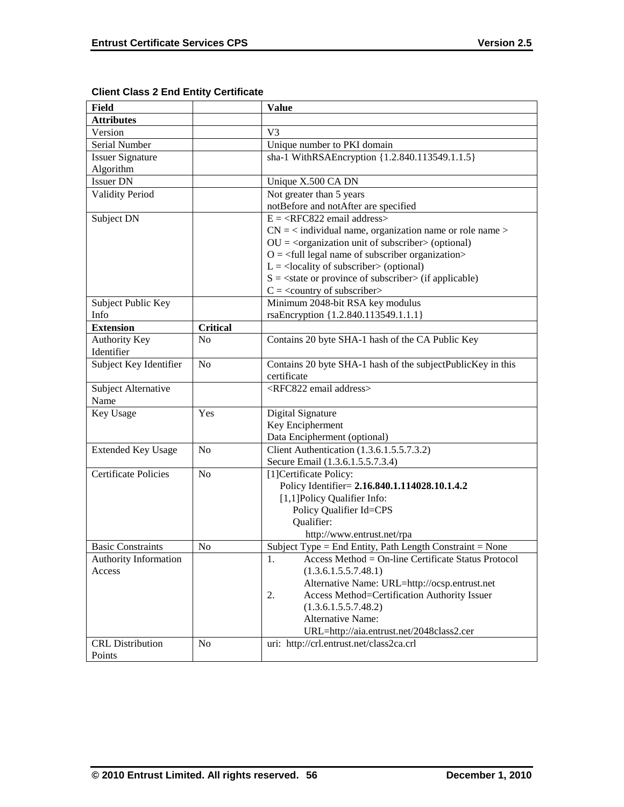| Field                                  |                 | <b>Value</b>                                                 |
|----------------------------------------|-----------------|--------------------------------------------------------------|
| <b>Attributes</b>                      |                 |                                                              |
| Version                                |                 | V <sub>3</sub>                                               |
| Serial Number                          |                 | Unique number to PKI domain                                  |
| <b>Issuer Signature</b>                |                 | sha-1 WithRSAEncryption {1.2.840.113549.1.1.5}               |
| Algorithm                              |                 |                                                              |
| <b>Issuer DN</b>                       |                 | Unique X.500 CA DN                                           |
| <b>Validity Period</b>                 |                 | Not greater than 5 years                                     |
|                                        |                 | notBefore and notAfter are specified                         |
| Subject DN                             |                 | $E = \langle RFC822 \text{ email address} \rangle$           |
|                                        |                 | $CN =$ < individual name, organization name or role name >   |
|                                        |                 | $OU = coganization unit of subscripter > (optional)$         |
|                                        |                 | $O = \text{full legal name of subscriber organization}$      |
|                                        |                 | $L =$ <locality of="" subscriber=""> (optional)</locality>   |
|                                        |                 | $S = \text{state}$ or province of subscriber (if applicable) |
|                                        |                 | $C =$ < country of subscriber>                               |
| Subject Public Key                     |                 | Minimum 2048-bit RSA key modulus                             |
| Info                                   |                 | rsaEncryption {1.2.840.113549.1.1.1}                         |
| <b>Extension</b>                       | <b>Critical</b> |                                                              |
| <b>Authority Key</b>                   | N <sub>0</sub>  | Contains 20 byte SHA-1 hash of the CA Public Key             |
| Identifier                             |                 |                                                              |
| Subject Key Identifier                 | N <sub>0</sub>  | Contains 20 byte SHA-1 hash of the subjectPublicKey in this  |
|                                        |                 | certificate                                                  |
| Subject Alternative                    |                 | <rfc822 address="" email=""></rfc822>                        |
| Name                                   |                 |                                                              |
| Key Usage                              | Yes             | Digital Signature                                            |
|                                        |                 | Key Encipherment                                             |
|                                        |                 | Data Encipherment (optional)                                 |
| <b>Extended Key Usage</b>              | N <sub>o</sub>  | Client Authentication (1.3.6.1.5.5.7.3.2)                    |
|                                        |                 | Secure Email (1.3.6.1.5.5.7.3.4)                             |
| <b>Certificate Policies</b>            | N <sub>o</sub>  | [1] Certificate Policy:                                      |
|                                        |                 | Policy Identifier= 2.16.840.1.114028.10.1.4.2                |
|                                        |                 | [1,1] Policy Qualifier Info:                                 |
|                                        |                 | Policy Qualifier Id=CPS<br>Qualifier:                        |
|                                        |                 | http://www.entrust.net/rpa                                   |
| <b>Basic Constraints</b>               | N <sub>0</sub>  | Subject Type = End Entity, Path Length Constraint = None     |
|                                        |                 | 1.<br>$Access Method = On-line Centlicate Status Protocol$   |
| <b>Authority Information</b><br>Access |                 | (1.3.6.1.5.5.7.48.1)                                         |
|                                        |                 | Alternative Name: URL=http://ocsp.entrust.net                |
|                                        |                 | Access Method=Certification Authority Issuer<br>2.           |
|                                        |                 | (1.3.6.1.5.5.7.48.2)                                         |
|                                        |                 | <b>Alternative Name:</b>                                     |
|                                        |                 | URL=http://aia.entrust.net/2048class2.cer                    |
| <b>CRL</b> Distribution                | No              | uri: http://crl.entrust.net/class2ca.crl                     |
| Points                                 |                 |                                                              |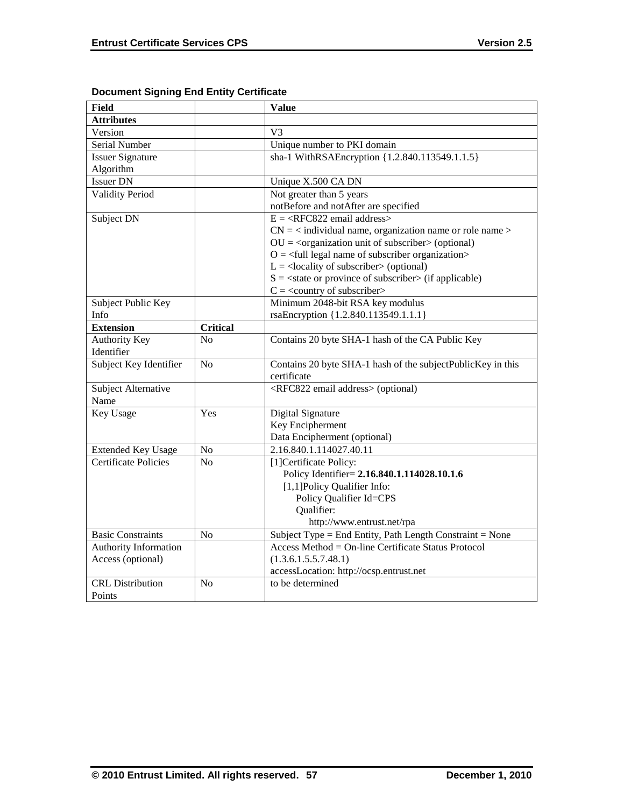| <b>Field</b>                 |                 | <b>Value</b>                                                             |
|------------------------------|-----------------|--------------------------------------------------------------------------|
| <b>Attributes</b>            |                 |                                                                          |
| Version                      |                 | V <sub>3</sub>                                                           |
| Serial Number                |                 | Unique number to PKI domain                                              |
| <b>Issuer Signature</b>      |                 | sha-1 WithRSAEncryption {1.2.840.113549.1.1.5}                           |
| Algorithm                    |                 |                                                                          |
| <b>Issuer DN</b>             |                 | Unique X.500 CA DN                                                       |
| <b>Validity Period</b>       |                 | Not greater than 5 years                                                 |
|                              |                 | notBefore and notAfter are specified                                     |
| Subject DN                   |                 | $E = \langle RFC822 \text{ email address} \rangle$                       |
|                              |                 | $CN =$ < individual name, organization name or role name >               |
|                              |                 | $OU = corganization unit of subscripter > (optional)$                    |
|                              |                 | $Q = \text{full legal name of subscriber organization}$                  |
|                              |                 | $L =$ <locality of="" subscriber=""> (optional)</locality>               |
|                              |                 | $S = \text{state}$ or province of subscriber $\text{in}$ (if applicable) |
|                              |                 | $C = \langle$ country of subscriber>                                     |
| Subject Public Key           |                 | Minimum 2048-bit RSA key modulus                                         |
| Info                         |                 | rsaEncryption {1.2.840.113549.1.1.1}                                     |
| <b>Extension</b>             | <b>Critical</b> |                                                                          |
| <b>Authority Key</b>         | N <sub>0</sub>  | Contains 20 byte SHA-1 hash of the CA Public Key                         |
| Identifier                   |                 |                                                                          |
| Subject Key Identifier       | N <sub>o</sub>  | Contains 20 byte SHA-1 hash of the subjectPublicKey in this              |
|                              |                 | certificate                                                              |
| Subject Alternative          |                 | <rfc822 address="" email=""> (optional)</rfc822>                         |
| Name                         |                 |                                                                          |
| <b>Key Usage</b>             | Yes             | Digital Signature                                                        |
|                              |                 | Key Encipherment                                                         |
|                              |                 | Data Encipherment (optional)                                             |
| <b>Extended Key Usage</b>    | $\rm No$        | 2.16.840.1.114027.40.11                                                  |
| <b>Certificate Policies</b>  | N <sub>o</sub>  | [1]Certificate Policy:                                                   |
|                              |                 | Policy Identifier= 2.16.840.1.114028.10.1.6                              |
|                              |                 | [1,1]Policy Qualifier Info:                                              |
|                              |                 | Policy Qualifier Id=CPS                                                  |
|                              |                 | Qualifier:                                                               |
|                              |                 | http://www.entrust.net/rpa                                               |
| <b>Basic Constraints</b>     | No              | Subject Type = End Entity, Path Length Constraint = None                 |
| <b>Authority Information</b> |                 | Access Method = On-line Certificate Status Protocol                      |
| Access (optional)            |                 | (1.3.6.1.5.5.7.48.1)                                                     |
|                              |                 | accessLocation: http://ocsp.entrust.net                                  |
| <b>CRL</b> Distribution      | No              | to be determined                                                         |
| Points                       |                 |                                                                          |

# **Document Signing End Entity Certificate**